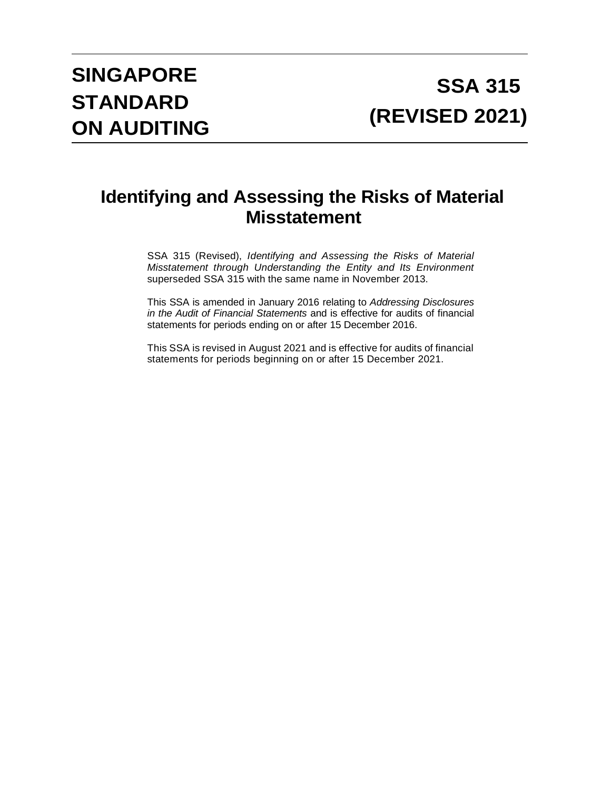# **Identifying and Assessing the Risks of Material Misstatement**

SSA 315 (Revised), *Identifying and Assessing the Risks of Material Misstatement through Understanding the Entity and Its Environment* superseded SSA 315 with the same name in November 2013.

This SSA is amended in January 2016 relating to *Addressing Disclosures in the Audit of Financial Statements* and is effective for audits of financial statements for periods ending on or after 15 December 2016.

This SSA is revised in August 2021 and is effective for audits of financial statements for periods beginning on or after 15 December 2021.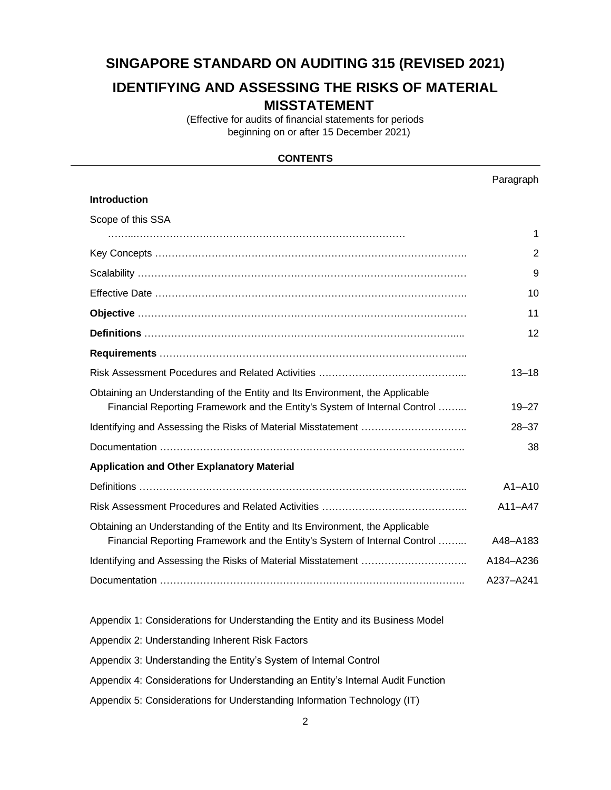# **SINGAPORE STANDARD ON AUDITING 315 (REVISED 2021)**

# **IDENTIFYING AND ASSESSING THE RISKS OF MATERIAL MISSTATEMENT**

(Effective for audits of financial statements for periods beginning on or after 15 December 2021)

#### **CONTENTS**

Paragraph

| <b>Introduction</b>                                                                                                                                       |             |
|-----------------------------------------------------------------------------------------------------------------------------------------------------------|-------------|
| Scope of this SSA                                                                                                                                         |             |
|                                                                                                                                                           | 1           |
|                                                                                                                                                           | 2           |
|                                                                                                                                                           | 9           |
|                                                                                                                                                           | 10          |
|                                                                                                                                                           | 11          |
|                                                                                                                                                           | 12          |
|                                                                                                                                                           |             |
|                                                                                                                                                           | $13 - 18$   |
| Obtaining an Understanding of the Entity and Its Environment, the Applicable<br>Financial Reporting Framework and the Entity's System of Internal Control | $19 - 27$   |
|                                                                                                                                                           | $28 - 37$   |
|                                                                                                                                                           | 38          |
| <b>Application and Other Explanatory Material</b>                                                                                                         |             |
|                                                                                                                                                           | $A1 - A10$  |
|                                                                                                                                                           | $A11 - A47$ |
| Obtaining an Understanding of the Entity and Its Environment, the Applicable<br>Financial Reporting Framework and the Entity's System of Internal Control | A48-A183    |
|                                                                                                                                                           | A184-A236   |
|                                                                                                                                                           | A237-A241   |

- Appendix 1: [Considerations for Understanding the Entity and its Business Model](#page-70-0)
- Appendix 2: [Understanding Inherent Risk Factors](#page-73-0)
- Appendix 3: [Understanding the Entity's System of Internal Control](#page-78-0)
- Appendix 4: [Considerations for Understanding an Entity's Internal Audit Function](#page-85-0)
- Appendix 5: [Considerations for Understanding Information Technology \(IT\)](#page-88-0)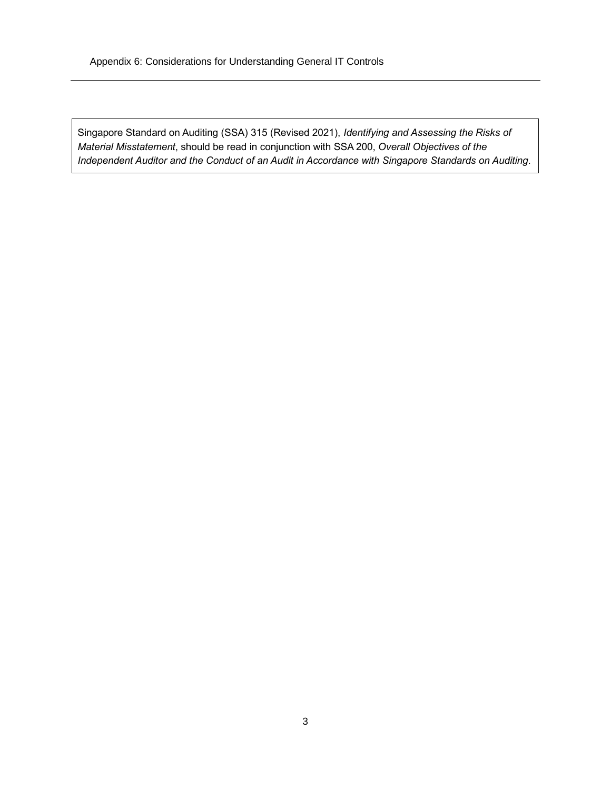Singapore Standard on Auditing (SSA) 315 (Revised 2021), *Identifying and Assessing the Risks of Material Misstatement*, should be read in conjunction with SSA 200, *Overall Objectives of the Independent Auditor and the Conduct of an Audit in Accordance with Singapore Standards on Auditing*.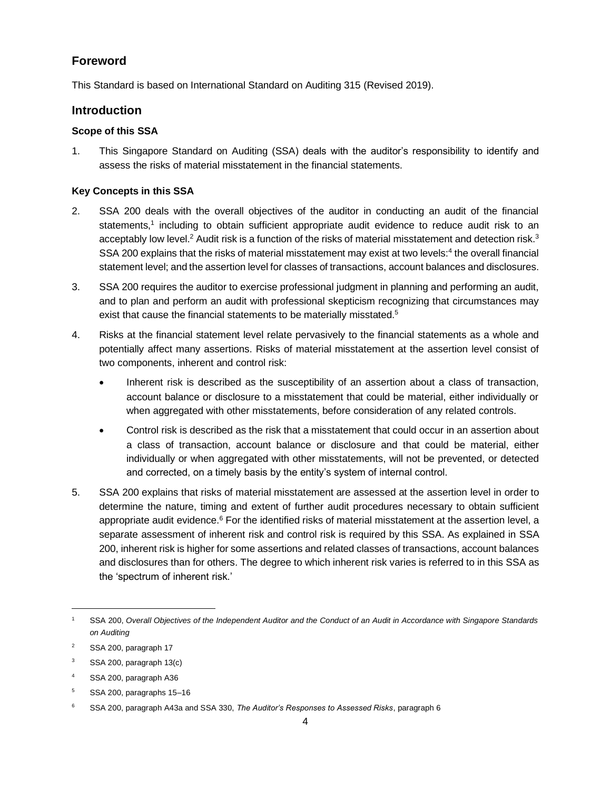# **Foreword**

This Standard is based on International Standard on Auditing 315 (Revised 2019).

# **Introduction**

## **Scope of this SSA**

1. This Singapore Standard on Auditing (SSA) deals with the auditor's responsibility to identify and assess the risks of material misstatement in the financial statements.

## **Key Concepts in this SSA**

- 2. SSA 200 deals with the overall objectives of the auditor in conducting an audit of the financial statements,<sup>1</sup> including to obtain sufficient appropriate audit evidence to reduce audit risk to an acceptably low level.<sup>2</sup> Audit risk is a function of the risks of material misstatement and detection risk.<sup>3</sup> SSA 200 explains that the risks of material misstatement may exist at two levels:<sup>4</sup> the overall financial statement level; and the assertion level for classes of transactions, account balances and disclosures.
- 3. SSA 200 requires the auditor to exercise professional judgment in planning and performing an audit, and to plan and perform an audit with professional skepticism recognizing that circumstances may exist that cause the financial statements to be materially misstated.<sup>5</sup>
- 4. Risks at the financial statement level relate pervasively to the financial statements as a whole and potentially affect many assertions. Risks of material misstatement at the assertion level consist of two components, inherent and control risk:
	- Inherent risk is described as the susceptibility of an assertion about a class of transaction, account balance or disclosure to a misstatement that could be material, either individually or when aggregated with other misstatements, before consideration of any related controls.
	- Control risk is described as the risk that a misstatement that could occur in an assertion about a class of transaction, account balance or disclosure and that could be material, either individually or when aggregated with other misstatements, will not be prevented, or detected and corrected, on a timely basis by the entity's system of internal control.
- 5. SSA 200 explains that risks of material misstatement are assessed at the assertion level in order to determine the nature, timing and extent of further audit procedures necessary to obtain sufficient appropriate audit evidence.<sup>6</sup> For the identified risks of material misstatement at the assertion level, a separate assessment of inherent risk and control risk is required by this SSA. As explained in SSA 200, inherent risk is higher for some assertions and related classes of transactions, account balances and disclosures than for others. The degree to which inherent risk varies is referred to in this SSA as the 'spectrum of inherent risk.'

<sup>1</sup> SSA 200, *Overall Objectives of the Independent Auditor and the Conduct of an Audit in Accordance with Singapore Standards on Auditing*

<sup>2</sup> SSA 200, paragraph 17

<sup>3</sup> SSA 200, paragraph 13(c)

<sup>4</sup> SSA 200, paragraph A36

<sup>5</sup> SSA 200, paragraphs 15–16

<sup>6</sup> SSA 200, paragraph A43a and SSA 330, *The Auditor's Responses to Assessed Risks*, paragraph 6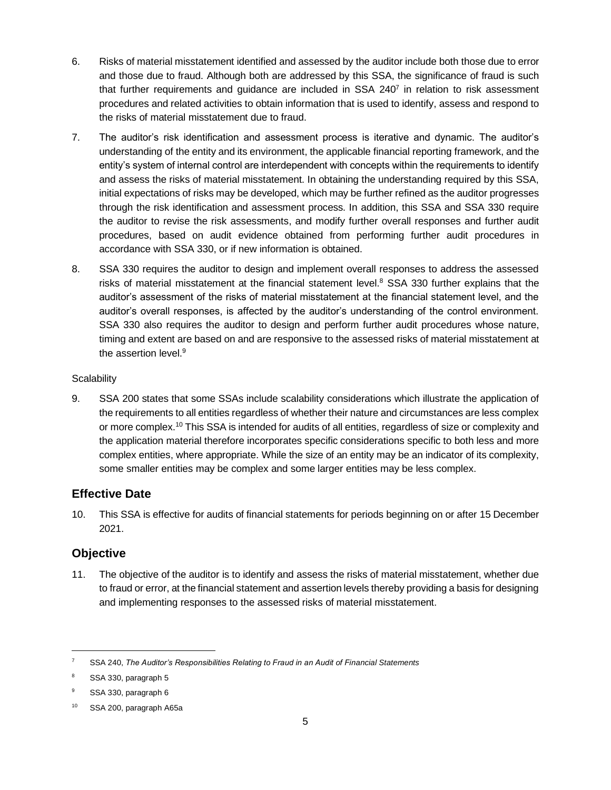- 6. Risks of material misstatement identified and assessed by the auditor include both those due to error and those due to fraud. Although both are addressed by this SSA, the significance of fraud is such that further requirements and guidance are included in SSA 240 $^7$  in relation to risk assessment procedures and related activities to obtain information that is used to identify, assess and respond to the risks of material misstatement due to fraud.
- 7. The auditor's risk identification and assessment process is iterative and dynamic. The auditor's understanding of the entity and its environment, the applicable financial reporting framework, and the entity's system of internal control are interdependent with concepts within the requirements to identify and assess the risks of material misstatement. In obtaining the understanding required by this SSA, initial expectations of risks may be developed, which may be further refined as the auditor progresses through the risk identification and assessment process. In addition, this SSA and SSA 330 require the auditor to revise the risk assessments, and modify further overall responses and further audit procedures, based on audit evidence obtained from performing further audit procedures in accordance with SSA 330, or if new information is obtained.
- 8. SSA 330 requires the auditor to design and implement overall responses to address the assessed risks of material misstatement at the financial statement level.<sup>8</sup> SSA 330 further explains that the auditor's assessment of the risks of material misstatement at the financial statement level, and the auditor's overall responses, is affected by the auditor's understanding of the control environment. SSA 330 also requires the auditor to design and perform further audit procedures whose nature, timing and extent are based on and are responsive to the assessed risks of material misstatement at the assertion level.<sup>9</sup>

## **Scalability**

9. SSA 200 states that some SSAs include scalability considerations which illustrate the application of the requirements to all entities regardless of whether their nature and circumstances are less complex or more complex.<sup>10</sup> This SSA is intended for audits of all entities, regardless of size or complexity and the application material therefore incorporates specific considerations specific to both less and more complex entities, where appropriate. While the size of an entity may be an indicator of its complexity, some smaller entities may be complex and some larger entities may be less complex.

# <span id="page-4-0"></span>**Effective Date**

10. This SSA is effective for audits of financial statements for periods beginning on or after 15 December 2021.

# <span id="page-4-1"></span>**Objective**

11. The objective of the auditor is to identify and assess the risks of material misstatement, whether due to fraud or error, at the financial statement and assertion levels thereby providing a basis for designing and implementing responses to the assessed risks of material misstatement.

<sup>7</sup> SSA 240, *The Auditor's Responsibilities Relating to Fraud in an Audit of Financial Statements*

<sup>8</sup> SSA 330, paragraph 5

<sup>9</sup> SSA 330, paragraph 6

<sup>10</sup> SSA 200, paragraph A65a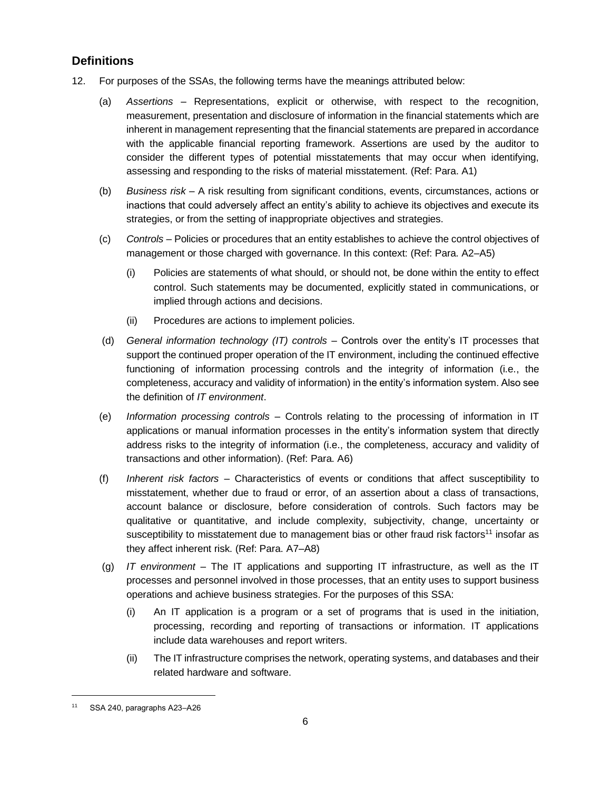# <span id="page-5-0"></span>**Definitions**

- 12. For purposes of the SSAs, the following terms have the meanings attributed below:
	- (a) *Assertions* Representations, explicit or otherwise, with respect to the recognition, measurement, presentation and disclosure of information in the financial statements which are inherent in management representing that the financial statements are prepared in accordance with the applicable financial reporting framework. Assertions are used by the auditor to consider the different types of potential misstatements that may occur when identifying, assessing and responding to the risks of material misstatement. (Ref: Para. A1)
	- (b) *Business risk* A risk resulting from significant conditions, events, circumstances, actions or inactions that could adversely affect an entity's ability to achieve its objectives and execute its strategies, or from the setting of inappropriate objectives and strategies.
	- (c) *Controls* Policies or procedures that an entity establishes to achieve the control objectives of management or those charged with governance. In this context: (Ref: Para. A2–A5)
		- (i) Policies are statements of what should, or should not, be done within the entity to effect control. Such statements may be documented, explicitly stated in communications, or implied through actions and decisions.
		- (ii) Procedures are actions to implement policies.
	- (d) *General information technology (IT) controls* Controls over the entity's IT processes that support the continued proper operation of the IT environment, including the continued effective functioning of information processing controls and the integrity of information (i.e., the completeness, accuracy and validity of information) in the entity's information system. Also see the definition of *IT environment*.
	- (e) *Information processing controls* Controls relating to the processing of information in IT applications or manual information processes in the entity's information system that directly address risks to the integrity of information (i.e., the completeness, accuracy and validity of transactions and other information). (Ref: Para. A6)
	- (f) *Inherent risk factors* Characteristics of events or conditions that affect susceptibility to misstatement, whether due to fraud or error, of an assertion about a class of transactions, account balance or disclosure, before consideration of controls. Such factors may be qualitative or quantitative, and include complexity, subjectivity, change, uncertainty or susceptibility to misstatement due to management bias or other fraud risk factors<sup>11</sup> insofar as they affect inherent risk. (Ref: Para. A7–A8)
	- (g) *IT environment* The IT applications and supporting IT infrastructure, as well as the IT processes and personnel involved in those processes, that an entity uses to support business operations and achieve business strategies. For the purposes of this SSA:
		- (i) An IT application is a program or a set of programs that is used in the initiation, processing, recording and reporting of transactions or information. IT applications include data warehouses and report writers.
		- (ii) The IT infrastructure comprises the network, operating systems, and databases and their related hardware and software.

<sup>11</sup> SSA 240, paragraphs A23-A26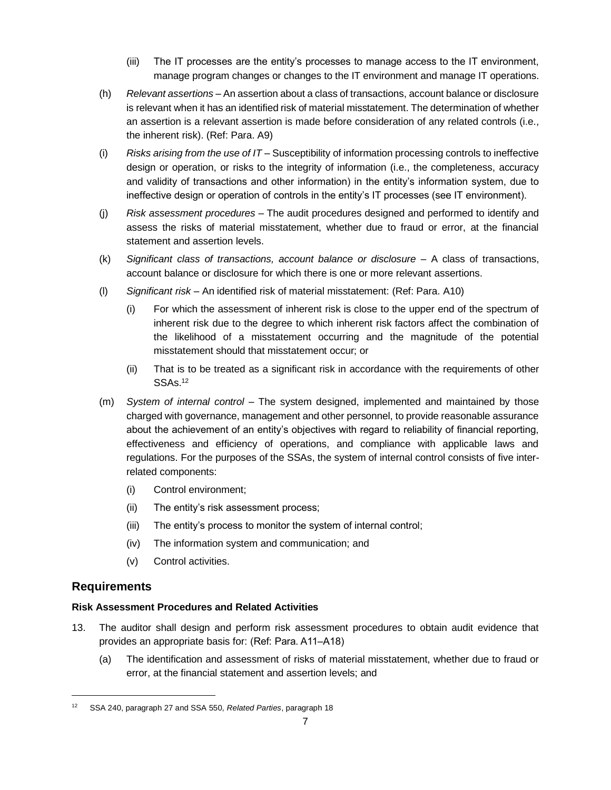- (iii) The IT processes are the entity's processes to manage access to the IT environment, manage program changes or changes to the IT environment and manage IT operations.
- (h) *Relevant assertions* An assertion about a class of transactions, account balance or disclosure is relevant when it has an identified risk of material misstatement. The determination of whether an assertion is a relevant assertion is made before consideration of any related controls (i.e., the inherent risk). (Ref: Para. A9)
- (i) *Risks arising from the use of IT* Susceptibility of information processing controls to ineffective design or operation, or risks to the integrity of information (i.e., the completeness, accuracy and validity of transactions and other information) in the entity's information system, due to ineffective design or operation of controls in the entity's IT processes (see IT environment).
- (j) *Risk assessment procedures* The audit procedures designed and performed to identify and assess the risks of material misstatement, whether due to fraud or error, at the financial statement and assertion levels.
- (k) *Significant class of transactions, account balance or disclosure* A class of transactions, account balance or disclosure for which there is one or more relevant assertions.
- (l) *Significant risk* An identified risk of material misstatement: (Ref: Para. A10)
	- (i) For which the assessment of inherent risk is close to the upper end of the spectrum of inherent risk due to the degree to which inherent risk factors affect the combination of the likelihood of a misstatement occurring and the magnitude of the potential misstatement should that misstatement occur; or
	- (ii) That is to be treated as a significant risk in accordance with the requirements of other SSAs.<sup>12</sup>
- (m) *System of internal control*  The system designed, implemented and maintained by those charged with governance, management and other personnel, to provide reasonable assurance about the achievement of an entity's objectives with regard to reliability of financial reporting, effectiveness and efficiency of operations, and compliance with applicable laws and regulations. For the purposes of the SSAs, the system of internal control consists of five interrelated components:
	- (i) Control environment;
	- (ii) The entity's risk assessment process;
	- (iii) The entity's process to monitor the system of internal control;
	- (iv) The information system and communication; and
	- (v) Control activities.

## **Requirements**

#### **Risk Assessment Procedures and Related Activities**

- 13. The auditor shall design and perform risk assessment procedures to obtain audit evidence that provides an appropriate basis for: (Ref: Para. A11–A18)
	- (a) The identification and assessment of risks of material misstatement, whether due to fraud or error, at the financial statement and assertion levels; and

<sup>12</sup> SSA 240, paragraph 27 and SSA 550, *Related Parties*, paragraph 18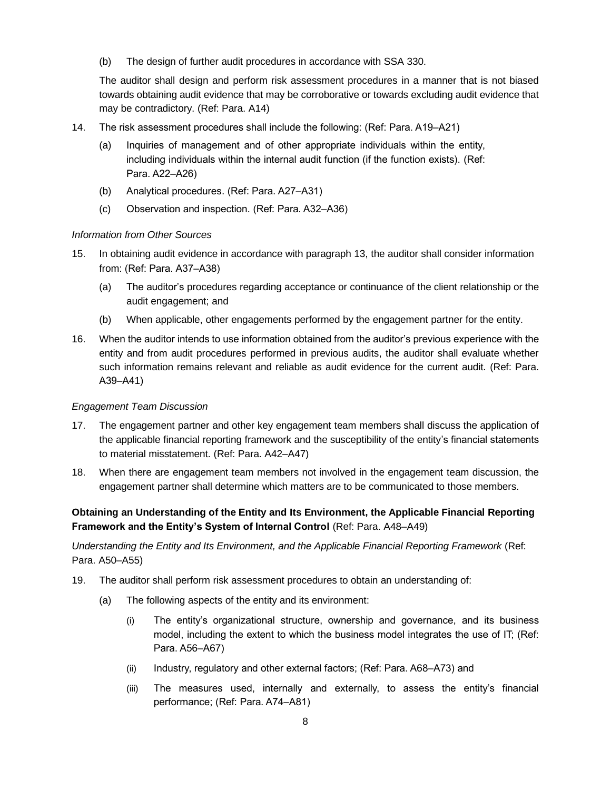(b) The design of further audit procedures in accordance with SSA 330.

The auditor shall design and perform risk assessment procedures in a manner that is not biased towards obtaining audit evidence that may be corroborative or towards excluding audit evidence that may be contradictory. (Ref: Para. A14)

- 14. The risk assessment procedures shall include the following: (Ref: Para. A19–A21)
	- (a) Inquiries of management and of other appropriate individuals within the entity, including individuals within the internal audit function (if the function exists). (Ref: Para. A22–A26)
	- (b) Analytical procedures. (Ref: Para. A27–A31)
	- (c) Observation and inspection. (Ref: Para. A32–A36)

#### *Information from Other Sources*

- 15. In obtaining audit evidence in accordance with paragraph 13, the auditor shall consider information from: (Ref: Para. A37-A38)
	- (a) The auditor's procedures regarding acceptance or continuance of the client relationship or the audit engagement; and
	- (b) When applicable, other engagements performed by the engagement partner for the entity.
- 16. When the auditor intends to use information obtained from the auditor's previous experience with the entity and from audit procedures performed in previous audits, the auditor shall evaluate whether such information remains relevant and reliable as audit evidence for the current audit. (Ref: Para. A39-A41)

#### *Engagement Team Discussion*

- 17. The engagement partner and other key engagement team members shall discuss the application of the applicable financial reporting framework and the susceptibility of the entity's financial statements to material misstatement. (Ref: Para. A42–A47)
- 18. When there are engagement team members not involved in the engagement team discussion, the engagement partner shall determine which matters are to be communicated to those members.

# **Obtaining an Understanding of the Entity and Its Environment, the Applicable Financial Reporting Framework and the Entity's System of Internal Control** (Ref: Para. A48‒A49)

# *Understanding the Entity and Its Environment, and the Applicable Financial Reporting Framework* (Ref: Para. A50‒A55)

- 19. The auditor shall perform risk assessment procedures to obtain an understanding of:
	- (a) The following aspects of the entity and its environment:
		- (i) The entity's organizational structure, ownership and governance, and its business model, including the extent to which the business model integrates the use of IT; (Ref: Para. A56-A67)
		- (ii) Industry, regulatory and other external factors; (Ref: Para. A68–A73) and
		- (iii) The measures used, internally and externally, to assess the entity's financial performance; (Ref: Para. A74-A81)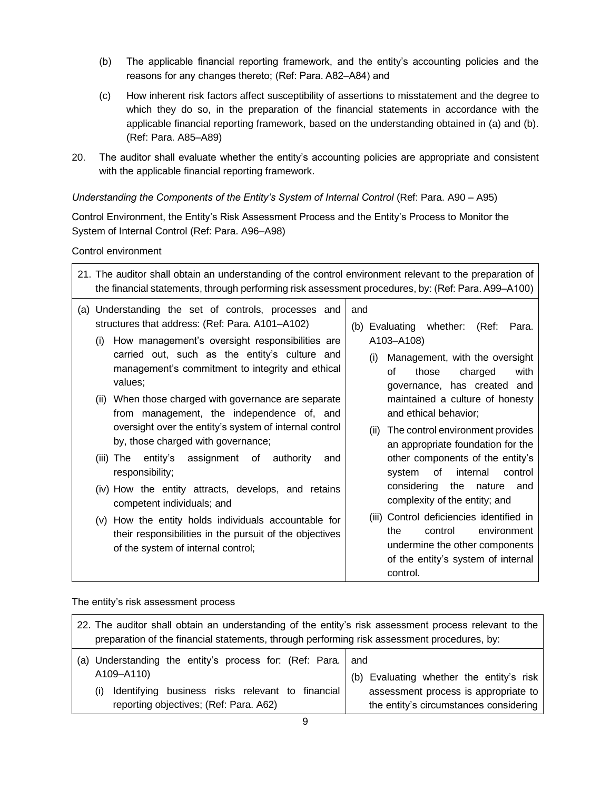- (b) The applicable financial reporting framework, and the entity's accounting policies and the reasons for any changes thereto; (Ref: Para. A82-A84) and
- (c) How inherent risk factors affect susceptibility of assertions to misstatement and the degree to which they do so, in the preparation of the financial statements in accordance with the applicable financial reporting framework, based on the understanding obtained in (a) and (b). (Ref: Para. A85‒A89)
- 20. The auditor shall evaluate whether the entity's accounting policies are appropriate and consistent with the applicable financial reporting framework.

## *Understanding the Components of the Entity's System of Internal Control* (Ref: Para. A90 – A95)

Control Environment, the Entity's Risk Assessment Process and the Entity's Process to Monitor the System of Internal Control (Ref: Para. A96-A98)

Control environment

| 21. The auditor shall obtain an understanding of the control environment relevant to the preparation of<br>the financial statements, through performing risk assessment procedures, by: (Ref: Para. A99-A100)                                                                                                                                                                                                                                                                                                                                                                                                                                                                                                                                                                                                            |                                                                                                                                                                                                                                                                                                                                                                                                                                                                                                                                                                                                                                  |  |
|--------------------------------------------------------------------------------------------------------------------------------------------------------------------------------------------------------------------------------------------------------------------------------------------------------------------------------------------------------------------------------------------------------------------------------------------------------------------------------------------------------------------------------------------------------------------------------------------------------------------------------------------------------------------------------------------------------------------------------------------------------------------------------------------------------------------------|----------------------------------------------------------------------------------------------------------------------------------------------------------------------------------------------------------------------------------------------------------------------------------------------------------------------------------------------------------------------------------------------------------------------------------------------------------------------------------------------------------------------------------------------------------------------------------------------------------------------------------|--|
| (a) Understanding the set of controls, processes and<br>structures that address: (Ref: Para. A101-A102)<br>How management's oversight responsibilities are<br>(i)<br>carried out, such as the entity's culture and<br>management's commitment to integrity and ethical<br>values;<br>When those charged with governance are separate<br>(ii)<br>from management, the independence of, and<br>oversight over the entity's system of internal control<br>by, those charged with governance;<br>assignment of authority<br>entity's<br>The<br>(iii)<br>and<br>responsibility;<br>(iv) How the entity attracts, develops, and retains<br>competent individuals; and<br>(v) How the entity holds individuals accountable for<br>their responsibilities in the pursuit of the objectives<br>of the system of internal control; | and<br>(b) Evaluating whether:<br>(Ref:<br>Para.<br>A103-A108)<br>Management, with the oversight<br>(i)<br>οf<br>those<br>charged<br>with<br>governance, has created and<br>maintained a culture of honesty<br>and ethical behavior;<br>The control environment provides<br>(ii)<br>an appropriate foundation for the<br>other components of the entity's<br>internal<br>0f<br>control<br>system<br>considering<br>the<br>nature<br>and<br>complexity of the entity; and<br>Control deficiencies identified in<br>(iii)<br>the<br>control<br>environment<br>undermine the other components<br>of the entity's system of internal |  |
|                                                                                                                                                                                                                                                                                                                                                                                                                                                                                                                                                                                                                                                                                                                                                                                                                          | control.                                                                                                                                                                                                                                                                                                                                                                                                                                                                                                                                                                                                                         |  |

The entity's risk assessment process

| 22. The auditor shall obtain an understanding of the entity's risk assessment process relevant to the<br>preparation of the financial statements, through performing risk assessment procedures, by: |                                                                                                                                   |
|------------------------------------------------------------------------------------------------------------------------------------------------------------------------------------------------------|-----------------------------------------------------------------------------------------------------------------------------------|
| (a) Understanding the entity's process for: (Ref: Para.  <br>A109-A110)<br>Identifying business risks relevant to financial<br>(i)<br>reporting objectives; (Ref: Para. A62)                         | and<br>(b) Evaluating whether the entity's risk<br>assessment process is appropriate to<br>the entity's circumstances considering |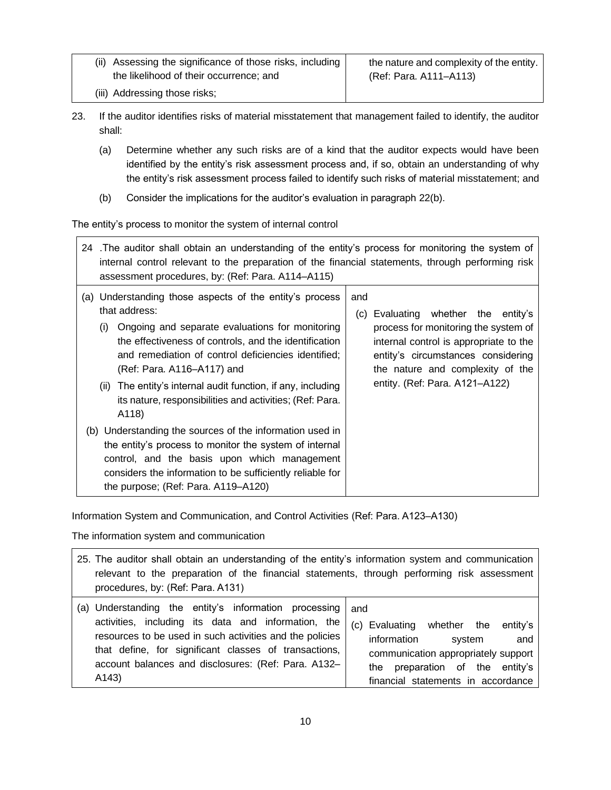| (ii) Assessing the significance of those risks, including | the nature and complexity of the entity. |
|-----------------------------------------------------------|------------------------------------------|
| the likelihood of their occurrence; and                   | (Ref: Para. A111–A113)                   |
| (iii) Addressing those risks;                             |                                          |

- 23. If the auditor identifies risks of material misstatement that management failed to identify, the auditor shall:
	- (a) Determine whether any such risks are of a kind that the auditor expects would have been identified by the entity's risk assessment process and, if so, obtain an understanding of why the entity's risk assessment process failed to identify such risks of material misstatement; and
	- (b) Consider the implications for the auditor's evaluation in paragraph 22(b).

The entity's process to monitor the system of internal control

| 24. The auditor shall obtain an understanding of the entity's process for monitoring the system of<br>internal control relevant to the preparation of the financial statements, through performing risk<br>assessment procedures, by: (Ref: Para. A114–A115)                                                                                                                                                                                                                                                                                                                                                                                                                                       |                                                                                                                                                                                                                                                |
|----------------------------------------------------------------------------------------------------------------------------------------------------------------------------------------------------------------------------------------------------------------------------------------------------------------------------------------------------------------------------------------------------------------------------------------------------------------------------------------------------------------------------------------------------------------------------------------------------------------------------------------------------------------------------------------------------|------------------------------------------------------------------------------------------------------------------------------------------------------------------------------------------------------------------------------------------------|
| (a) Understanding those aspects of the entity's process<br>that address:<br>Ongoing and separate evaluations for monitoring<br>(i)<br>the effectiveness of controls, and the identification<br>and remediation of control deficiencies identified;<br>(Ref: Para. A116-A117) and<br>The entity's internal audit function, if any, including<br>(ii)<br>its nature, responsibilities and activities; (Ref: Para.<br>A118)<br>(b) Understanding the sources of the information used in<br>the entity's process to monitor the system of internal<br>control, and the basis upon which management<br>considers the information to be sufficiently reliable for<br>the purpose; (Ref: Para. A119–A120) | and<br>Evaluating whether the<br>entity's<br>(C)<br>process for monitoring the system of<br>internal control is appropriate to the<br>entity's circumstances considering<br>the nature and complexity of the<br>entity. (Ref: Para. A121-A122) |

Information System and Communication, and Control Activities (Ref: Para. A123–A130)

The information system and communication

| 25. The auditor shall obtain an understanding of the entity's information system and communication<br>relevant to the preparation of the financial statements, through performing risk assessment<br>procedures, by: (Ref: Para. A131)                                                            |                                                                                                                                                                                                  |
|---------------------------------------------------------------------------------------------------------------------------------------------------------------------------------------------------------------------------------------------------------------------------------------------------|--------------------------------------------------------------------------------------------------------------------------------------------------------------------------------------------------|
| (a) Understanding the entity's information processing<br>activities, including its data and information, the<br>resources to be used in such activities and the policies<br>that define, for significant classes of transactions,<br>account balances and disclosures: (Ref: Para. A132-<br>A143) | and<br>(c) Evaluating whether the<br>entity's<br>information<br>and<br>system<br>communication appropriately support<br>preparation of the entity's<br>the<br>financial statements in accordance |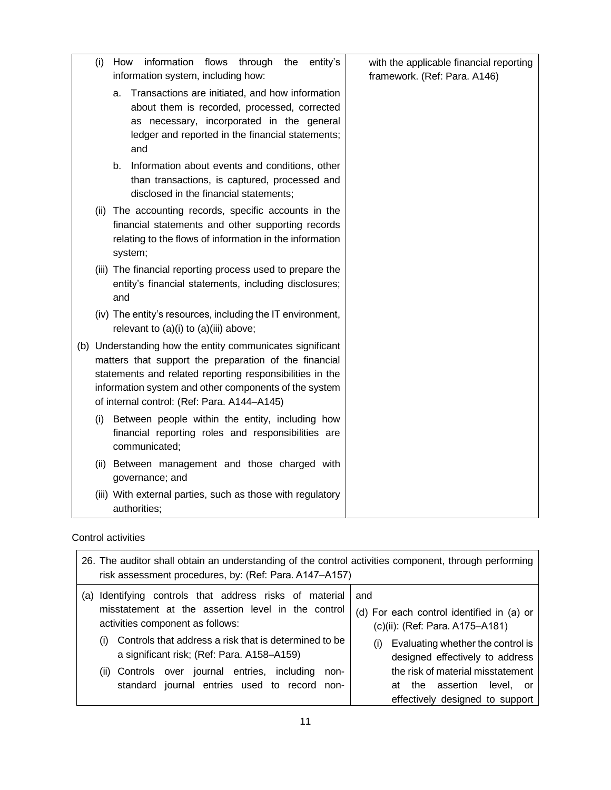| (i)  | information<br>flows<br>entity's<br>How<br>through<br>the<br>information system, including how:                                                                                                                                                                                        | with the applicable financial reporting<br>framework. (Ref: Para. A146) |
|------|----------------------------------------------------------------------------------------------------------------------------------------------------------------------------------------------------------------------------------------------------------------------------------------|-------------------------------------------------------------------------|
|      | Transactions are initiated, and how information<br>a.<br>about them is recorded, processed, corrected<br>as necessary, incorporated in the general<br>ledger and reported in the financial statements;<br>and                                                                          |                                                                         |
|      | b. Information about events and conditions, other<br>than transactions, is captured, processed and<br>disclosed in the financial statements;                                                                                                                                           |                                                                         |
| (ii) | The accounting records, specific accounts in the<br>financial statements and other supporting records<br>relating to the flows of information in the information<br>system;                                                                                                            |                                                                         |
|      | (iii) The financial reporting process used to prepare the<br>entity's financial statements, including disclosures;<br>and                                                                                                                                                              |                                                                         |
|      | (iv) The entity's resources, including the IT environment,<br>relevant to (a)(i) to (a)(iii) above;                                                                                                                                                                                    |                                                                         |
|      | (b) Understanding how the entity communicates significant<br>matters that support the preparation of the financial<br>statements and related reporting responsibilities in the<br>information system and other components of the system<br>of internal control: (Ref: Para. A144-A145) |                                                                         |
| (i)  | Between people within the entity, including how<br>financial reporting roles and responsibilities are<br>communicated;                                                                                                                                                                 |                                                                         |
|      | (ii) Between management and those charged with<br>governance; and                                                                                                                                                                                                                      |                                                                         |
|      | (iii) With external parties, such as those with regulatory<br>authorities;                                                                                                                                                                                                             |                                                                         |

## Control activities

|     | 26. The auditor shall obtain an understanding of the control activities component, through performing<br>risk assessment procedures, by: (Ref: Para. A147-A157)                                                                                                                                                                                                                  |                                                                                                                                                                                                                                                                                |
|-----|----------------------------------------------------------------------------------------------------------------------------------------------------------------------------------------------------------------------------------------------------------------------------------------------------------------------------------------------------------------------------------|--------------------------------------------------------------------------------------------------------------------------------------------------------------------------------------------------------------------------------------------------------------------------------|
| (a) | Identifying controls that address risks of material<br>misstatement at the assertion level in the control<br>activities component as follows:<br>Controls that address a risk that is determined to be<br>(i)<br>a significant risk; (Ref: Para. A158-A159)<br>journal entries,<br>including<br>Controls over<br>(ii)<br>non-<br>journal entries used to record non-<br>standard | and<br>(d) For each control identified in (a) or<br>(c)(ii): (Ref: Para. A175-A181)<br>Evaluating whether the control is<br>(i)<br>designed effectively to address<br>the risk of material misstatement<br>at the assertion<br>level.<br>or<br>effectively designed to support |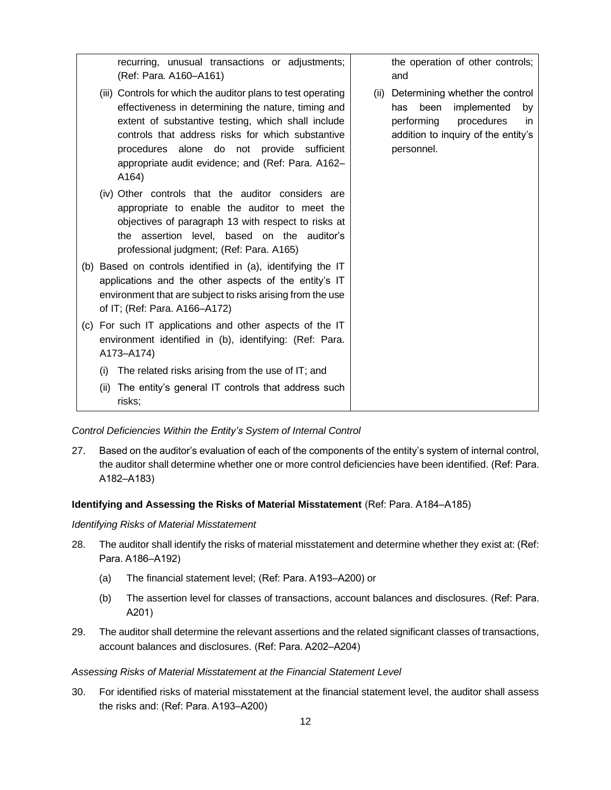| recurring, unusual transactions or adjustments;<br>(Ref: Para. A160-A161)                                                                                                                                                                                                                                                                  | the operation of other controls;<br>and                                                                                                                         |
|--------------------------------------------------------------------------------------------------------------------------------------------------------------------------------------------------------------------------------------------------------------------------------------------------------------------------------------------|-----------------------------------------------------------------------------------------------------------------------------------------------------------------|
| (iii) Controls for which the auditor plans to test operating<br>effectiveness in determining the nature, timing and<br>extent of substantive testing, which shall include<br>controls that address risks for which substantive<br>procedures alone do not provide sufficient<br>appropriate audit evidence; and (Ref: Para. A162-<br>A164) | (ii) Determining whether the control<br>implemented<br>been<br>has<br>by<br>performing<br>procedures<br>in<br>addition to inquiry of the entity's<br>personnel. |
| (iv) Other controls that the auditor considers are<br>appropriate to enable the auditor to meet the<br>objectives of paragraph 13 with respect to risks at<br>the assertion level, based on the auditor's<br>professional judgment; (Ref: Para. A165)                                                                                      |                                                                                                                                                                 |
| Based on controls identified in (a), identifying the IT<br>(b)<br>applications and the other aspects of the entity's IT<br>environment that are subject to risks arising from the use<br>of IT; (Ref: Para. A166-A172)                                                                                                                     |                                                                                                                                                                 |
| (c) For such IT applications and other aspects of the IT<br>environment identified in (b), identifying: (Ref: Para.<br>A173-A174)                                                                                                                                                                                                          |                                                                                                                                                                 |
| The related risks arising from the use of IT; and<br>(i)                                                                                                                                                                                                                                                                                   |                                                                                                                                                                 |
| The entity's general IT controls that address such<br>(ii)<br>risks;                                                                                                                                                                                                                                                                       |                                                                                                                                                                 |

#### *Control Deficiencies Within the Entity's System of Internal Control*

27. Based on the auditor's evaluation of each of the components of the entity's system of internal control, the auditor shall determine whether one or more control deficiencies have been identified. (Ref: Para. A182–A183)

#### **Identifying and Assessing the Risks of Material Misstatement** (Ref: Para. A184‒A185)

#### *Identifying Risks of Material Misstatement*

- 28. The auditor shall identify the risks of material misstatement and determine whether they exist at: (Ref: Para. A186–A192)
	- (a) The financial statement level; (Ref: Para. A193–A200) or
	- (b) The assertion level for classes of transactions, account balances and disclosures. (Ref: Para. A201)
- 29. The auditor shall determine the relevant assertions and the related significant classes of transactions, account balances and disclosures. (Ref: Para. A202–A204)

#### *Assessing Risks of Material Misstatement at the Financial Statement Level*

30. For identified risks of material misstatement at the financial statement level, the auditor shall assess the risks and: (Ref: Para. A193–A200)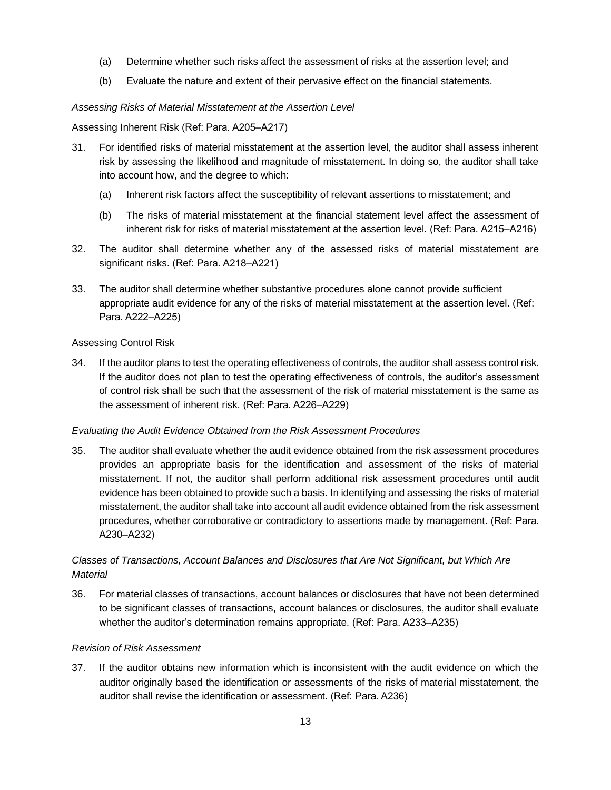- (a) Determine whether such risks affect the assessment of risks at the assertion level; and
- (b) Evaluate the nature and extent of their pervasive effect on the financial statements.

## *Assessing Risks of Material Misstatement at the Assertion Level*

## Assessing Inherent Risk (Ref: Para. A205–A217)

- 31. For identified risks of material misstatement at the assertion level, the auditor shall assess inherent risk by assessing the likelihood and magnitude of misstatement. In doing so, the auditor shall take into account how, and the degree to which:
	- (a) Inherent risk factors affect the susceptibility of relevant assertions to misstatement; and
	- (b) The risks of material misstatement at the financial statement level affect the assessment of inherent risk for risks of material misstatement at the assertion level. (Ref: Para. A215–A216)
- 32. The auditor shall determine whether any of the assessed risks of material misstatement are significant risks. (Ref: Para. A218–A221)
- 33. The auditor shall determine whether substantive procedures alone cannot provide sufficient appropriate audit evidence for any of the risks of material misstatement at the assertion level. (Ref: Para. A222–A225)

#### Assessing Control Risk

34. If the auditor plans to test the operating effectiveness of controls, the auditor shall assess control risk. If the auditor does not plan to test the operating effectiveness of controls, the auditor's assessment of control risk shall be such that the assessment of the risk of material misstatement is the same as the assessment of inherent risk. (Ref: Para. A226–A229)

#### *Evaluating the Audit Evidence Obtained from the Risk Assessment Procedures*

35. The auditor shall evaluate whether the audit evidence obtained from the risk assessment procedures provides an appropriate basis for the identification and assessment of the risks of material misstatement. If not, the auditor shall perform additional risk assessment procedures until audit evidence has been obtained to provide such a basis. In identifying and assessing the risks of material misstatement, the auditor shall take into account all audit evidence obtained from the risk assessment procedures, whether corroborative or contradictory to assertions made by management. (Ref: Para. A230–A232)

# *Classes of Transactions, Account Balances and Disclosures that Are Not Significant, but Which Are Material*

36. For material classes of transactions, account balances or disclosures that have not been determined to be significant classes of transactions, account balances or disclosures, the auditor shall evaluate whether the auditor's determination remains appropriate. (Ref: Para. A233–A235)

#### *Revision of Risk Assessment*

37. If the auditor obtains new information which is inconsistent with the audit evidence on which the auditor originally based the identification or assessments of the risks of material misstatement, the auditor shall revise the identification or assessment. (Ref: Para. A236)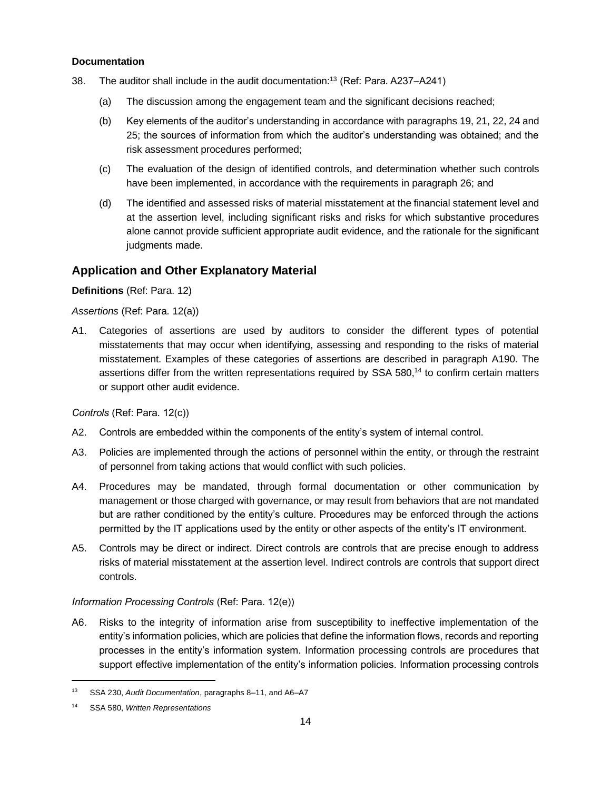#### **Documentation**

- 38. The auditor shall include in the audit documentation:<sup>13</sup> (Ref: Para. A237–A241)
	- (a) The discussion among the engagement team and the significant decisions reached;
	- (b) Key elements of the auditor's understanding in accordance with paragraphs 19, 21, 22, 24 and 25; the sources of information from which the auditor's understanding was obtained; and the risk assessment procedures performed;
	- (c) The evaluation of the design of identified controls, and determination whether such controls have been implemented, in accordance with the requirements in paragraph 26; and
	- (d) The identified and assessed risks of material misstatement at the financial statement level and at the assertion level, including significant risks and risks for which substantive procedures alone cannot provide sufficient appropriate audit evidence, and the rationale for the significant judgments made.

# <span id="page-13-0"></span>**Application and Other Explanatory Material**

## **Definitions** (Ref: Para. 12)

## *Assertions* (Ref: Para. 12(a))

A1. Categories of assertions are used by auditors to consider the different types of potential misstatements that may occur when identifying, assessing and responding to the risks of material misstatement. Examples of these categories of assertions are described in paragraph A190. The assertions differ from the written representations required by SSA 580,<sup>14</sup> to confirm certain matters or support other audit evidence.

*Controls* (Ref: Para. 12(c))

- A2. Controls are embedded within the components of the entity's system of internal control.
- A3. Policies are implemented through the actions of personnel within the entity, or through the restraint of personnel from taking actions that would conflict with such policies.
- A4. Procedures may be mandated, through formal documentation or other communication by management or those charged with governance, or may result from behaviors that are not mandated but are rather conditioned by the entity's culture. Procedures may be enforced through the actions permitted by the IT applications used by the entity or other aspects of the entity's IT environment.
- A5. Controls may be direct or indirect. Direct controls are controls that are precise enough to address risks of material misstatement at the assertion level. Indirect controls are controls that support direct controls.

#### *Information Processing Controls* (Ref: Para. 12(e))

A6. Risks to the integrity of information arise from susceptibility to ineffective implementation of the entity's information policies, which are policies that define the information flows, records and reporting processes in the entity's information system. Information processing controls are procedures that support effective implementation of the entity's information policies. Information processing controls

<sup>13</sup> SSA 230, *Audit Documentation*, paragraphs 8–11, and A6–A7

<sup>14</sup> SSA 580, *Written Representations*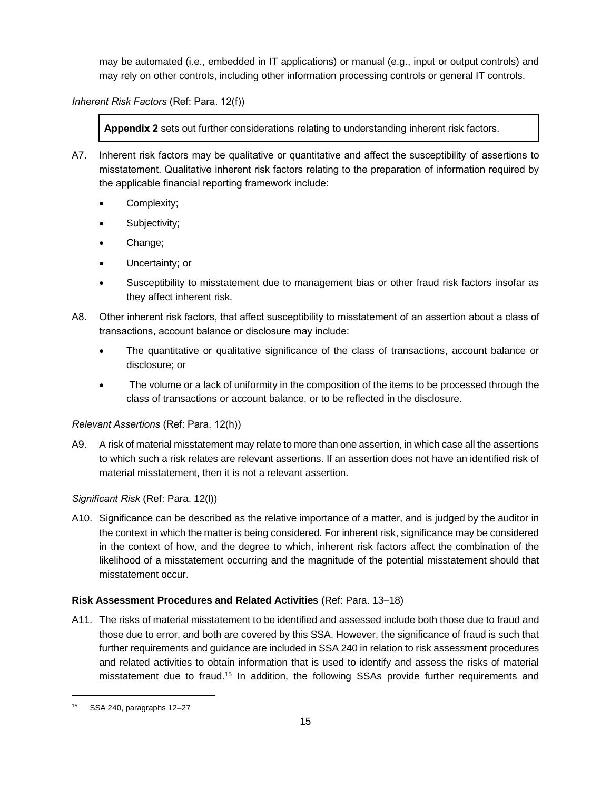may be automated (i.e., embedded in IT applications) or manual (e.g., input or output controls) and may rely on other controls, including other information processing controls or general IT controls.

# *Inherent Risk Factors* (Ref: Para. 12(f))

**Appendix 2** sets out further considerations relating to understanding inherent risk factors.

- A7. Inherent risk factors may be qualitative or quantitative and affect the susceptibility of assertions to misstatement. Qualitative inherent risk factors relating to the preparation of information required by the applicable financial reporting framework include:
	- Complexity;
	- Subjectivity;
	- Change;
	- Uncertainty; or
	- Susceptibility to misstatement due to management bias or other fraud risk factors insofar as they affect inherent risk.
- A8. Other inherent risk factors, that affect susceptibility to misstatement of an assertion about a class of transactions, account balance or disclosure may include:
	- The quantitative or qualitative significance of the class of transactions, account balance or disclosure; or
	- The volume or a lack of uniformity in the composition of the items to be processed through the class of transactions or account balance, or to be reflected in the disclosure.

## *Relevant Assertions* (Ref: Para. 12(h))

A9. A risk of material misstatement may relate to more than one assertion, in which case all the assertions to which such a risk relates are relevant assertions. If an assertion does not have an identified risk of material misstatement, then it is not a relevant assertion.

## *Significant Risk* (Ref: Para. 12(l))

A10. Significance can be described as the relative importance of a matter, and is judged by the auditor in the context in which the matter is being considered. For inherent risk, significance may be considered in the context of how, and the degree to which, inherent risk factors affect the combination of the likelihood of a misstatement occurring and the magnitude of the potential misstatement should that misstatement occur.

## **Risk Assessment Procedures and Related Activities** (Ref: Para. 13–18)

A11. The risks of material misstatement to be identified and assessed include both those due to fraud and those due to error, and both are covered by this SSA. However, the significance of fraud is such that further requirements and guidance are included in SSA 240 in relation to risk assessment procedures and related activities to obtain information that is used to identify and assess the risks of material misstatement due to fraud.<sup>15</sup> In addition, the following SSAs provide further requirements and

<sup>15</sup> SSA 240, paragraphs 12–27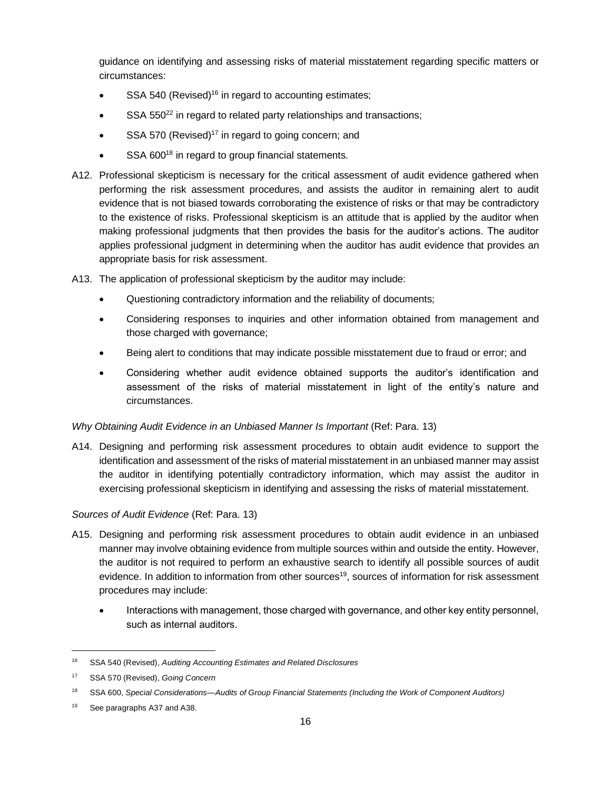guidance on identifying and assessing risks of material misstatement regarding specific matters or circumstances:

- SSA 540 (Revised)<sup>16</sup> in regard to accounting estimates;
- SSA 550<sup>22</sup> in regard to related party relationships and transactions;
- SSA 570 (Revised) $17$  in regard to going concern; and
- SSA 600<sup>18</sup> in regard to group financial statements.
- A12. Professional skepticism is necessary for the critical assessment of audit evidence gathered when performing the risk assessment procedures, and assists the auditor in remaining alert to audit evidence that is not biased towards corroborating the existence of risks or that may be contradictory to the existence of risks. Professional skepticism is an attitude that is applied by the auditor when making professional judgments that then provides the basis for the auditor's actions. The auditor applies professional judgment in determining when the auditor has audit evidence that provides an appropriate basis for risk assessment.
- A13. The application of professional skepticism by the auditor may include:
	- Questioning contradictory information and the reliability of documents;
	- Considering responses to inquiries and other information obtained from management and those charged with governance;
	- Being alert to conditions that may indicate possible misstatement due to fraud or error; and
	- Considering whether audit evidence obtained supports the auditor's identification and assessment of the risks of material misstatement in light of the entity's nature and circumstances.

## *Why Obtaining Audit Evidence in an Unbiased Manner Is Important (Ref: Para. 13)*

A14. Designing and performing risk assessment procedures to obtain audit evidence to support the identification and assessment of the risks of material misstatement in an unbiased manner may assist the auditor in identifying potentially contradictory information, which may assist the auditor in exercising professional skepticism in identifying and assessing the risks of material misstatement.

## *Sources of Audit Evidence* (Ref: Para. 13)

- A15. Designing and performing risk assessment procedures to obtain audit evidence in an unbiased manner may involve obtaining evidence from multiple sources within and outside the entity. However, the auditor is not required to perform an exhaustive search to identify all possible sources of audit evidence. In addition to information from other sources<sup>19</sup>, sources of information for risk assessment procedures may include:
	- Interactions with management, those charged with governance, and other key entity personnel, such as internal auditors.

<sup>16</sup> SSA 540 (Revised), *Auditing Accounting Estimates and Related Disclosures*

<sup>17</sup> SSA 570 (Revised), *Going Concern*

<sup>18</sup> SSA 600, *Special Considerations—Audits of Group Financial Statements (Including the Work of Component Auditors)*

<sup>19</sup> See paragraphs A37 and A38.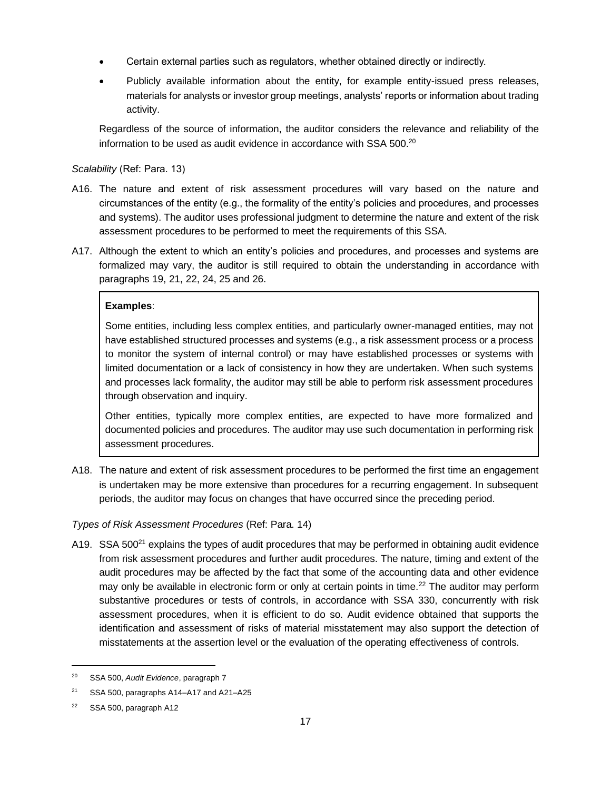- Certain external parties such as regulators, whether obtained directly or indirectly.
- Publicly available information about the entity, for example entity-issued press releases, materials for analysts or investor group meetings, analysts' reports or information about trading activity.

Regardless of the source of information, the auditor considers the relevance and reliability of the information to be used as audit evidence in accordance with SSA 500.<sup>20</sup>

*Scalability* (Ref: Para. 13)

- A16. The nature and extent of risk assessment procedures will vary based on the nature and circumstances of the entity (e.g., the formality of the entity's policies and procedures, and processes and systems). The auditor uses professional judgment to determine the nature and extent of the risk assessment procedures to be performed to meet the requirements of this SSA.
- A17. Although the extent to which an entity's policies and procedures, and processes and systems are formalized may vary, the auditor is still required to obtain the understanding in accordance with paragraphs 19, 21, 22, 24, 25 and 26.

# **Examples**:

Some entities, including less complex entities, and particularly owner-managed entities, may not have established structured processes and systems (e.g., a risk assessment process or a process to monitor the system of internal control) or may have established processes or systems with limited documentation or a lack of consistency in how they are undertaken. When such systems and processes lack formality, the auditor may still be able to perform risk assessment procedures through observation and inquiry.

Other entities, typically more complex entities, are expected to have more formalized and documented policies and procedures. The auditor may use such documentation in performing risk assessment procedures.

A18. The nature and extent of risk assessment procedures to be performed the first time an engagement is undertaken may be more extensive than procedures for a recurring engagement. In subsequent periods, the auditor may focus on changes that have occurred since the preceding period.

# *Types of Risk Assessment Procedures* (Ref: Para. 14)

A19. SSA  $500^{21}$  explains the types of audit procedures that may be performed in obtaining audit evidence from risk assessment procedures and further audit procedures. The nature, timing and extent of the audit procedures may be affected by the fact that some of the accounting data and other evidence may only be available in electronic form or only at certain points in time.<sup>22</sup> The auditor may perform substantive procedures or tests of controls, in accordance with SSA 330, concurrently with risk assessment procedures, when it is efficient to do so. Audit evidence obtained that supports the identification and assessment of risks of material misstatement may also support the detection of misstatements at the assertion level or the evaluation of the operating effectiveness of controls.

<sup>20</sup> SSA 500, *Audit Evidence*, paragraph 7

<sup>21</sup> SSA 500, paragraphs A14–A17 and A21–A25

<sup>22</sup> SSA 500, paragraph A12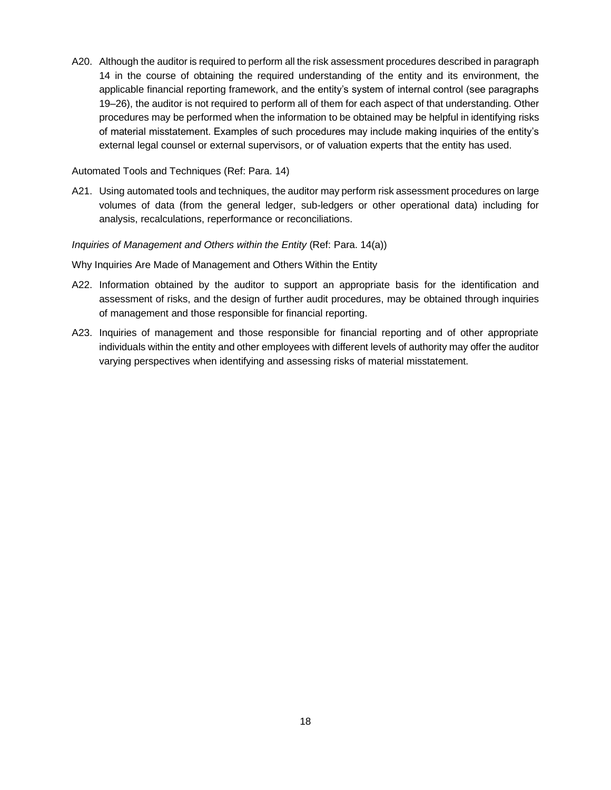A20. Although the auditor is required to perform all the risk assessment procedures described in paragraph 14 in the course of obtaining the required understanding of the entity and its environment, the applicable financial reporting framework, and the entity's system of internal control (see paragraphs 19–26), the auditor is not required to perform all of them for each aspect of that understanding. Other procedures may be performed when the information to be obtained may be helpful in identifying risks of material misstatement. Examples of such procedures may include making inquiries of the entity's external legal counsel or external supervisors, or of valuation experts that the entity has used.

Automated Tools and Techniques (Ref: Para. 14)

A21. Using automated tools and techniques, the auditor may perform risk assessment procedures on large volumes of data (from the general ledger, sub-ledgers or other operational data) including for analysis, recalculations, reperformance or reconciliations.

*Inquiries of Management and Others within the Entity* (Ref: Para. 14(a))

Why Inquiries Are Made of Management and Others Within the Entity

- A22. Information obtained by the auditor to support an appropriate basis for the identification and assessment of risks, and the design of further audit procedures, may be obtained through inquiries of management and those responsible for financial reporting.
- A23. Inquiries of management and those responsible for financial reporting and of other appropriate individuals within the entity and other employees with different levels of authority may offer the auditor varying perspectives when identifying and assessing risks of material misstatement.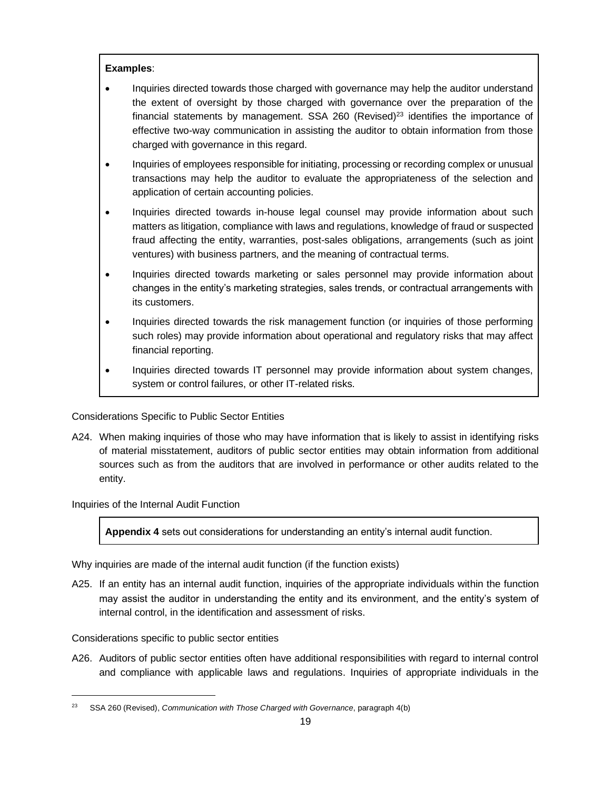## **Examples**:

- Inquiries directed towards those charged with governance may help the auditor understand the extent of oversight by those charged with governance over the preparation of the financial statements by management. SSA 260 (Revised)<sup>23</sup> identifies the importance of effective two-way communication in assisting the auditor to obtain information from those charged with governance in this regard.
- Inquiries of employees responsible for initiating, processing or recording complex or unusual transactions may help the auditor to evaluate the appropriateness of the selection and application of certain accounting policies.
- Inquiries directed towards in-house legal counsel may provide information about such matters as litigation, compliance with laws and regulations, knowledge of fraud or suspected fraud affecting the entity, warranties, post-sales obligations, arrangements (such as joint ventures) with business partners, and the meaning of contractual terms.
- Inquiries directed towards marketing or sales personnel may provide information about changes in the entity's marketing strategies, sales trends, or contractual arrangements with its customers.
- Inquiries directed towards the risk management function (or inquiries of those performing such roles) may provide information about operational and regulatory risks that may affect financial reporting.
- Inquiries directed towards IT personnel may provide information about system changes, system or control failures, or other IT-related risks.

Considerations Specific to Public Sector Entities

A24. When making inquiries of those who may have information that is likely to assist in identifying risks of material misstatement, auditors of public sector entities may obtain information from additional sources such as from the auditors that are involved in performance or other audits related to the entity.

Inquiries of the Internal Audit Function

**Appendix 4** sets out considerations for understanding an entity's internal audit function.

Why inquiries are made of the internal audit function (if the function exists)

A25. If an entity has an internal audit function, inquiries of the appropriate individuals within the function may assist the auditor in understanding the entity and its environment, and the entity's system of internal control, in the identification and assessment of risks.

Considerations specific to public sector entities

A26. Auditors of public sector entities often have additional responsibilities with regard to internal control and compliance with applicable laws and regulations. Inquiries of appropriate individuals in the

<sup>23</sup> SSA 260 (Revised), *Communication with Those Charged with Governance*, paragraph 4(b)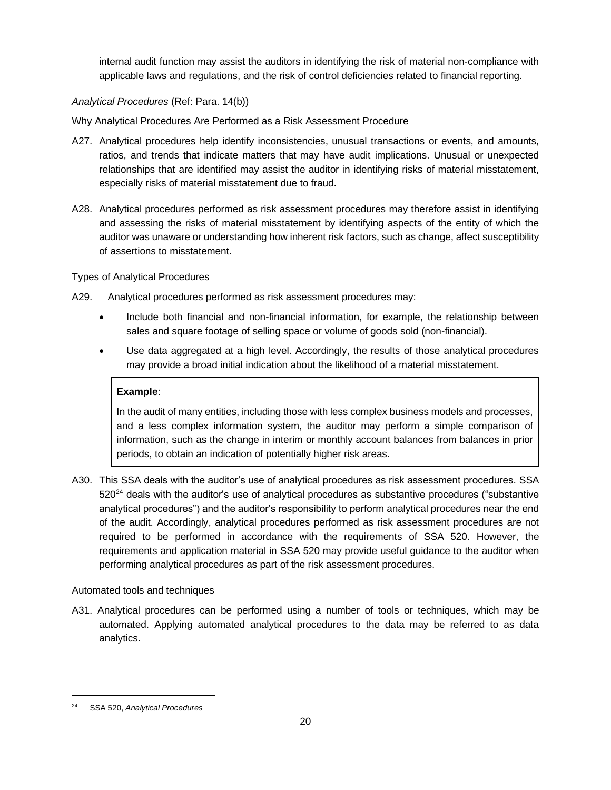internal audit function may assist the auditors in identifying the risk of material non-compliance with applicable laws and regulations, and the risk of control deficiencies related to financial reporting.

# *Analytical Procedures* (Ref: Para. 14(b))

Why Analytical Procedures Are Performed as a Risk Assessment Procedure

- A27. Analytical procedures help identify inconsistencies, unusual transactions or events, and amounts, ratios, and trends that indicate matters that may have audit implications. Unusual or unexpected relationships that are identified may assist the auditor in identifying risks of material misstatement, especially risks of material misstatement due to fraud.
- A28. Analytical procedures performed as risk assessment procedures may therefore assist in identifying and assessing the risks of material misstatement by identifying aspects of the entity of which the auditor was unaware or understanding how inherent risk factors, such as change, affect susceptibility of assertions to misstatement.

# Types of Analytical Procedures

A29. Analytical procedures performed as risk assessment procedures may:

- Include both financial and non-financial information, for example, the relationship between sales and square footage of selling space or volume of goods sold (non-financial).
- Use data aggregated at a high level. Accordingly, the results of those analytical procedures may provide a broad initial indication about the likelihood of a material misstatement.

# **Example**:

In the audit of many entities, including those with less complex business models and processes, and a less complex information system, the auditor may perform a simple comparison of information, such as the change in interim or monthly account balances from balances in prior periods, to obtain an indication of potentially higher risk areas.

A30. This SSA deals with the auditor's use of analytical procedures as risk assessment procedures. SSA 520<sup>24</sup> deals with the auditor's use of analytical procedures as substantive procedures ("substantive analytical procedures") and the auditor's responsibility to perform analytical procedures near the end of the audit. Accordingly, analytical procedures performed as risk assessment procedures are not required to be performed in accordance with the requirements of SSA 520. However, the requirements and application material in SSA 520 may provide useful guidance to the auditor when performing analytical procedures as part of the risk assessment procedures.

## Automated tools and techniques

A31. Analytical procedures can be performed using a number of tools or techniques, which may be automated. Applying automated analytical procedures to the data may be referred to as data analytics.

<sup>24</sup> SSA 520, *Analytical Procedures*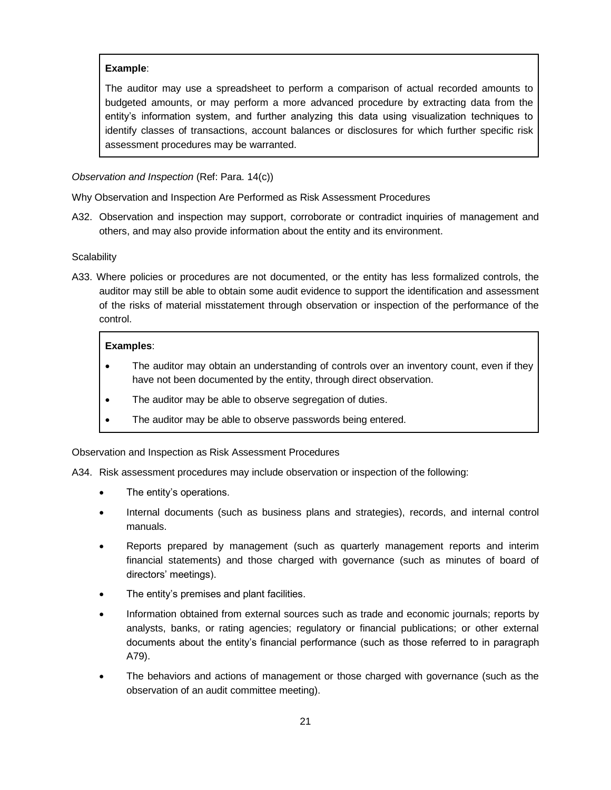## **Example**:

The auditor may use a spreadsheet to perform a comparison of actual recorded amounts to budgeted amounts, or may perform a more advanced procedure by extracting data from the entity's information system, and further analyzing this data using visualization techniques to identify classes of transactions, account balances or disclosures for which further specific risk assessment procedures may be warranted.

*Observation and Inspection* (Ref: Para. 14(c))

Why Observation and Inspection Are Performed as Risk Assessment Procedures

A32. Observation and inspection may support, corroborate or contradict inquiries of management and others, and may also provide information about the entity and its environment.

## **Scalability**

A33. Where policies or procedures are not documented, or the entity has less formalized controls, the auditor may still be able to obtain some audit evidence to support the identification and assessment of the risks of material misstatement through observation or inspection of the performance of the control.

#### **Examples**:

- The auditor may obtain an understanding of controls over an inventory count, even if they have not been documented by the entity, through direct observation.
- The auditor may be able to observe segregation of duties.
- The auditor may be able to observe passwords being entered.

Observation and Inspection as Risk Assessment Procedures

A34. Risk assessment procedures may include observation or inspection of the following:

- The entity's operations.
- Internal documents (such as business plans and strategies), records, and internal control manuals.
- Reports prepared by management (such as quarterly management reports and interim financial statements) and those charged with governance (such as minutes of board of directors' meetings).
- The entity's premises and plant facilities.
- Information obtained from external sources such as trade and economic journals; reports by analysts, banks, or rating agencies; regulatory or financial publications; or other external documents about the entity's financial performance (such as those referred to in paragraph A79).
- The behaviors and actions of management or those charged with governance (such as the observation of an audit committee meeting).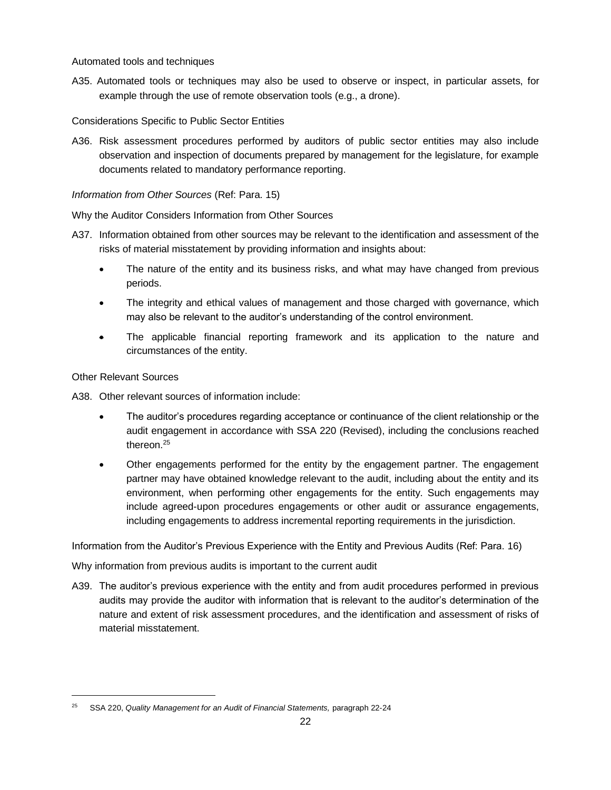Automated tools and techniques

A35. Automated tools or techniques may also be used to observe or inspect, in particular assets, for example through the use of remote observation tools (e.g., a drone).

Considerations Specific to Public Sector Entities

A36. Risk assessment procedures performed by auditors of public sector entities may also include observation and inspection of documents prepared by management for the legislature, for example documents related to mandatory performance reporting.

## *Information from Other Sources* (Ref: Para. 15)

Why the Auditor Considers Information from Other Sources

- A37. Information obtained from other sources may be relevant to the identification and assessment of the risks of material misstatement by providing information and insights about:
	- The nature of the entity and its business risks, and what may have changed from previous periods.
	- The integrity and ethical values of management and those charged with governance, which may also be relevant to the auditor's understanding of the control environment.
	- The applicable financial reporting framework and its application to the nature and circumstances of the entity.

## Other Relevant Sources

A38. Other relevant sources of information include:

- The auditor's procedures regarding acceptance or continuance of the client relationship or the audit engagement in accordance with SSA 220 (Revised), including the conclusions reached thereon. 25
- Other engagements performed for the entity by the engagement partner. The engagement partner may have obtained knowledge relevant to the audit, including about the entity and its environment, when performing other engagements for the entity. Such engagements may include agreed-upon procedures engagements or other audit or assurance engagements, including engagements to address incremental reporting requirements in the jurisdiction.

Information from the Auditor's Previous Experience with the Entity and Previous Audits (Ref: Para. 16)

Why information from previous audits is important to the current audit

A39. The auditor's previous experience with the entity and from audit procedures performed in previous audits may provide the auditor with information that is relevant to the auditor's determination of the nature and extent of risk assessment procedures, and the identification and assessment of risks of material misstatement.

<sup>25</sup> SSA 220, *Quality Management for an Audit of Financial Statements,* paragraph 22-24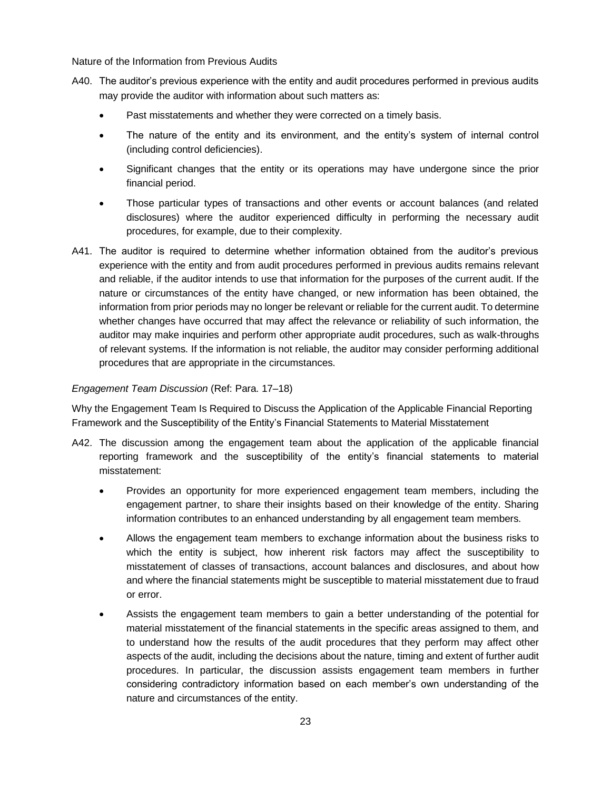Nature of the Information from Previous Audits

- A40. The auditor's previous experience with the entity and audit procedures performed in previous audits may provide the auditor with information about such matters as:
	- Past misstatements and whether they were corrected on a timely basis.
	- The nature of the entity and its environment, and the entity's system of internal control (including control deficiencies).
	- Significant changes that the entity or its operations may have undergone since the prior financial period.
	- Those particular types of transactions and other events or account balances (and related disclosures) where the auditor experienced difficulty in performing the necessary audit procedures, for example, due to their complexity.
- A41. The auditor is required to determine whether information obtained from the auditor's previous experience with the entity and from audit procedures performed in previous audits remains relevant and reliable, if the auditor intends to use that information for the purposes of the current audit. If the nature or circumstances of the entity have changed, or new information has been obtained, the information from prior periods may no longer be relevant or reliable for the current audit. To determine whether changes have occurred that may affect the relevance or reliability of such information, the auditor may make inquiries and perform other appropriate audit procedures, such as walk-throughs of relevant systems. If the information is not reliable, the auditor may consider performing additional procedures that are appropriate in the circumstances.

#### *Engagement Team Discussion* (Ref: Para. 17–18)

Why the Engagement Team Is Required to Discuss the Application of the Applicable Financial Reporting Framework and the Susceptibility of the Entity's Financial Statements to Material Misstatement

- A42. The discussion among the engagement team about the application of the applicable financial reporting framework and the susceptibility of the entity's financial statements to material misstatement:
	- Provides an opportunity for more experienced engagement team members, including the engagement partner, to share their insights based on their knowledge of the entity. Sharing information contributes to an enhanced understanding by all engagement team members.
	- Allows the engagement team members to exchange information about the business risks to which the entity is subject, how inherent risk factors may affect the susceptibility to misstatement of classes of transactions, account balances and disclosures, and about how and where the financial statements might be susceptible to material misstatement due to fraud or error.
	- Assists the engagement team members to gain a better understanding of the potential for material misstatement of the financial statements in the specific areas assigned to them, and to understand how the results of the audit procedures that they perform may affect other aspects of the audit, including the decisions about the nature, timing and extent of further audit procedures. In particular, the discussion assists engagement team members in further considering contradictory information based on each member's own understanding of the nature and circumstances of the entity.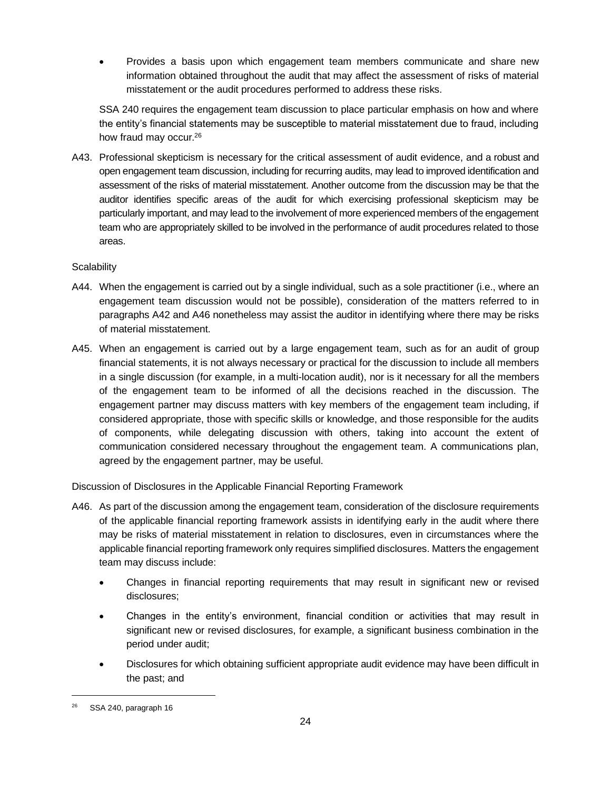• Provides a basis upon which engagement team members communicate and share new information obtained throughout the audit that may affect the assessment of risks of material misstatement or the audit procedures performed to address these risks.

SSA 240 requires the engagement team discussion to place particular emphasis on how and where the entity's financial statements may be susceptible to material misstatement due to fraud, including how fraud may occur.<sup>26</sup>

A43. Professional skepticism is necessary for the critical assessment of audit evidence, and a robust and open engagement team discussion, including for recurring audits, may lead to improved identification and assessment of the risks of material misstatement. Another outcome from the discussion may be that the auditor identifies specific areas of the audit for which exercising professional skepticism may be particularly important, and may lead to the involvement of more experienced members of the engagement team who are appropriately skilled to be involved in the performance of audit procedures related to those areas.

## **Scalability**

- A44. When the engagement is carried out by a single individual, such as a sole practitioner (i.e., where an engagement team discussion would not be possible), consideration of the matters referred to in paragraphs A42 and A46 nonetheless may assist the auditor in identifying where there may be risks of material misstatement.
- A45. When an engagement is carried out by a large engagement team, such as for an audit of group financial statements, it is not always necessary or practical for the discussion to include all members in a single discussion (for example, in a multi-location audit), nor is it necessary for all the members of the engagement team to be informed of all the decisions reached in the discussion. The engagement partner may discuss matters with key members of the engagement team including, if considered appropriate, those with specific skills or knowledge, and those responsible for the audits of components, while delegating discussion with others, taking into account the extent of communication considered necessary throughout the engagement team. A communications plan, agreed by the engagement partner, may be useful.

Discussion of Disclosures in the Applicable Financial Reporting Framework

- A46. As part of the discussion among the engagement team, consideration of the disclosure requirements of the applicable financial reporting framework assists in identifying early in the audit where there may be risks of material misstatement in relation to disclosures, even in circumstances where the applicable financial reporting framework only requires simplified disclosures. Matters the engagement team may discuss include:
	- Changes in financial reporting requirements that may result in significant new or revised disclosures;
	- Changes in the entity's environment, financial condition or activities that may result in significant new or revised disclosures, for example, a significant business combination in the period under audit;
	- Disclosures for which obtaining sufficient appropriate audit evidence may have been difficult in the past; and

SSA 240, paragraph 16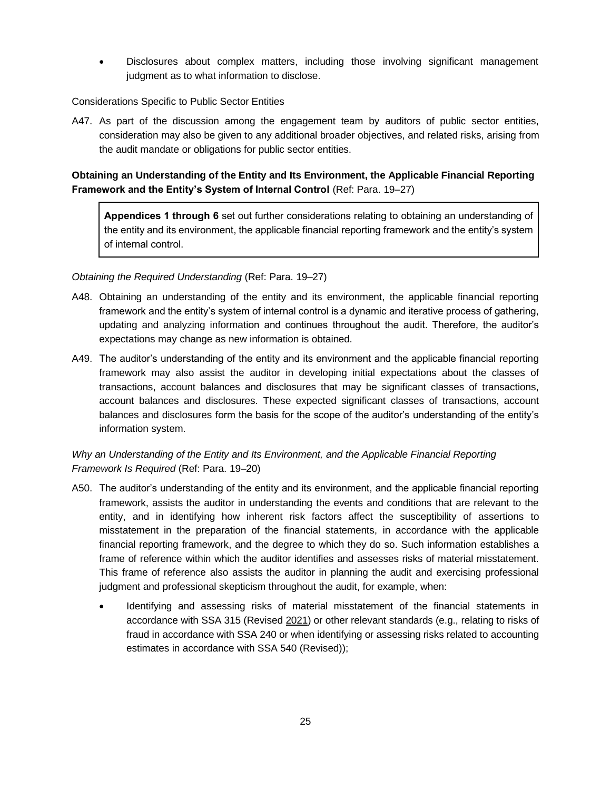• Disclosures about complex matters, including those involving significant management judgment as to what information to disclose.

## Considerations Specific to Public Sector Entities

A47. As part of the discussion among the engagement team by auditors of public sector entities, consideration may also be given to any additional broader objectives, and related risks, arising from the audit mandate or obligations for public sector entities.

# **Obtaining an Understanding of the Entity and Its Environment, the Applicable Financial Reporting Framework and the Entity's System of Internal Control (Ref: Para. 19–27)**

**Appendices 1 through 6** set out further considerations relating to obtaining an understanding of the entity and its environment, the applicable financial reporting framework and the entity's system of internal control.

## *Obtaining the Required Understanding (Ref: Para. 19–27)*

- A48. Obtaining an understanding of the entity and its environment, the applicable financial reporting framework and the entity's system of internal control is a dynamic and iterative process of gathering, updating and analyzing information and continues throughout the audit. Therefore, the auditor's expectations may change as new information is obtained.
- A49. The auditor's understanding of the entity and its environment and the applicable financial reporting framework may also assist the auditor in developing initial expectations about the classes of transactions, account balances and disclosures that may be significant classes of transactions, account balances and disclosures. These expected significant classes of transactions, account balances and disclosures form the basis for the scope of the auditor's understanding of the entity's information system.

# *Why an Understanding of the Entity and Its Environment, and the Applicable Financial Reporting Framework Is Required* (Ref: Para. 19–20)

- A50. The auditor's understanding of the entity and its environment, and the applicable financial reporting framework, assists the auditor in understanding the events and conditions that are relevant to the entity, and in identifying how inherent risk factors affect the susceptibility of assertions to misstatement in the preparation of the financial statements, in accordance with the applicable financial reporting framework, and the degree to which they do so. Such information establishes a frame of reference within which the auditor identifies and assesses risks of material misstatement. This frame of reference also assists the auditor in planning the audit and exercising professional judgment and professional skepticism throughout the audit, for example, when:
	- Identifying and assessing risks of material misstatement of the financial statements in accordance with SSA 315 (Revised 2021) or other relevant standards (e.g., relating to risks of fraud in accordance with SSA 240 or when identifying or assessing risks related to accounting estimates in accordance with SSA 540 (Revised));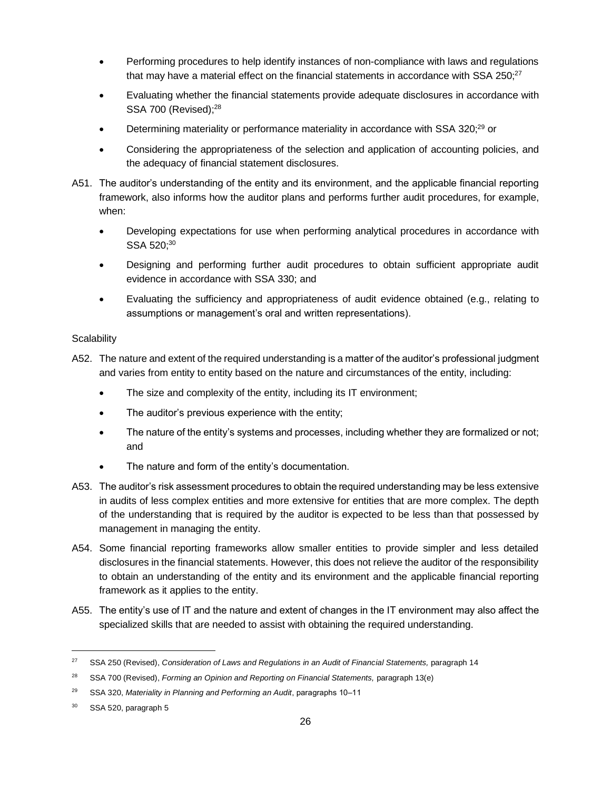- Performing procedures to help identify instances of non-compliance with laws and regulations that may have a material effect on the financial statements in accordance with SSA 250;<sup>27</sup>
- Evaluating whether the financial statements provide adequate disclosures in accordance with SSA 700 (Revised);<sup>28</sup>
- Determining materiality or performance materiality in accordance with SSA 320;<sup>29</sup> or
- Considering the appropriateness of the selection and application of accounting policies, and the adequacy of financial statement disclosures.
- A51. The auditor's understanding of the entity and its environment, and the applicable financial reporting framework, also informs how the auditor plans and performs further audit procedures, for example, when:
	- Developing expectations for use when performing analytical procedures in accordance with SSA 520;<sup>30</sup>
	- Designing and performing further audit procedures to obtain sufficient appropriate audit evidence in accordance with SSA 330; and
	- Evaluating the sufficiency and appropriateness of audit evidence obtained (e.g., relating to assumptions or management's oral and written representations).

## **Scalability**

A52. The nature and extent of the required understanding is a matter of the auditor's professional judgment and varies from entity to entity based on the nature and circumstances of the entity, including:

- The size and complexity of the entity, including its IT environment;
- The auditor's previous experience with the entity;
- The nature of the entity's systems and processes, including whether they are formalized or not; and
- The nature and form of the entity's documentation.
- A53. The auditor's risk assessment procedures to obtain the required understanding may be less extensive in audits of less complex entities and more extensive for entities that are more complex. The depth of the understanding that is required by the auditor is expected to be less than that possessed by management in managing the entity.
- A54. Some financial reporting frameworks allow smaller entities to provide simpler and less detailed disclosures in the financial statements. However, this does not relieve the auditor of the responsibility to obtain an understanding of the entity and its environment and the applicable financial reporting framework as it applies to the entity.
- A55. The entity's use of IT and the nature and extent of changes in the IT environment may also affect the specialized skills that are needed to assist with obtaining the required understanding.

<sup>27</sup> SSA 250 (Revised), *Consideration of Laws and Regulations in an Audit of Financial Statements,* paragraph 14

<sup>&</sup>lt;sup>28</sup> SSA 700 (Revised), *Forming an Opinion and Reporting on Financial Statements, paragraph 13(e)* 

<sup>&</sup>lt;sup>29</sup> SSA 320, Materiality in Planning and Performing an Audit, paragraphs 10–11

<sup>30</sup> SSA 520, paragraph 5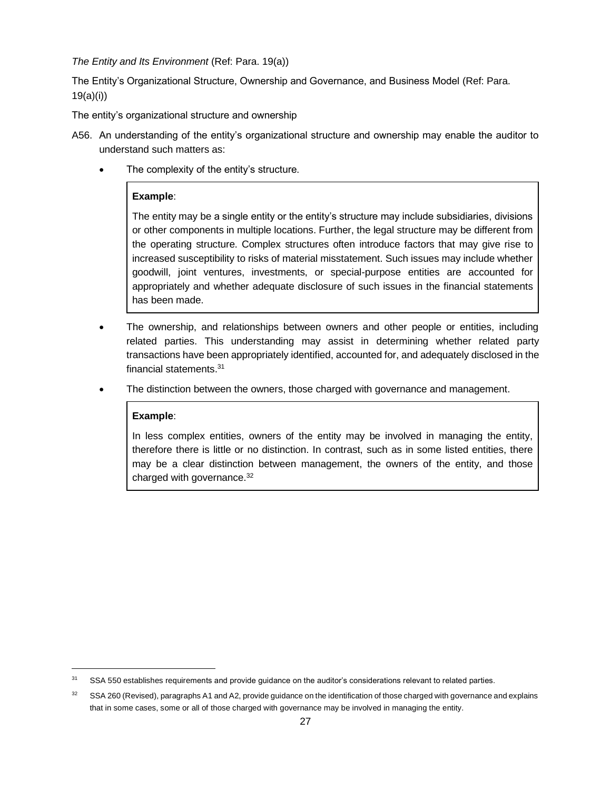*The Entity and Its Environment* (Ref: Para. 19(a))

The Entity's Organizational Structure, Ownership and Governance, and Business Model (Ref: Para. 19(a)(i))

The entity's organizational structure and ownership

- A56. An understanding of the entity's organizational structure and ownership may enable the auditor to understand such matters as:
	- The complexity of the entity's structure.

## **Example**:

The entity may be a single entity or the entity's structure may include subsidiaries, divisions or other components in multiple locations. Further, the legal structure may be different from the operating structure. Complex structures often introduce factors that may give rise to increased susceptibility to risks of material misstatement. Such issues may include whether goodwill, joint ventures, investments, or special-purpose entities are accounted for appropriately and whether adequate disclosure of such issues in the financial statements has been made.

• The ownership, and relationships between owners and other people or entities, including related parties. This understanding may assist in determining whether related party transactions have been appropriately identified, accounted for, and adequately disclosed in the financial statements.<sup>31</sup>

• The distinction between the owners, those charged with governance and management.

## **Example**:

In less complex entities, owners of the entity may be involved in managing the entity, therefore there is little or no distinction. In contrast, such as in some listed entities, there may be a clear distinction between management, the owners of the entity, and those charged with governance.<sup>32</sup>

<sup>&</sup>lt;sup>31</sup> SSA 550 establishes requirements and provide guidance on the auditor's considerations relevant to related parties.

<sup>&</sup>lt;sup>32</sup> SSA 260 (Revised), paragraphs A1 and A2, provide guidance on the identification of those charged with governance and explains that in some cases, some or all of those charged with governance may be involved in managing the entity.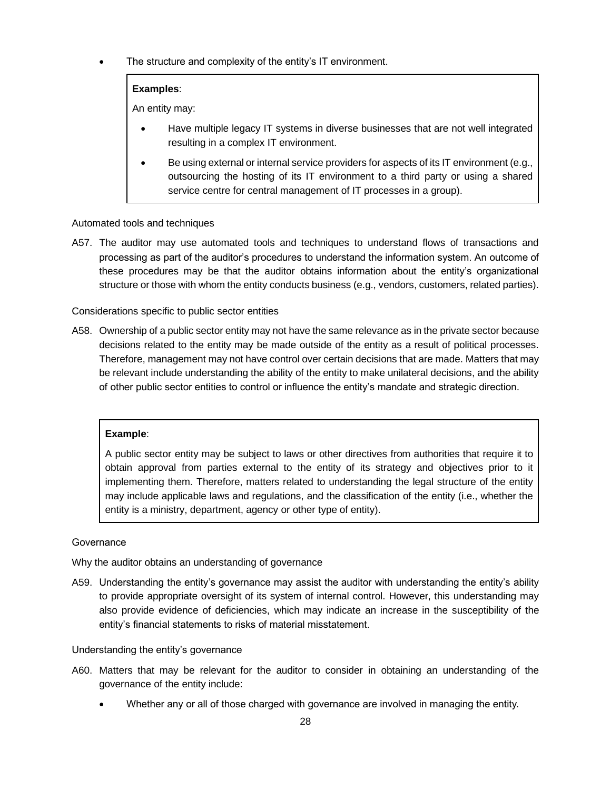The structure and complexity of the entity's IT environment.

## **Examples**:

An entity may:

- Have multiple legacy IT systems in diverse businesses that are not well integrated resulting in a complex IT environment.
- Be using external or internal service providers for aspects of its IT environment (e.g., outsourcing the hosting of its IT environment to a third party or using a shared service centre for central management of IT processes in a group).

Automated tools and techniques

A57. The auditor may use automated tools and techniques to understand flows of transactions and processing as part of the auditor's procedures to understand the information system. An outcome of these procedures may be that the auditor obtains information about the entity's organizational structure or those with whom the entity conducts business (e.g., vendors, customers, related parties).

Considerations specific to public sector entities

A58. Ownership of a public sector entity may not have the same relevance as in the private sector because decisions related to the entity may be made outside of the entity as a result of political processes. Therefore, management may not have control over certain decisions that are made. Matters that may be relevant include understanding the ability of the entity to make unilateral decisions, and the ability of other public sector entities to control or influence the entity's mandate and strategic direction.

#### **Example**:

A public sector entity may be subject to laws or other directives from authorities that require it to obtain approval from parties external to the entity of its strategy and objectives prior to it implementing them. Therefore, matters related to understanding the legal structure of the entity may include applicable laws and regulations, and the classification of the entity (i.e., whether the entity is a ministry, department, agency or other type of entity).

#### **Governance**

Why the auditor obtains an understanding of governance

A59. Understanding the entity's governance may assist the auditor with understanding the entity's ability to provide appropriate oversight of its system of internal control. However, this understanding may also provide evidence of deficiencies, which may indicate an increase in the susceptibility of the entity's financial statements to risks of material misstatement.

#### Understanding the entity's governance

- A60. Matters that may be relevant for the auditor to consider in obtaining an understanding of the governance of the entity include:
	- Whether any or all of those charged with governance are involved in managing the entity.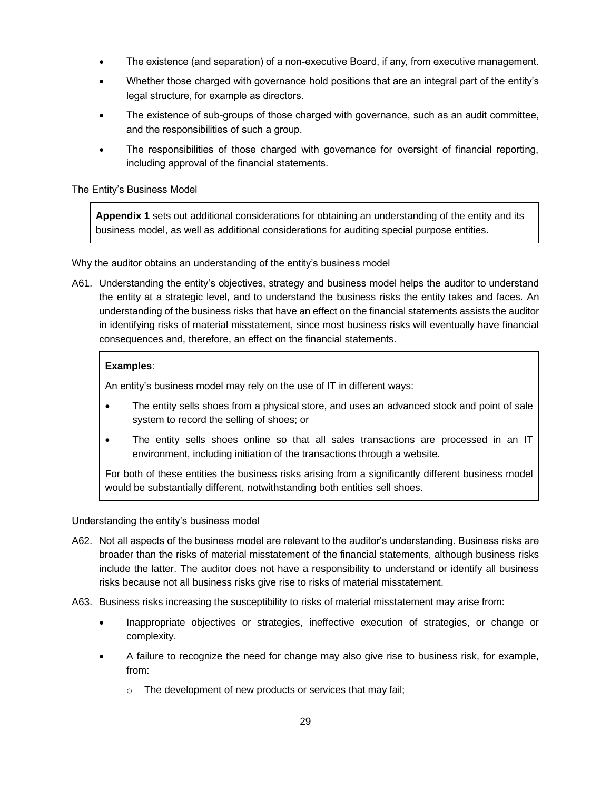- The existence (and separation) of a non-executive Board, if any, from executive management.
- Whether those charged with governance hold positions that are an integral part of the entity's legal structure, for example as directors.
- The existence of sub-groups of those charged with governance, such as an audit committee, and the responsibilities of such a group.
- The responsibilities of those charged with governance for oversight of financial reporting, including approval of the financial statements.

The Entity's Business Model

**Appendix 1** sets out additional considerations for obtaining an understanding of the entity and its business model, as well as additional considerations for auditing special purpose entities.

Why the auditor obtains an understanding of the entity's business model

A61. Understanding the entity's objectives, strategy and business model helps the auditor to understand the entity at a strategic level, and to understand the business risks the entity takes and faces. An understanding of the business risks that have an effect on the financial statements assists the auditor in identifying risks of material misstatement, since most business risks will eventually have financial consequences and, therefore, an effect on the financial statements.

#### **Examples**:

An entity's business model may rely on the use of IT in different ways:

- The entity sells shoes from a physical store, and uses an advanced stock and point of sale system to record the selling of shoes; or
- The entity sells shoes online so that all sales transactions are processed in an IT environment, including initiation of the transactions through a website.

For both of these entities the business risks arising from a significantly different business model would be substantially different, notwithstanding both entities sell shoes.

Understanding the entity's business model

- A62. Not all aspects of the business model are relevant to the auditor's understanding. Business risks are broader than the risks of material misstatement of the financial statements, although business risks include the latter. The auditor does not have a responsibility to understand or identify all business risks because not all business risks give rise to risks of material misstatement.
- A63. Business risks increasing the susceptibility to risks of material misstatement may arise from:
	- Inappropriate objectives or strategies, ineffective execution of strategies, or change or complexity.
	- A failure to recognize the need for change may also give rise to business risk, for example, from:
		- o The development of new products or services that may fail;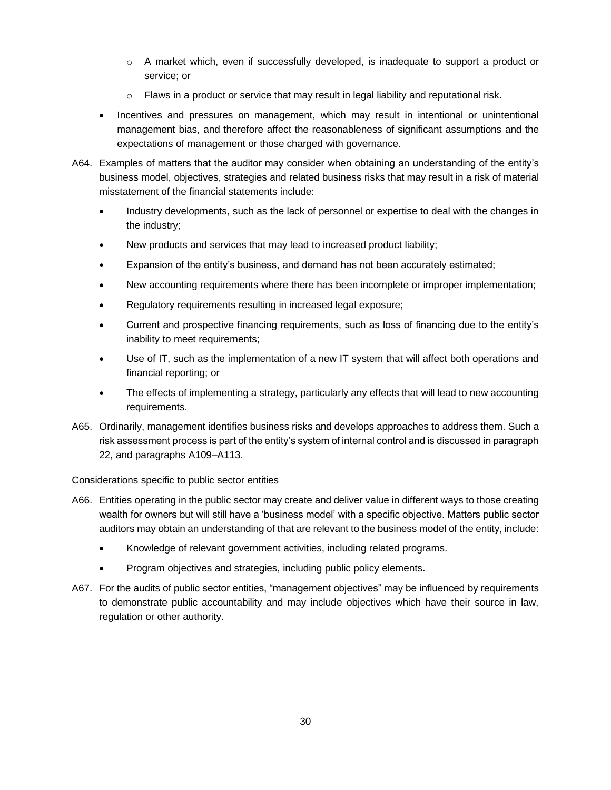- o A market which, even if successfully developed, is inadequate to support a product or service; or
- $\circ$  Flaws in a product or service that may result in legal liability and reputational risk.
- Incentives and pressures on management, which may result in intentional or unintentional management bias, and therefore affect the reasonableness of significant assumptions and the expectations of management or those charged with governance.
- A64. Examples of matters that the auditor may consider when obtaining an understanding of the entity's business model, objectives, strategies and related business risks that may result in a risk of material misstatement of the financial statements include:
	- Industry developments, such as the lack of personnel or expertise to deal with the changes in the industry;
	- New products and services that may lead to increased product liability;
	- Expansion of the entity's business, and demand has not been accurately estimated;
	- New accounting requirements where there has been incomplete or improper implementation;
	- Regulatory requirements resulting in increased legal exposure;
	- Current and prospective financing requirements, such as loss of financing due to the entity's inability to meet requirements;
	- Use of IT, such as the implementation of a new IT system that will affect both operations and financial reporting; or
	- The effects of implementing a strategy, particularly any effects that will lead to new accounting requirements.
- A65. Ordinarily, management identifies business risks and develops approaches to address them. Such a risk assessment process is part of the entity's system of internal control and is discussed in paragraph 22, and paragraphs A109–A113.

Considerations specific to public sector entities

- A66. Entities operating in the public sector may create and deliver value in different ways to those creating wealth for owners but will still have a 'business model' with a specific objective. Matters public sector auditors may obtain an understanding of that are relevant to the business model of the entity, include:
	- Knowledge of relevant government activities, including related programs.
	- Program objectives and strategies, including public policy elements.
- A67. For the audits of public sector entities, "management objectives" may be influenced by requirements to demonstrate public accountability and may include objectives which have their source in law, regulation or other authority.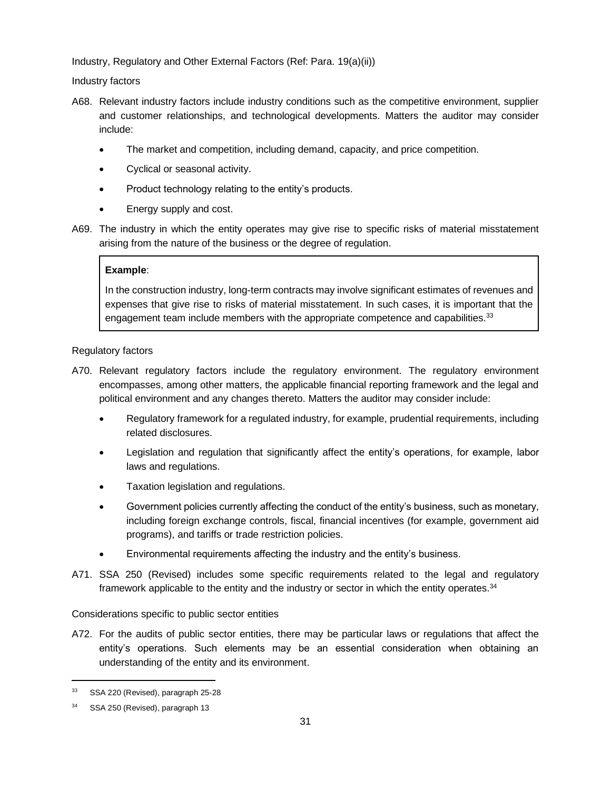Industry, Regulatory and Other External Factors (Ref: Para. 19(a)(ii))

Industry factors

- A68. Relevant industry factors include industry conditions such as the competitive environment, supplier and customer relationships, and technological developments. Matters the auditor may consider include:
	- The market and competition, including demand, capacity, and price competition.
	- Cyclical or seasonal activity.
	- Product technology relating to the entity's products.
	- Energy supply and cost.
- A69. The industry in which the entity operates may give rise to specific risks of material misstatement arising from the nature of the business or the degree of regulation.

## **Example**:

In the construction industry, long-term contracts may involve significant estimates of revenues and expenses that give rise to risks of material misstatement. In such cases, it is important that the engagement team include members with the appropriate competence and capabilities.<sup>33</sup>

## Regulatory factors

- A70. Relevant regulatory factors include the regulatory environment. The regulatory environment encompasses, among other matters, the applicable financial reporting framework and the legal and political environment and any changes thereto. Matters the auditor may consider include:
	- Regulatory framework for a regulated industry, for example, prudential requirements, including related disclosures.
	- Legislation and regulation that significantly affect the entity's operations, for example, labor laws and regulations.
	- Taxation legislation and regulations.
	- Government policies currently affecting the conduct of the entity's business, such as monetary, including foreign exchange controls, fiscal, financial incentives (for example, government aid programs), and tariffs or trade restriction policies.
	- Environmental requirements affecting the industry and the entity's business.
- A71. SSA 250 (Revised) includes some specific requirements related to the legal and regulatory framework applicable to the entity and the industry or sector in which the entity operates.<sup>34</sup>

Considerations specific to public sector entities

A72. For the audits of public sector entities, there may be particular laws or regulations that affect the entity's operations. Such elements may be an essential consideration when obtaining an understanding of the entity and its environment.

<sup>33</sup> SSA 220 (Revised), paragraph 25-28

<sup>&</sup>lt;sup>34</sup> SSA 250 (Revised), paragraph 13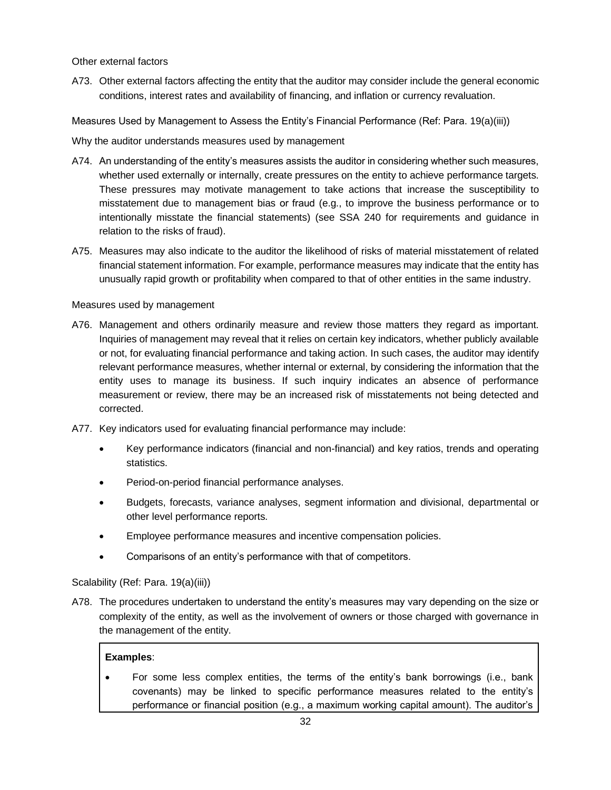Other external factors

A73. Other external factors affecting the entity that the auditor may consider include the general economic conditions, interest rates and availability of financing, and inflation or currency revaluation.

Measures Used by Management to Assess the Entity's Financial Performance (Ref: Para. 19(a)(iii))

Why the auditor understands measures used by management

- A74. An understanding of the entity's measures assists the auditor in considering whether such measures, whether used externally or internally, create pressures on the entity to achieve performance targets. These pressures may motivate management to take actions that increase the susceptibility to misstatement due to management bias or fraud (e.g., to improve the business performance or to intentionally misstate the financial statements) (see SSA 240 for requirements and guidance in relation to the risks of fraud).
- A75. Measures may also indicate to the auditor the likelihood of risks of material misstatement of related financial statement information. For example, performance measures may indicate that the entity has unusually rapid growth or profitability when compared to that of other entities in the same industry.

#### Measures used by management

- A76. Management and others ordinarily measure and review those matters they regard as important. Inquiries of management may reveal that it relies on certain key indicators, whether publicly available or not, for evaluating financial performance and taking action. In such cases, the auditor may identify relevant performance measures, whether internal or external, by considering the information that the entity uses to manage its business. If such inquiry indicates an absence of performance measurement or review, there may be an increased risk of misstatements not being detected and corrected.
- A77. Key indicators used for evaluating financial performance may include:
	- Key performance indicators (financial and non-financial) and key ratios, trends and operating statistics.
	- Period-on-period financial performance analyses.
	- Budgets, forecasts, variance analyses, segment information and divisional, departmental or other level performance reports.
	- Employee performance measures and incentive compensation policies.
	- Comparisons of an entity's performance with that of competitors.

#### Scalability (Ref: Para. 19(a)(iii))

A78. The procedures undertaken to understand the entity's measures may vary depending on the size or complexity of the entity, as well as the involvement of owners or those charged with governance in the management of the entity.

#### **Examples**:

• For some less complex entities, the terms of the entity's bank borrowings (i.e., bank covenants) may be linked to specific performance measures related to the entity's performance or financial position (e.g., a maximum working capital amount). The auditor's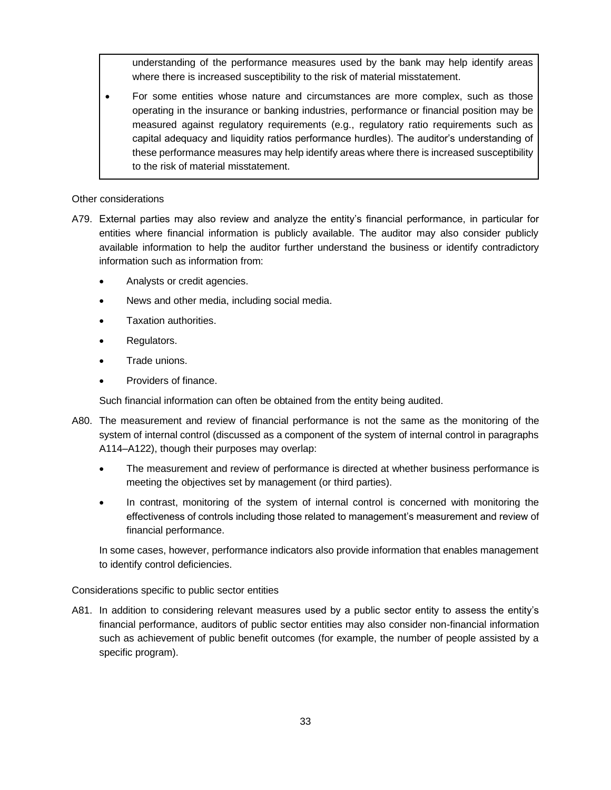understanding of the performance measures used by the bank may help identify areas where there is increased susceptibility to the risk of material misstatement.

• For some entities whose nature and circumstances are more complex, such as those operating in the insurance or banking industries, performance or financial position may be measured against regulatory requirements (e.g., regulatory ratio requirements such as capital adequacy and liquidity ratios performance hurdles). The auditor's understanding of these performance measures may help identify areas where there is increased susceptibility to the risk of material misstatement.

Other considerations

- A79. External parties may also review and analyze the entity's financial performance, in particular for entities where financial information is publicly available. The auditor may also consider publicly available information to help the auditor further understand the business or identify contradictory information such as information from:
	- Analysts or credit agencies.
	- News and other media, including social media.
	- Taxation authorities.
	- Regulators.
	- Trade unions.
	- Providers of finance.

Such financial information can often be obtained from the entity being audited.

- A80. The measurement and review of financial performance is not the same as the monitoring of the system of internal control (discussed as a component of the system of internal control in paragraphs A114–A122), though their purposes may overlap:
	- The measurement and review of performance is directed at whether business performance is meeting the objectives set by management (or third parties).
	- In contrast, monitoring of the system of internal control is concerned with monitoring the effectiveness of controls including those related to management's measurement and review of financial performance.

In some cases, however, performance indicators also provide information that enables management to identify control deficiencies.

Considerations specific to public sector entities

A81. In addition to considering relevant measures used by a public sector entity to assess the entity's financial performance, auditors of public sector entities may also consider non-financial information such as achievement of public benefit outcomes (for example, the number of people assisted by a specific program).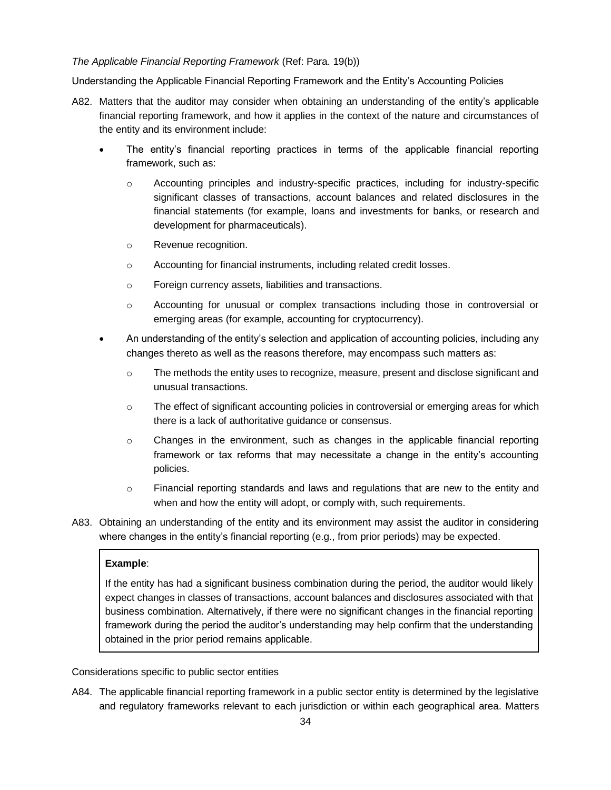## *The Applicable Financial Reporting Framework* (Ref: Para. 19(b))

Understanding the Applicable Financial Reporting Framework and the Entity's Accounting Policies

- A82. Matters that the auditor may consider when obtaining an understanding of the entity's applicable financial reporting framework, and how it applies in the context of the nature and circumstances of the entity and its environment include:
	- The entity's financial reporting practices in terms of the applicable financial reporting framework, such as:
		- o Accounting principles and industry-specific practices, including for industry-specific significant classes of transactions, account balances and related disclosures in the financial statements (for example, loans and investments for banks, or research and development for pharmaceuticals).
		- o Revenue recognition.
		- o Accounting for financial instruments, including related credit losses.
		- o Foreign currency assets, liabilities and transactions.
		- o Accounting for unusual or complex transactions including those in controversial or emerging areas (for example, accounting for cryptocurrency).
	- An understanding of the entity's selection and application of accounting policies, including any changes thereto as well as the reasons therefore, may encompass such matters as:
		- o The methods the entity uses to recognize, measure, present and disclose significant and unusual transactions.
		- o The effect of significant accounting policies in controversial or emerging areas for which there is a lack of authoritative guidance or consensus.
		- $\circ$  Changes in the environment, such as changes in the applicable financial reporting framework or tax reforms that may necessitate a change in the entity's accounting policies.
		- o Financial reporting standards and laws and regulations that are new to the entity and when and how the entity will adopt, or comply with, such requirements.
- A83. Obtaining an understanding of the entity and its environment may assist the auditor in considering where changes in the entity's financial reporting (e.g., from prior periods) may be expected.

#### **Example**:

If the entity has had a significant business combination during the period, the auditor would likely expect changes in classes of transactions, account balances and disclosures associated with that business combination. Alternatively, if there were no significant changes in the financial reporting framework during the period the auditor's understanding may help confirm that the understanding obtained in the prior period remains applicable.

Considerations specific to public sector entities

A84. The applicable financial reporting framework in a public sector entity is determined by the legislative and regulatory frameworks relevant to each jurisdiction or within each geographical area. Matters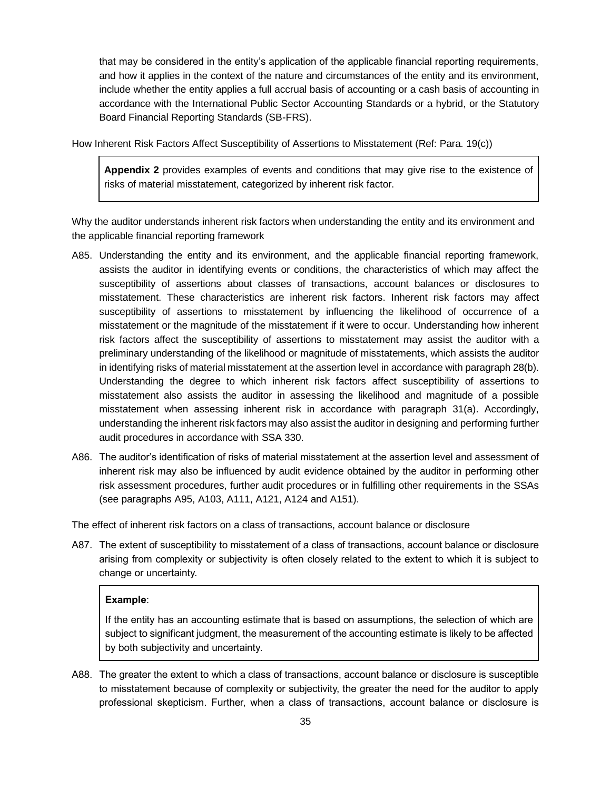that may be considered in the entity's application of the applicable financial reporting requirements, and how it applies in the context of the nature and circumstances of the entity and its environment, include whether the entity applies a full accrual basis of accounting or a cash basis of accounting in accordance with the International Public Sector Accounting Standards or a hybrid, or the Statutory Board Financial Reporting Standards (SB-FRS).

How Inherent Risk Factors Affect Susceptibility of Assertions to Misstatement (Ref: Para. 19(c))

**Appendix 2** provides examples of events and conditions that may give rise to the existence of risks of material misstatement, categorized by inherent risk factor.

Why the auditor understands inherent risk factors when understanding the entity and its environment and the applicable financial reporting framework

- A85. Understanding the entity and its environment, and the applicable financial reporting framework, assists the auditor in identifying events or conditions, the characteristics of which may affect the susceptibility of assertions about classes of transactions, account balances or disclosures to misstatement. These characteristics are inherent risk factors. Inherent risk factors may affect susceptibility of assertions to misstatement by influencing the likelihood of occurrence of a misstatement or the magnitude of the misstatement if it were to occur. Understanding how inherent risk factors affect the susceptibility of assertions to misstatement may assist the auditor with a preliminary understanding of the likelihood or magnitude of misstatements, which assists the auditor in identifying risks of material misstatement at the assertion level in accordance with paragraph 28(b). Understanding the degree to which inherent risk factors affect susceptibility of assertions to misstatement also assists the auditor in assessing the likelihood and magnitude of a possible misstatement when assessing inherent risk in accordance with paragraph 31(a). Accordingly, understanding the inherent risk factors may also assist the auditor in designing and performing further audit procedures in accordance with SSA 330.
- A86. The auditor's identification of risks of material misstatement at the assertion level and assessment of inherent risk may also be influenced by audit evidence obtained by the auditor in performing other risk assessment procedures, further audit procedures or in fulfilling other requirements in the SSAs (see paragraphs A95, A103, A111, A121, A124 and A151).

The effect of inherent risk factors on a class of transactions, account balance or disclosure

A87. The extent of susceptibility to misstatement of a class of transactions, account balance or disclosure arising from complexity or subjectivity is often closely related to the extent to which it is subject to change or uncertainty.

#### **Example**:

If the entity has an accounting estimate that is based on assumptions, the selection of which are subject to significant judgment, the measurement of the accounting estimate is likely to be affected by both subjectivity and uncertainty.

A88. The greater the extent to which a class of transactions, account balance or disclosure is susceptible to misstatement because of complexity or subjectivity, the greater the need for the auditor to apply professional skepticism. Further, when a class of transactions, account balance or disclosure is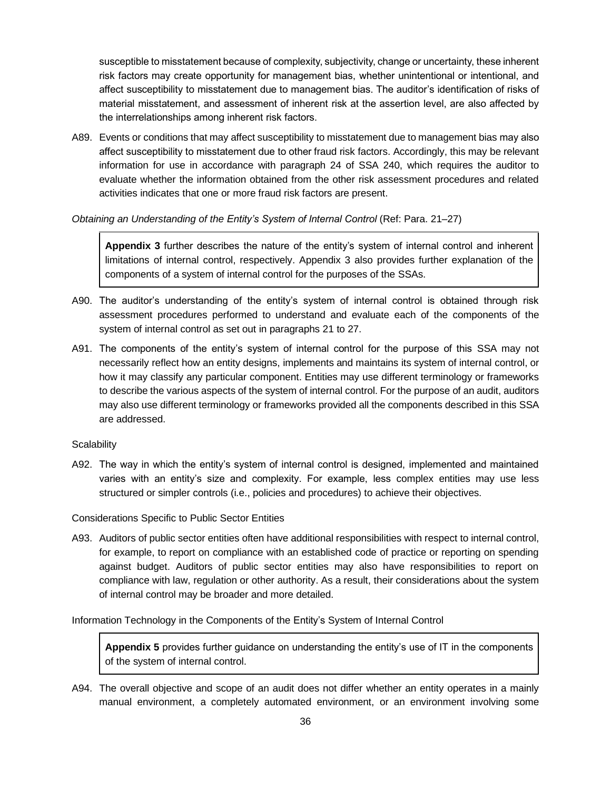susceptible to misstatement because of complexity, subjectivity, change or uncertainty, these inherent risk factors may create opportunity for management bias, whether unintentional or intentional, and affect susceptibility to misstatement due to management bias. The auditor's identification of risks of material misstatement, and assessment of inherent risk at the assertion level, are also affected by the interrelationships among inherent risk factors.

A89. Events or conditions that may affect susceptibility to misstatement due to management bias may also affect susceptibility to misstatement due to other fraud risk factors. Accordingly, this may be relevant information for use in accordance with paragraph 24 of SSA 240, which requires the auditor to evaluate whether the information obtained from the other risk assessment procedures and related activities indicates that one or more fraud risk factors are present.

## *Obtaining an Understanding of the Entity's System of Internal Control (Ref: Para. 21-27)*

**Appendix 3** further describes the nature of the entity's system of internal control and inherent limitations of internal control, respectively. Appendix 3 also provides further explanation of the components of a system of internal control for the purposes of the SSAs.

- A90. The auditor's understanding of the entity's system of internal control is obtained through risk assessment procedures performed to understand and evaluate each of the components of the system of internal control as set out in paragraphs 21 to 27.
- A91. The components of the entity's system of internal control for the purpose of this SSA may not necessarily reflect how an entity designs, implements and maintains its system of internal control, or how it may classify any particular component. Entities may use different terminology or frameworks to describe the various aspects of the system of internal control. For the purpose of an audit, auditors may also use different terminology or frameworks provided all the components described in this SSA are addressed.

#### **Scalability**

A92. The way in which the entity's system of internal control is designed, implemented and maintained varies with an entity's size and complexity. For example, less complex entities may use less structured or simpler controls (i.e., policies and procedures) to achieve their objectives.

#### Considerations Specific to Public Sector Entities

A93. Auditors of public sector entities often have additional responsibilities with respect to internal control, for example, to report on compliance with an established code of practice or reporting on spending against budget. Auditors of public sector entities may also have responsibilities to report on compliance with law, regulation or other authority. As a result, their considerations about the system of internal control may be broader and more detailed.

#### Information Technology in the Components of the Entity's System of Internal Control

**Appendix 5** provides further guidance on understanding the entity's use of IT in the components of the system of internal control.

A94. The overall objective and scope of an audit does not differ whether an entity operates in a mainly manual environment, a completely automated environment, or an environment involving some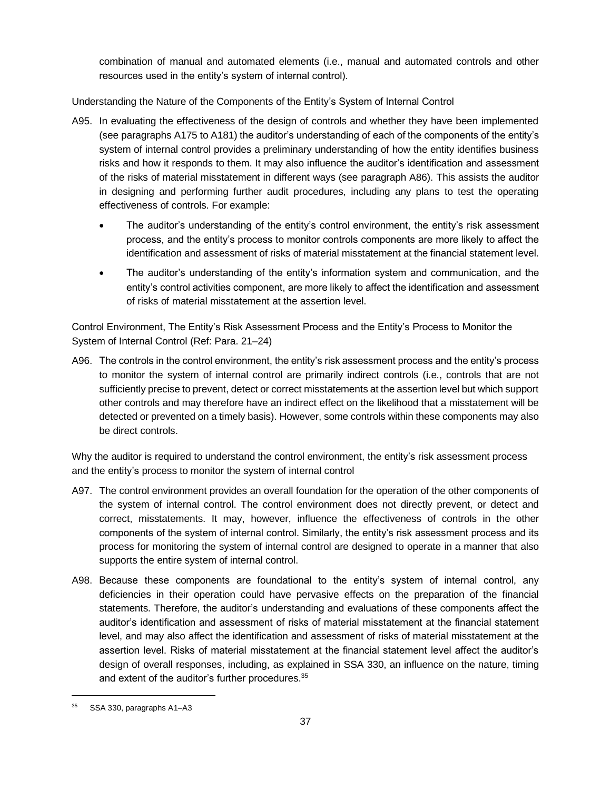combination of manual and automated elements (i.e., manual and automated controls and other resources used in the entity's system of internal control).

Understanding the Nature of the Components of the Entity's System of Internal Control

- A95. In evaluating the effectiveness of the design of controls and whether they have been implemented (see paragraphs A175 to A181) the auditor's understanding of each of the components of the entity's system of internal control provides a preliminary understanding of how the entity identifies business risks and how it responds to them. It may also influence the auditor's identification and assessment of the risks of material misstatement in different ways (see paragraph A86). This assists the auditor in designing and performing further audit procedures, including any plans to test the operating effectiveness of controls. For example:
	- The auditor's understanding of the entity's control environment, the entity's risk assessment process, and the entity's process to monitor controls components are more likely to affect the identification and assessment of risks of material misstatement at the financial statement level.
	- The auditor's understanding of the entity's information system and communication, and the entity's control activities component, are more likely to affect the identification and assessment of risks of material misstatement at the assertion level.

Control Environment, The Entity's Risk Assessment Process and the Entity's Process to Monitor the System of Internal Control (Ref: Para. 21–24)

A96. The controls in the control environment, the entity's risk assessment process and the entity's process to monitor the system of internal control are primarily indirect controls (i.e., controls that are not sufficiently precise to prevent, detect or correct misstatements at the assertion level but which support other controls and may therefore have an indirect effect on the likelihood that a misstatement will be detected or prevented on a timely basis). However, some controls within these components may also be direct controls.

Why the auditor is required to understand the control environment, the entity's risk assessment process and the entity's process to monitor the system of internal control

- A97. The control environment provides an overall foundation for the operation of the other components of the system of internal control. The control environment does not directly prevent, or detect and correct, misstatements. It may, however, influence the effectiveness of controls in the other components of the system of internal control. Similarly, the entity's risk assessment process and its process for monitoring the system of internal control are designed to operate in a manner that also supports the entire system of internal control.
- A98. Because these components are foundational to the entity's system of internal control, any deficiencies in their operation could have pervasive effects on the preparation of the financial statements. Therefore, the auditor's understanding and evaluations of these components affect the auditor's identification and assessment of risks of material misstatement at the financial statement level, and may also affect the identification and assessment of risks of material misstatement at the assertion level. Risks of material misstatement at the financial statement level affect the auditor's design of overall responses, including, as explained in SSA 330, an influence on the nature, timing and extent of the auditor's further procedures.<sup>35</sup>

SSA 330, paragraphs A1-A3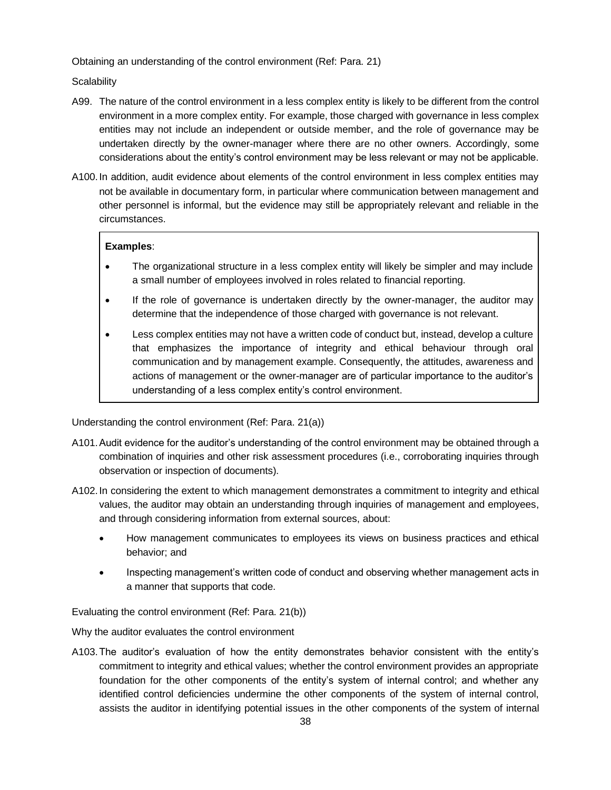Obtaining an understanding of the control environment (Ref: Para. 21)

**Scalability** 

- A99. The nature of the control environment in a less complex entity is likely to be different from the control environment in a more complex entity. For example, those charged with governance in less complex entities may not include an independent or outside member, and the role of governance may be undertaken directly by the owner-manager where there are no other owners. Accordingly, some considerations about the entity's control environment may be less relevant or may not be applicable.
- A100.In addition, audit evidence about elements of the control environment in less complex entities may not be available in documentary form, in particular where communication between management and other personnel is informal, but the evidence may still be appropriately relevant and reliable in the circumstances.

### **Examples**:

- The organizational structure in a less complex entity will likely be simpler and may include a small number of employees involved in roles related to financial reporting.
- If the role of governance is undertaken directly by the owner-manager, the auditor may determine that the independence of those charged with governance is not relevant.
- Less complex entities may not have a written code of conduct but, instead, develop a culture that emphasizes the importance of integrity and ethical behaviour through oral communication and by management example. Consequently, the attitudes, awareness and actions of management or the owner-manager are of particular importance to the auditor's understanding of a less complex entity's control environment.

Understanding the control environment (Ref: Para. 21(a))

- A101.Audit evidence for the auditor's understanding of the control environment may be obtained through a combination of inquiries and other risk assessment procedures (i.e., corroborating inquiries through observation or inspection of documents).
- A102.In considering the extent to which management demonstrates a commitment to integrity and ethical values, the auditor may obtain an understanding through inquiries of management and employees, and through considering information from external sources, about:
	- How management communicates to employees its views on business practices and ethical behavior; and
	- Inspecting management's written code of conduct and observing whether management acts in a manner that supports that code.

Evaluating the control environment (Ref: Para. 21(b))

Why the auditor evaluates the control environment

A103.The auditor's evaluation of how the entity demonstrates behavior consistent with the entity's commitment to integrity and ethical values; whether the control environment provides an appropriate foundation for the other components of the entity's system of internal control; and whether any identified control deficiencies undermine the other components of the system of internal control, assists the auditor in identifying potential issues in the other components of the system of internal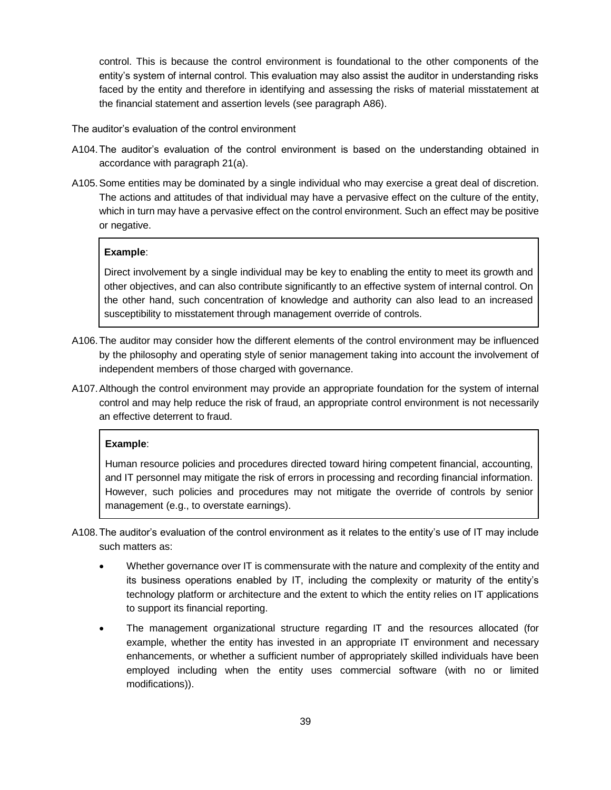control. This is because the control environment is foundational to the other components of the entity's system of internal control. This evaluation may also assist the auditor in understanding risks faced by the entity and therefore in identifying and assessing the risks of material misstatement at the financial statement and assertion levels (see paragraph A86).

The auditor's evaluation of the control environment

- A104.The auditor's evaluation of the control environment is based on the understanding obtained in accordance with paragraph 21(a).
- A105.Some entities may be dominated by a single individual who may exercise a great deal of discretion. The actions and attitudes of that individual may have a pervasive effect on the culture of the entity, which in turn may have a pervasive effect on the control environment. Such an effect may be positive or negative.

#### **Example**:

Direct involvement by a single individual may be key to enabling the entity to meet its growth and other objectives, and can also contribute significantly to an effective system of internal control. On the other hand, such concentration of knowledge and authority can also lead to an increased susceptibility to misstatement through management override of controls.

- A106.The auditor may consider how the different elements of the control environment may be influenced by the philosophy and operating style of senior management taking into account the involvement of independent members of those charged with governance.
- A107.Although the control environment may provide an appropriate foundation for the system of internal control and may help reduce the risk of fraud, an appropriate control environment is not necessarily an effective deterrent to fraud.

### **Example**:

Human resource policies and procedures directed toward hiring competent financial, accounting, and IT personnel may mitigate the risk of errors in processing and recording financial information. However, such policies and procedures may not mitigate the override of controls by senior management (e.g., to overstate earnings).

- A108.The auditor's evaluation of the control environment as it relates to the entity's use of IT may include such matters as:
	- Whether governance over IT is commensurate with the nature and complexity of the entity and its business operations enabled by IT, including the complexity or maturity of the entity's technology platform or architecture and the extent to which the entity relies on IT applications to support its financial reporting.
	- The management organizational structure regarding IT and the resources allocated (for example, whether the entity has invested in an appropriate IT environment and necessary enhancements, or whether a sufficient number of appropriately skilled individuals have been employed including when the entity uses commercial software (with no or limited modifications)).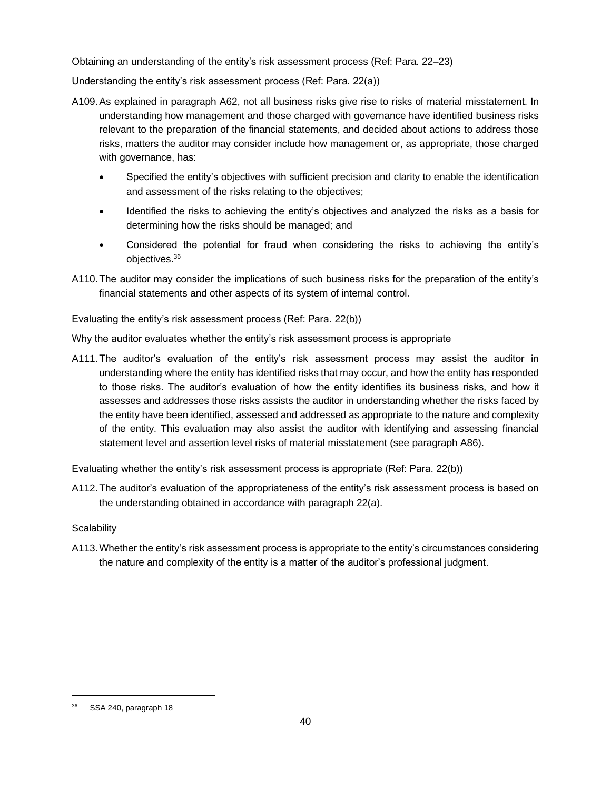Obtaining an understanding of the entity's risk assessment process (Ref: Para. 22–23)

Understanding the entity's risk assessment process (Ref: Para. 22(a))

- A109.As explained in paragraph A62, not all business risks give rise to risks of material misstatement. In understanding how management and those charged with governance have identified business risks relevant to the preparation of the financial statements, and decided about actions to address those risks, matters the auditor may consider include how management or, as appropriate, those charged with governance, has:
	- Specified the entity's objectives with sufficient precision and clarity to enable the identification and assessment of the risks relating to the objectives;
	- Identified the risks to achieving the entity's objectives and analyzed the risks as a basis for determining how the risks should be managed; and
	- Considered the potential for fraud when considering the risks to achieving the entity's objectives.<sup>36</sup>
- A110.The auditor may consider the implications of such business risks for the preparation of the entity's financial statements and other aspects of its system of internal control.

Evaluating the entity's risk assessment process (Ref: Para. 22(b))

Why the auditor evaluates whether the entity's risk assessment process is appropriate

A111.The auditor's evaluation of the entity's risk assessment process may assist the auditor in understanding where the entity has identified risks that may occur, and how the entity has responded to those risks. The auditor's evaluation of how the entity identifies its business risks, and how it assesses and addresses those risks assists the auditor in understanding whether the risks faced by the entity have been identified, assessed and addressed as appropriate to the nature and complexity of the entity. This evaluation may also assist the auditor with identifying and assessing financial statement level and assertion level risks of material misstatement (see paragraph A86).

Evaluating whether the entity's risk assessment process is appropriate (Ref: Para. 22(b))

A112.The auditor's evaluation of the appropriateness of the entity's risk assessment process is based on the understanding obtained in accordance with paragraph 22(a).

# **Scalability**

A113.Whether the entity's risk assessment process is appropriate to the entity's circumstances considering the nature and complexity of the entity is a matter of the auditor's professional judgment.

SSA 240, paragraph 18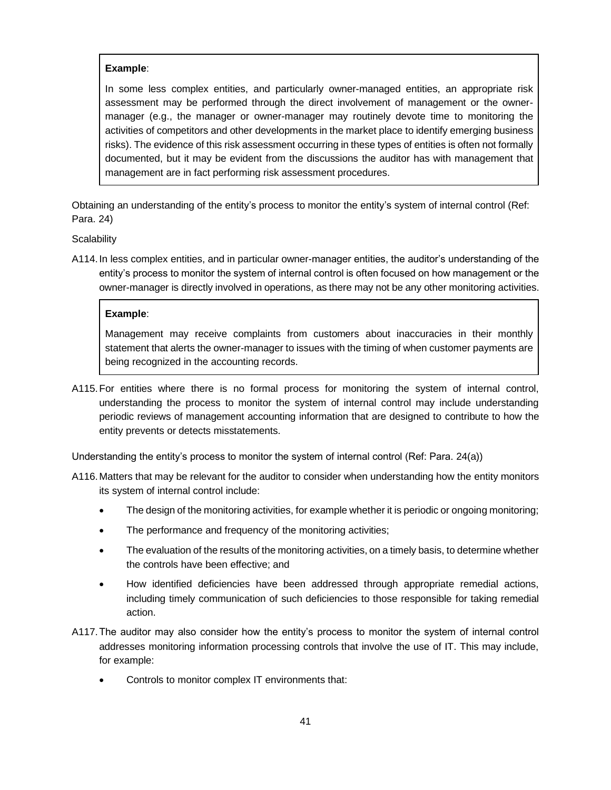# **Example**:

In some less complex entities, and particularly owner-managed entities, an appropriate risk assessment may be performed through the direct involvement of management or the ownermanager (e.g., the manager or owner-manager may routinely devote time to monitoring the activities of competitors and other developments in the market place to identify emerging business risks). The evidence of this risk assessment occurring in these types of entities is often not formally documented, but it may be evident from the discussions the auditor has with management that management are in fact performing risk assessment procedures.

Obtaining an understanding of the entity's process to monitor the entity's system of internal control (Ref: Para. 24)

### **Scalability**

A114.In less complex entities, and in particular owner-manager entities, the auditor's understanding of the entity's process to monitor the system of internal control is often focused on how management or the owner-manager is directly involved in operations, as there may not be any other monitoring activities.

### **Example**:

Management may receive complaints from customers about inaccuracies in their monthly statement that alerts the owner-manager to issues with the timing of when customer payments are being recognized in the accounting records.

A115.For entities where there is no formal process for monitoring the system of internal control, understanding the process to monitor the system of internal control may include understanding periodic reviews of management accounting information that are designed to contribute to how the entity prevents or detects misstatements.

Understanding the entity's process to monitor the system of internal control (Ref: Para. 24(a))

- A116.Matters that may be relevant for the auditor to consider when understanding how the entity monitors its system of internal control include:
	- The design of the monitoring activities, for example whether it is periodic or ongoing monitoring;
	- The performance and frequency of the monitoring activities;
	- The evaluation of the results of the monitoring activities, on a timely basis, to determine whether the controls have been effective; and
	- How identified deficiencies have been addressed through appropriate remedial actions, including timely communication of such deficiencies to those responsible for taking remedial action.
- A117.The auditor may also consider how the entity's process to monitor the system of internal control addresses monitoring information processing controls that involve the use of IT. This may include, for example:
	- Controls to monitor complex IT environments that: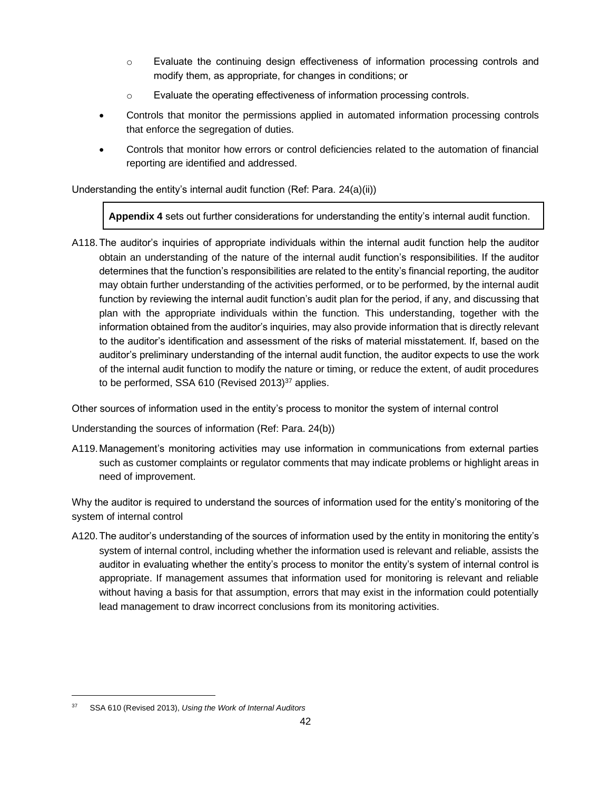- o Evaluate the continuing design effectiveness of information processing controls and modify them, as appropriate, for changes in conditions; or
- o Evaluate the operating effectiveness of information processing controls.
- Controls that monitor the permissions applied in automated information processing controls that enforce the segregation of duties.
- Controls that monitor how errors or control deficiencies related to the automation of financial reporting are identified and addressed.

Understanding the entity's internal audit function (Ref: Para. 24(a)(ii))

**Appendix 4** sets out further considerations for understanding the entity's internal audit function.

A118.The auditor's inquiries of appropriate individuals within the internal audit function help the auditor obtain an understanding of the nature of the internal audit function's responsibilities. If the auditor determines that the function's responsibilities are related to the entity's financial reporting, the auditor may obtain further understanding of the activities performed, or to be performed, by the internal audit function by reviewing the internal audit function's audit plan for the period, if any, and discussing that plan with the appropriate individuals within the function. This understanding, together with the information obtained from the auditor's inquiries, may also provide information that is directly relevant to the auditor's identification and assessment of the risks of material misstatement. If, based on the auditor's preliminary understanding of the internal audit function, the auditor expects to use the work of the internal audit function to modify the nature or timing, or reduce the extent, of audit procedures to be performed, SSA 610 (Revised 2013)<sup>37</sup> applies.

Other sources of information used in the entity's process to monitor the system of internal control

Understanding the sources of information (Ref: Para. 24(b))

A119.Management's monitoring activities may use information in communications from external parties such as customer complaints or regulator comments that may indicate problems or highlight areas in need of improvement.

Why the auditor is required to understand the sources of information used for the entity's monitoring of the system of internal control

A120.The auditor's understanding of the sources of information used by the entity in monitoring the entity's system of internal control, including whether the information used is relevant and reliable, assists the auditor in evaluating whether the entity's process to monitor the entity's system of internal control is appropriate. If management assumes that information used for monitoring is relevant and reliable without having a basis for that assumption, errors that may exist in the information could potentially lead management to draw incorrect conclusions from its monitoring activities.

<sup>37</sup> SSA 610 (Revised 2013), *Using the Work of Internal Auditors*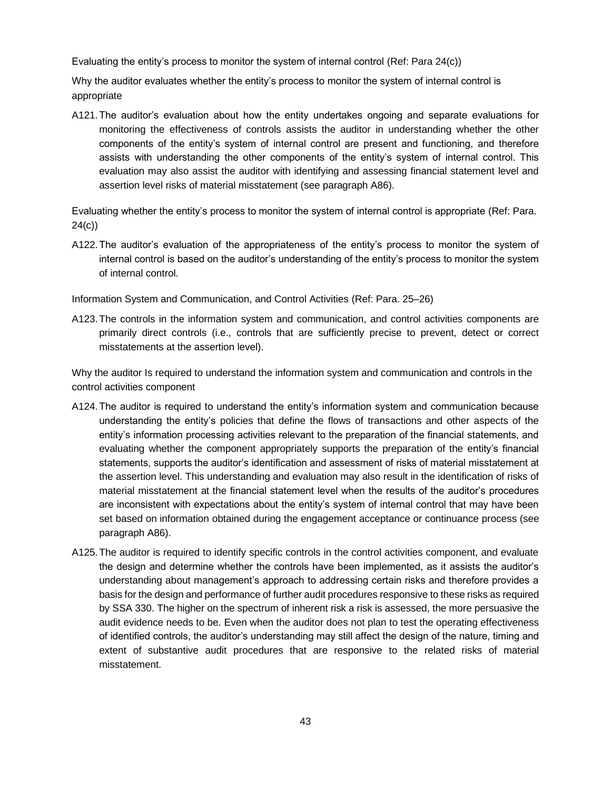Evaluating the entity's process to monitor the system of internal control (Ref: Para 24(c))

Why the auditor evaluates whether the entity's process to monitor the system of internal control is appropriate

A121.The auditor's evaluation about how the entity undertakes ongoing and separate evaluations for monitoring the effectiveness of controls assists the auditor in understanding whether the other components of the entity's system of internal control are present and functioning, and therefore assists with understanding the other components of the entity's system of internal control. This evaluation may also assist the auditor with identifying and assessing financial statement level and assertion level risks of material misstatement (see paragraph A86).

Evaluating whether the entity's process to monitor the system of internal control is appropriate (Ref: Para. 24(c))

A122.The auditor's evaluation of the appropriateness of the entity's process to monitor the system of internal control is based on the auditor's understanding of the entity's process to monitor the system of internal control.

Information System and Communication, and Control Activities (Ref: Para. 25‒26)

A123.The controls in the information system and communication, and control activities components are primarily direct controls (i.e., controls that are sufficiently precise to prevent, detect or correct misstatements at the assertion level).

Why the auditor Is required to understand the information system and communication and controls in the control activities component

- A124.The auditor is required to understand the entity's information system and communication because understanding the entity's policies that define the flows of transactions and other aspects of the entity's information processing activities relevant to the preparation of the financial statements, and evaluating whether the component appropriately supports the preparation of the entity's financial statements, supports the auditor's identification and assessment of risks of material misstatement at the assertion level. This understanding and evaluation may also result in the identification of risks of material misstatement at the financial statement level when the results of the auditor's procedures are inconsistent with expectations about the entity's system of internal control that may have been set based on information obtained during the engagement acceptance or continuance process (see paragraph A86).
- A125.The auditor is required to identify specific controls in the control activities component, and evaluate the design and determine whether the controls have been implemented, as it assists the auditor's understanding about management's approach to addressing certain risks and therefore provides a basis for the design and performance of further audit procedures responsive to these risks as required by SSA 330. The higher on the spectrum of inherent risk a risk is assessed, the more persuasive the audit evidence needs to be. Even when the auditor does not plan to test the operating effectiveness of identified controls, the auditor's understanding may still affect the design of the nature, timing and extent of substantive audit procedures that are responsive to the related risks of material misstatement.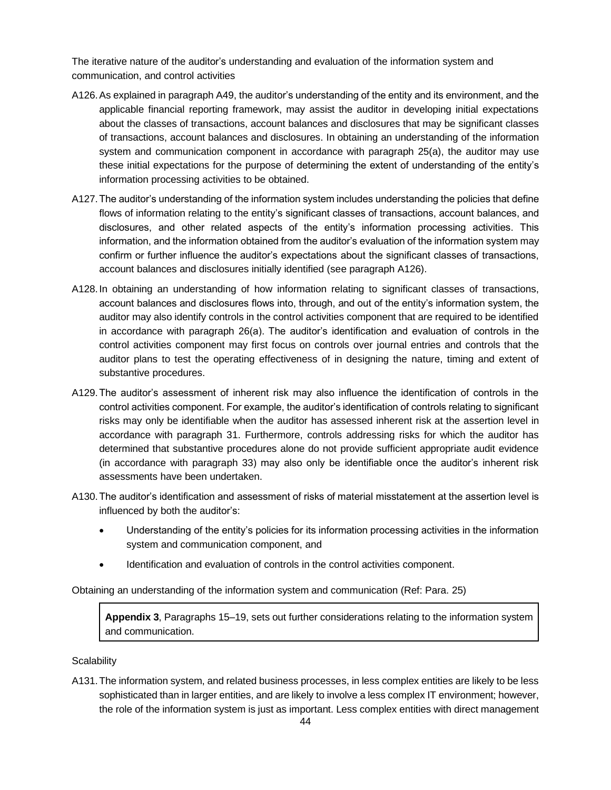The iterative nature of the auditor's understanding and evaluation of the information system and communication, and control activities

- A126.As explained in paragraph A49, the auditor's understanding of the entity and its environment, and the applicable financial reporting framework, may assist the auditor in developing initial expectations about the classes of transactions, account balances and disclosures that may be significant classes of transactions, account balances and disclosures. In obtaining an understanding of the information system and communication component in accordance with paragraph 25(a), the auditor may use these initial expectations for the purpose of determining the extent of understanding of the entity's information processing activities to be obtained.
- A127.The auditor's understanding of the information system includes understanding the policies that define flows of information relating to the entity's significant classes of transactions, account balances, and disclosures, and other related aspects of the entity's information processing activities. This information, and the information obtained from the auditor's evaluation of the information system may confirm or further influence the auditor's expectations about the significant classes of transactions, account balances and disclosures initially identified (see paragraph A126).
- A128.In obtaining an understanding of how information relating to significant classes of transactions, account balances and disclosures flows into, through, and out of the entity's information system, the auditor may also identify controls in the control activities component that are required to be identified in accordance with paragraph 26(a). The auditor's identification and evaluation of controls in the control activities component may first focus on controls over journal entries and controls that the auditor plans to test the operating effectiveness of in designing the nature, timing and extent of substantive procedures.
- A129.The auditor's assessment of inherent risk may also influence the identification of controls in the control activities component. For example, the auditor's identification of controls relating to significant risks may only be identifiable when the auditor has assessed inherent risk at the assertion level in accordance with paragraph 31. Furthermore, controls addressing risks for which the auditor has determined that substantive procedures alone do not provide sufficient appropriate audit evidence (in accordance with paragraph 33) may also only be identifiable once the auditor's inherent risk assessments have been undertaken.
- A130.The auditor's identification and assessment of risks of material misstatement at the assertion level is influenced by both the auditor's:
	- Understanding of the entity's policies for its information processing activities in the information system and communication component, and
	- Identification and evaluation of controls in the control activities component.

Obtaining an understanding of the information system and communication (Ref: Para. 25)

**Appendix 3**, Paragraphs 15–19, sets out further considerations relating to the information system and communication.

### **Scalability**

A131.The information system, and related business processes, in less complex entities are likely to be less sophisticated than in larger entities, and are likely to involve a less complex IT environment; however, the role of the information system is just as important. Less complex entities with direct management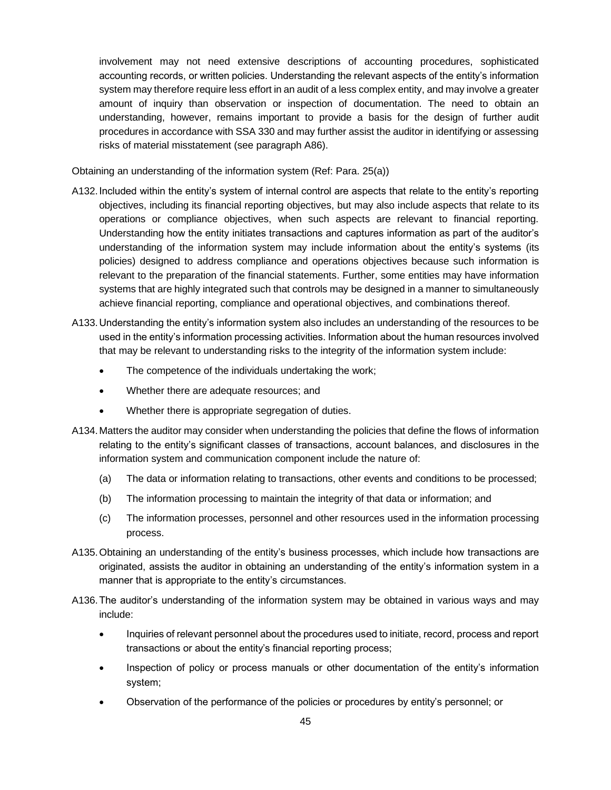involvement may not need extensive descriptions of accounting procedures, sophisticated accounting records, or written policies. Understanding the relevant aspects of the entity's information system may therefore require less effort in an audit of a less complex entity, and may involve a greater amount of inquiry than observation or inspection of documentation. The need to obtain an understanding, however, remains important to provide a basis for the design of further audit procedures in accordance with SSA 330 and may further assist the auditor in identifying or assessing risks of material misstatement (see paragraph A86).

Obtaining an understanding of the information system (Ref: Para. 25(a))

- A132.Included within the entity's system of internal control are aspects that relate to the entity's reporting objectives, including its financial reporting objectives, but may also include aspects that relate to its operations or compliance objectives, when such aspects are relevant to financial reporting. Understanding how the entity initiates transactions and captures information as part of the auditor's understanding of the information system may include information about the entity's systems (its policies) designed to address compliance and operations objectives because such information is relevant to the preparation of the financial statements. Further, some entities may have information systems that are highly integrated such that controls may be designed in a manner to simultaneously achieve financial reporting, compliance and operational objectives, and combinations thereof.
- A133.Understanding the entity's information system also includes an understanding of the resources to be used in the entity's information processing activities. Information about the human resources involved that may be relevant to understanding risks to the integrity of the information system include:
	- The competence of the individuals undertaking the work;
	- Whether there are adequate resources; and
	- Whether there is appropriate segregation of duties.
- A134.Matters the auditor may consider when understanding the policies that define the flows of information relating to the entity's significant classes of transactions, account balances, and disclosures in the information system and communication component include the nature of:
	- (a) The data or information relating to transactions, other events and conditions to be processed;
	- (b) The information processing to maintain the integrity of that data or information; and
	- (c) The information processes, personnel and other resources used in the information processing process.
- A135.Obtaining an understanding of the entity's business processes, which include how transactions are originated, assists the auditor in obtaining an understanding of the entity's information system in a manner that is appropriate to the entity's circumstances.
- A136.The auditor's understanding of the information system may be obtained in various ways and may include:
	- Inquiries of relevant personnel about the procedures used to initiate, record, process and report transactions or about the entity's financial reporting process;
	- Inspection of policy or process manuals or other documentation of the entity's information system;
	- Observation of the performance of the policies or procedures by entity's personnel; or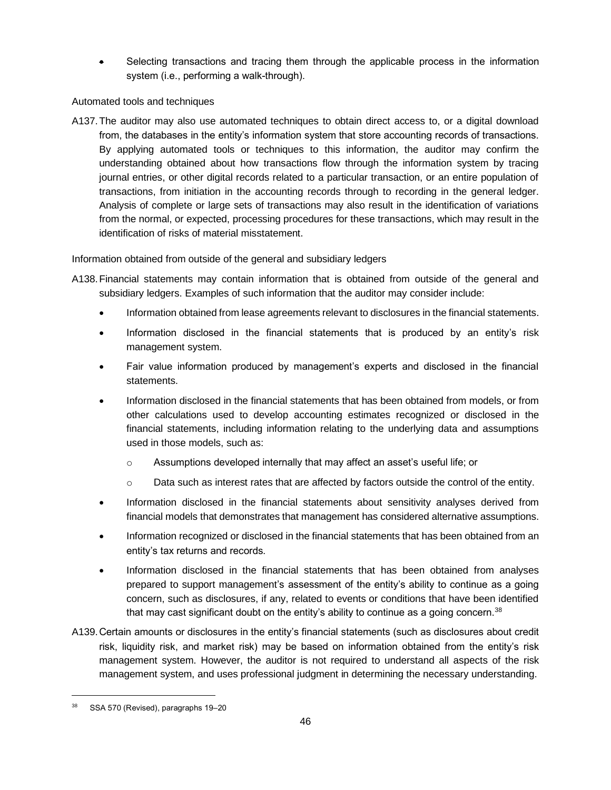• Selecting transactions and tracing them through the applicable process in the information system (i.e., performing a walk-through).

Automated tools and techniques

A137.The auditor may also use automated techniques to obtain direct access to, or a digital download from, the databases in the entity's information system that store accounting records of transactions. By applying automated tools or techniques to this information, the auditor may confirm the understanding obtained about how transactions flow through the information system by tracing journal entries, or other digital records related to a particular transaction, or an entire population of transactions, from initiation in the accounting records through to recording in the general ledger. Analysis of complete or large sets of transactions may also result in the identification of variations from the normal, or expected, processing procedures for these transactions, which may result in the identification of risks of material misstatement.

# Information obtained from outside of the general and subsidiary ledgers

- A138.Financial statements may contain information that is obtained from outside of the general and subsidiary ledgers. Examples of such information that the auditor may consider include:
	- Information obtained from lease agreements relevant to disclosures in the financial statements.
	- Information disclosed in the financial statements that is produced by an entity's risk management system.
	- Fair value information produced by management's experts and disclosed in the financial statements.
	- Information disclosed in the financial statements that has been obtained from models, or from other calculations used to develop accounting estimates recognized or disclosed in the financial statements, including information relating to the underlying data and assumptions used in those models, such as:
		- $\circ$  Assumptions developed internally that may affect an asset's useful life; or
		- $\circ$  Data such as interest rates that are affected by factors outside the control of the entity.
	- Information disclosed in the financial statements about sensitivity analyses derived from financial models that demonstrates that management has considered alternative assumptions.
	- Information recognized or disclosed in the financial statements that has been obtained from an entity's tax returns and records.
	- Information disclosed in the financial statements that has been obtained from analyses prepared to support management's assessment of the entity's ability to continue as a going concern, such as disclosures, if any, related to events or conditions that have been identified that may cast significant doubt on the entity's ability to continue as a going concern.<sup>38</sup>
- A139.Certain amounts or disclosures in the entity's financial statements (such as disclosures about credit risk, liquidity risk, and market risk) may be based on information obtained from the entity's risk management system. However, the auditor is not required to understand all aspects of the risk management system, and uses professional judgment in determining the necessary understanding.

SSA 570 (Revised), paragraphs 19-20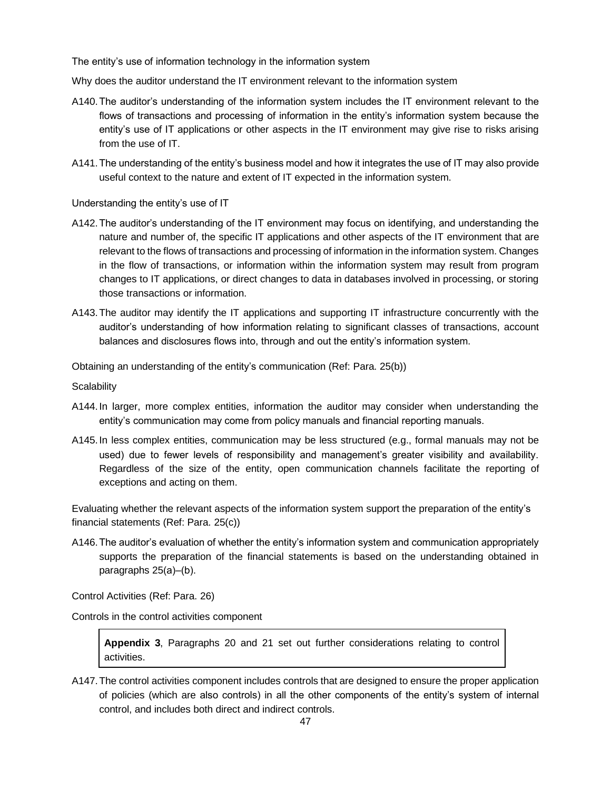The entity's use of information technology in the information system

Why does the auditor understand the IT environment relevant to the information system

- A140.The auditor's understanding of the information system includes the IT environment relevant to the flows of transactions and processing of information in the entity's information system because the entity's use of IT applications or other aspects in the IT environment may give rise to risks arising from the use of IT.
- A141.The understanding of the entity's business model and how it integrates the use of IT may also provide useful context to the nature and extent of IT expected in the information system.

Understanding the entity's use of IT

- A142.The auditor's understanding of the IT environment may focus on identifying, and understanding the nature and number of, the specific IT applications and other aspects of the IT environment that are relevant to the flows of transactions and processing of information in the information system. Changes in the flow of transactions, or information within the information system may result from program changes to IT applications, or direct changes to data in databases involved in processing, or storing those transactions or information.
- A143.The auditor may identify the IT applications and supporting IT infrastructure concurrently with the auditor's understanding of how information relating to significant classes of transactions, account balances and disclosures flows into, through and out the entity's information system.

Obtaining an understanding of the entity's communication (Ref: Para. 25(b))

**Scalability** 

- A144.In larger, more complex entities, information the auditor may consider when understanding the entity's communication may come from policy manuals and financial reporting manuals.
- A145.In less complex entities, communication may be less structured (e.g., formal manuals may not be used) due to fewer levels of responsibility and management's greater visibility and availability. Regardless of the size of the entity, open communication channels facilitate the reporting of exceptions and acting on them.

Evaluating whether the relevant aspects of the information system support the preparation of the entity's financial statements (Ref: Para. 25(c))

A146.The auditor's evaluation of whether the entity's information system and communication appropriately supports the preparation of the financial statements is based on the understanding obtained in paragraphs  $25(a)$ –(b).

Control Activities (Ref: Para. 26)

Controls in the control activities component

**Appendix 3**, Paragraphs 20 and 21 set out further considerations relating to control activities.

A147.The control activities component includes controls that are designed to ensure the proper application of policies (which are also controls) in all the other components of the entity's system of internal control, and includes both direct and indirect controls.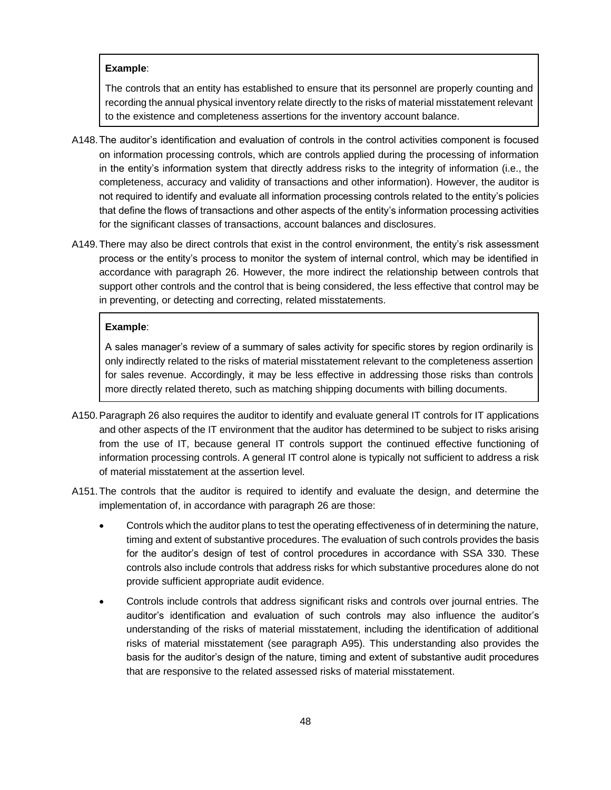### **Example**:

The controls that an entity has established to ensure that its personnel are properly counting and recording the annual physical inventory relate directly to the risks of material misstatement relevant to the existence and completeness assertions for the inventory account balance.

- A148.The auditor's identification and evaluation of controls in the control activities component is focused on information processing controls, which are controls applied during the processing of information in the entity's information system that directly address risks to the integrity of information (i.e., the completeness, accuracy and validity of transactions and other information). However, the auditor is not required to identify and evaluate all information processing controls related to the entity's policies that define the flows of transactions and other aspects of the entity's information processing activities for the significant classes of transactions, account balances and disclosures.
- A149.There may also be direct controls that exist in the control environment, the entity's risk assessment process or the entity's process to monitor the system of internal control, which may be identified in accordance with paragraph 26. However, the more indirect the relationship between controls that support other controls and the control that is being considered, the less effective that control may be in preventing, or detecting and correcting, related misstatements.

#### **Example**:

A sales manager's review of a summary of sales activity for specific stores by region ordinarily is only indirectly related to the risks of material misstatement relevant to the completeness assertion for sales revenue. Accordingly, it may be less effective in addressing those risks than controls more directly related thereto, such as matching shipping documents with billing documents.

- A150.Paragraph 26 also requires the auditor to identify and evaluate general IT controls for IT applications and other aspects of the IT environment that the auditor has determined to be subject to risks arising from the use of IT, because general IT controls support the continued effective functioning of information processing controls. A general IT control alone is typically not sufficient to address a risk of material misstatement at the assertion level.
- A151.The controls that the auditor is required to identify and evaluate the design, and determine the implementation of, in accordance with paragraph 26 are those:
	- Controls which the auditor plans to test the operating effectiveness of in determining the nature, timing and extent of substantive procedures. The evaluation of such controls provides the basis for the auditor's design of test of control procedures in accordance with SSA 330. These controls also include controls that address risks for which substantive procedures alone do not provide sufficient appropriate audit evidence.
	- Controls include controls that address significant risks and controls over journal entries. The auditor's identification and evaluation of such controls may also influence the auditor's understanding of the risks of material misstatement, including the identification of additional risks of material misstatement (see paragraph A95). This understanding also provides the basis for the auditor's design of the nature, timing and extent of substantive audit procedures that are responsive to the related assessed risks of material misstatement.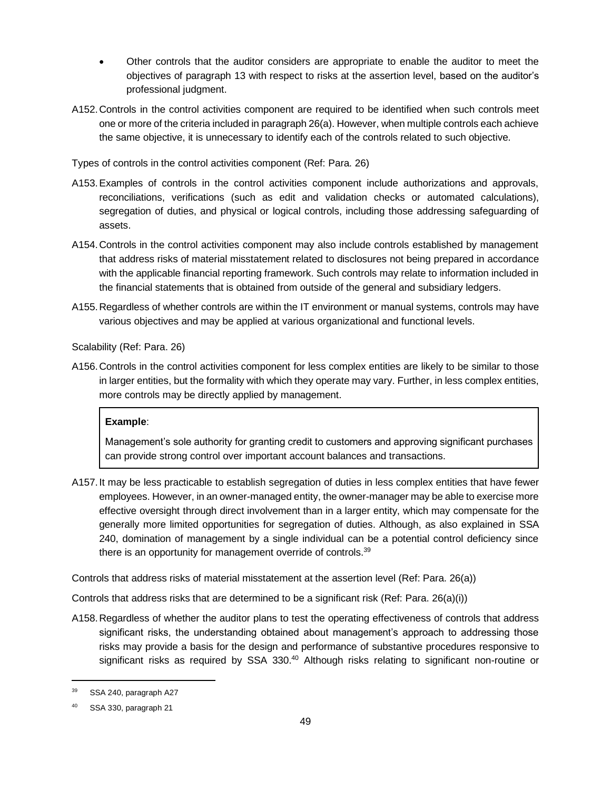- Other controls that the auditor considers are appropriate to enable the auditor to meet the objectives of paragraph 13 with respect to risks at the assertion level, based on the auditor's professional judgment.
- A152.Controls in the control activities component are required to be identified when such controls meet one or more of the criteria included in paragraph 26(a). However, when multiple controls each achieve the same objective, it is unnecessary to identify each of the controls related to such objective.

Types of controls in the control activities component (Ref: Para. 26)

- A153.Examples of controls in the control activities component include authorizations and approvals, reconciliations, verifications (such as edit and validation checks or automated calculations), segregation of duties, and physical or logical controls, including those addressing safeguarding of assets.
- A154.Controls in the control activities component may also include controls established by management that address risks of material misstatement related to disclosures not being prepared in accordance with the applicable financial reporting framework. Such controls may relate to information included in the financial statements that is obtained from outside of the general and subsidiary ledgers.
- A155.Regardless of whether controls are within the IT environment or manual systems, controls may have various objectives and may be applied at various organizational and functional levels.

Scalability (Ref: Para. 26)

A156.Controls in the control activities component for less complex entities are likely to be similar to those in larger entities, but the formality with which they operate may vary. Further, in less complex entities, more controls may be directly applied by management.

# **Example**:

Management's sole authority for granting credit to customers and approving significant purchases can provide strong control over important account balances and transactions.

A157.It may be less practicable to establish segregation of duties in less complex entities that have fewer employees. However, in an owner-managed entity, the owner-manager may be able to exercise more effective oversight through direct involvement than in a larger entity, which may compensate for the generally more limited opportunities for segregation of duties. Although, as also explained in SSA 240, domination of management by a single individual can be a potential control deficiency since there is an opportunity for management override of controls.<sup>39</sup>

Controls that address risks of material misstatement at the assertion level (Ref: Para. 26(a))

Controls that address risks that are determined to be a significant risk (Ref: Para.  $26(a)(i)$ )

A158.Regardless of whether the auditor plans to test the operating effectiveness of controls that address significant risks, the understanding obtained about management's approach to addressing those risks may provide a basis for the design and performance of substantive procedures responsive to significant risks as required by SSA 330.<sup>40</sup> Although risks relating to significant non-routine or

SSA 240, paragraph A27

<sup>40</sup> SSA 330, paragraph 21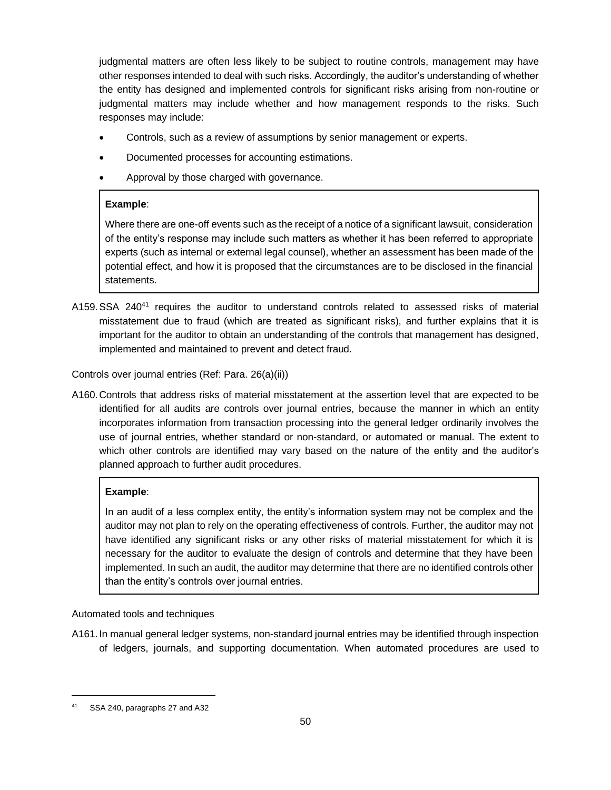judgmental matters are often less likely to be subject to routine controls, management may have other responses intended to deal with such risks. Accordingly, the auditor's understanding of whether the entity has designed and implemented controls for significant risks arising from non-routine or judgmental matters may include whether and how management responds to the risks. Such responses may include:

- Controls, such as a review of assumptions by senior management or experts.
- Documented processes for accounting estimations.
- Approval by those charged with governance.

# **Example**:

Where there are one-off events such as the receipt of a notice of a significant lawsuit, consideration of the entity's response may include such matters as whether it has been referred to appropriate experts (such as internal or external legal counsel), whether an assessment has been made of the potential effect, and how it is proposed that the circumstances are to be disclosed in the financial statements.

A159. SSA 240<sup>41</sup> requires the auditor to understand controls related to assessed risks of material misstatement due to fraud (which are treated as significant risks), and further explains that it is important for the auditor to obtain an understanding of the controls that management has designed, implemented and maintained to prevent and detect fraud.

Controls over journal entries (Ref: Para. 26(a)(ii))

A160.Controls that address risks of material misstatement at the assertion level that are expected to be identified for all audits are controls over journal entries, because the manner in which an entity incorporates information from transaction processing into the general ledger ordinarily involves the use of journal entries, whether standard or non-standard, or automated or manual. The extent to which other controls are identified may vary based on the nature of the entity and the auditor's planned approach to further audit procedures.

# **Example**:

In an audit of a less complex entity, the entity's information system may not be complex and the auditor may not plan to rely on the operating effectiveness of controls. Further, the auditor may not have identified any significant risks or any other risks of material misstatement for which it is necessary for the auditor to evaluate the design of controls and determine that they have been implemented. In such an audit, the auditor may determine that there are no identified controls other than the entity's controls over journal entries.

# Automated tools and techniques

A161.In manual general ledger systems, non-standard journal entries may be identified through inspection of ledgers, journals, and supporting documentation. When automated procedures are used to

SSA 240, paragraphs 27 and A32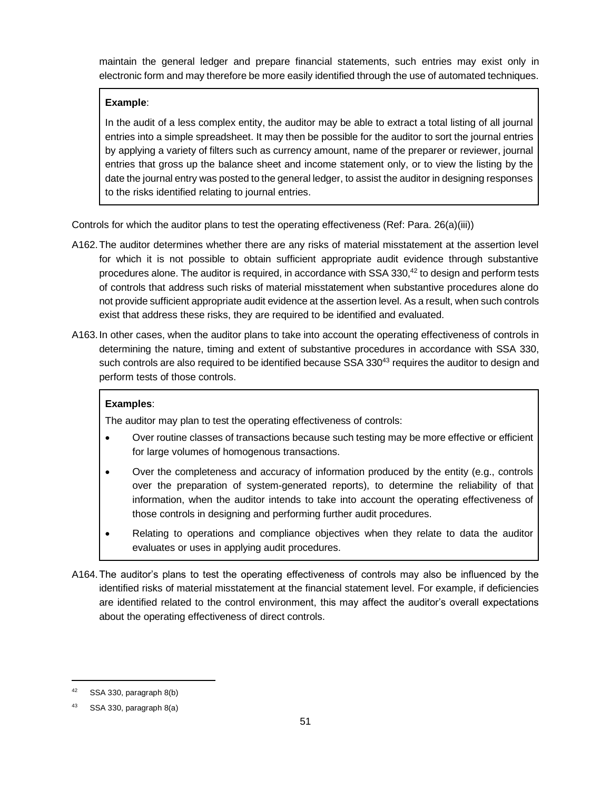maintain the general ledger and prepare financial statements, such entries may exist only in electronic form and may therefore be more easily identified through the use of automated techniques.

# **Example**:

In the audit of a less complex entity, the auditor may be able to extract a total listing of all journal entries into a simple spreadsheet. It may then be possible for the auditor to sort the journal entries by applying a variety of filters such as currency amount, name of the preparer or reviewer, journal entries that gross up the balance sheet and income statement only, or to view the listing by the date the journal entry was posted to the general ledger, to assist the auditor in designing responses to the risks identified relating to journal entries.

Controls for which the auditor plans to test the operating effectiveness (Ref: Para. 26(a)(iii))

- A162.The auditor determines whether there are any risks of material misstatement at the assertion level for which it is not possible to obtain sufficient appropriate audit evidence through substantive procedures alone. The auditor is required, in accordance with SSA 330,<sup>42</sup> to design and perform tests of controls that address such risks of material misstatement when substantive procedures alone do not provide sufficient appropriate audit evidence at the assertion level. As a result, when such controls exist that address these risks, they are required to be identified and evaluated.
- A163.In other cases, when the auditor plans to take into account the operating effectiveness of controls in determining the nature, timing and extent of substantive procedures in accordance with SSA 330, such controls are also required to be identified because  $SSA 330<sup>43</sup>$  requires the auditor to design and perform tests of those controls.

# **Examples**:

The auditor may plan to test the operating effectiveness of controls:

- Over routine classes of transactions because such testing may be more effective or efficient for large volumes of homogenous transactions.
- Over the completeness and accuracy of information produced by the entity (e.g., controls over the preparation of system-generated reports), to determine the reliability of that information, when the auditor intends to take into account the operating effectiveness of those controls in designing and performing further audit procedures.
- Relating to operations and compliance objectives when they relate to data the auditor evaluates or uses in applying audit procedures.
- A164.The auditor's plans to test the operating effectiveness of controls may also be influenced by the identified risks of material misstatement at the financial statement level. For example, if deficiencies are identified related to the control environment, this may affect the auditor's overall expectations about the operating effectiveness of direct controls.

SSA 330, paragraph 8(b)

<sup>43</sup> SSA 330, paragraph 8(a)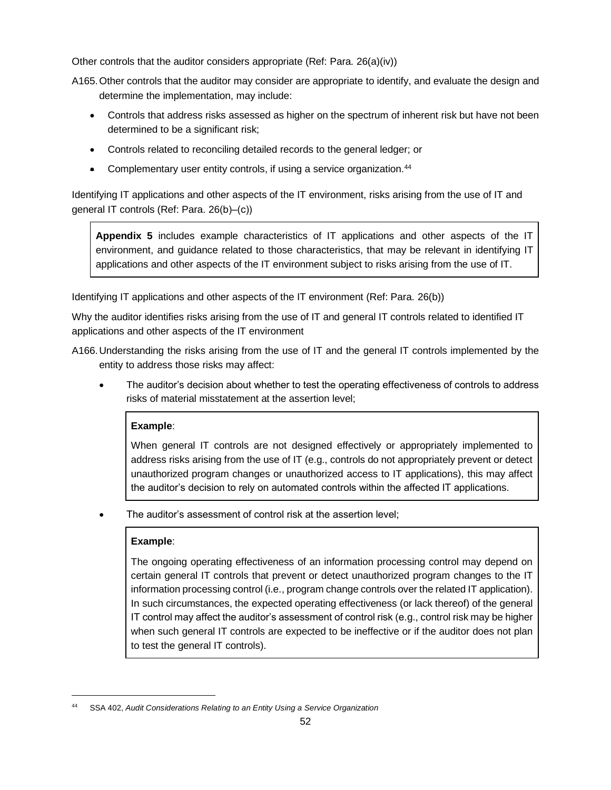Other controls that the auditor considers appropriate (Ref: Para. 26(a)(iv))

A165.Other controls that the auditor may consider are appropriate to identify, and evaluate the design and determine the implementation, may include:

- Controls that address risks assessed as higher on the spectrum of inherent risk but have not been determined to be a significant risk;
- Controls related to reconciling detailed records to the general ledger; or
- Complementary user entity controls, if using a service organization.  $44$

Identifying IT applications and other aspects of the IT environment, risks arising from the use of IT and general IT controls (Ref: Para. 26(b)–(c))

**Appendix 5** includes example characteristics of IT applications and other aspects of the IT environment, and guidance related to those characteristics, that may be relevant in identifying IT applications and other aspects of the IT environment subject to risks arising from the use of IT.

Identifying IT applications and other aspects of the IT environment (Ref: Para. 26(b))

Why the auditor identifies risks arising from the use of IT and general IT controls related to identified IT applications and other aspects of the IT environment

A166.Understanding the risks arising from the use of IT and the general IT controls implemented by the entity to address those risks may affect:

• The auditor's decision about whether to test the operating effectiveness of controls to address risks of material misstatement at the assertion level;

# **Example**:

When general IT controls are not designed effectively or appropriately implemented to address risks arising from the use of IT (e.g., controls do not appropriately prevent or detect unauthorized program changes or unauthorized access to IT applications), this may affect the auditor's decision to rely on automated controls within the affected IT applications.

The auditor's assessment of control risk at the assertion level;

# **Example**:

The ongoing operating effectiveness of an information processing control may depend on certain general IT controls that prevent or detect unauthorized program changes to the IT information processing control (i.e., program change controls over the related IT application). In such circumstances, the expected operating effectiveness (or lack thereof) of the general IT control may affect the auditor's assessment of control risk (e.g., control risk may be higher when such general IT controls are expected to be ineffective or if the auditor does not plan to test the general IT controls).

<sup>44</sup> SSA 402, *Audit Considerations Relating to an Entity Using a Service Organization*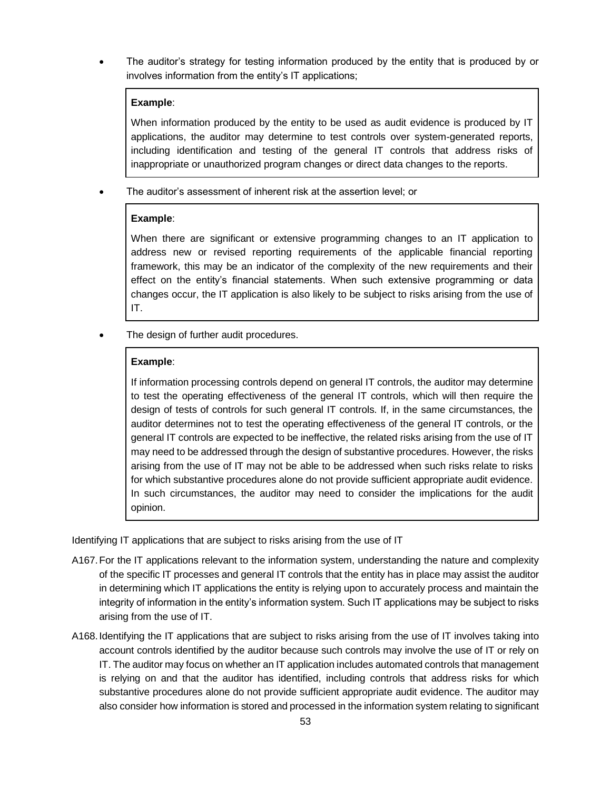The auditor's strategy for testing information produced by the entity that is produced by or involves information from the entity's IT applications;

### **Example**:

When information produced by the entity to be used as audit evidence is produced by IT applications, the auditor may determine to test controls over system-generated reports, including identification and testing of the general IT controls that address risks of inappropriate or unauthorized program changes or direct data changes to the reports.

• The auditor's assessment of inherent risk at the assertion level; or

### **Example**:

When there are significant or extensive programming changes to an IT application to address new or revised reporting requirements of the applicable financial reporting framework, this may be an indicator of the complexity of the new requirements and their effect on the entity's financial statements. When such extensive programming or data changes occur, the IT application is also likely to be subject to risks arising from the use of IT.

The design of further audit procedures.

### **Example**:

If information processing controls depend on general IT controls, the auditor may determine to test the operating effectiveness of the general IT controls, which will then require the design of tests of controls for such general IT controls. If, in the same circumstances, the auditor determines not to test the operating effectiveness of the general IT controls, or the general IT controls are expected to be ineffective, the related risks arising from the use of IT may need to be addressed through the design of substantive procedures. However, the risks arising from the use of IT may not be able to be addressed when such risks relate to risks for which substantive procedures alone do not provide sufficient appropriate audit evidence. In such circumstances, the auditor may need to consider the implications for the audit opinion.

Identifying IT applications that are subject to risks arising from the use of IT

- A167.For the IT applications relevant to the information system, understanding the nature and complexity of the specific IT processes and general IT controls that the entity has in place may assist the auditor in determining which IT applications the entity is relying upon to accurately process and maintain the integrity of information in the entity's information system. Such IT applications may be subject to risks arising from the use of IT.
- A168.Identifying the IT applications that are subject to risks arising from the use of IT involves taking into account controls identified by the auditor because such controls may involve the use of IT or rely on IT. The auditor may focus on whether an IT application includes automated controls that management is relying on and that the auditor has identified, including controls that address risks for which substantive procedures alone do not provide sufficient appropriate audit evidence. The auditor may also consider how information is stored and processed in the information system relating to significant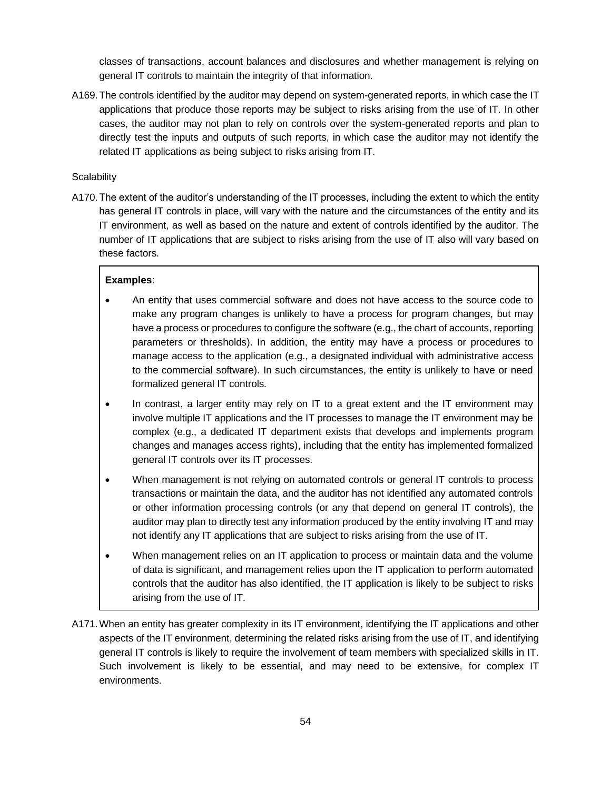classes of transactions, account balances and disclosures and whether management is relying on general IT controls to maintain the integrity of that information.

A169.The controls identified by the auditor may depend on system-generated reports, in which case the IT applications that produce those reports may be subject to risks arising from the use of IT. In other cases, the auditor may not plan to rely on controls over the system-generated reports and plan to directly test the inputs and outputs of such reports, in which case the auditor may not identify the related IT applications as being subject to risks arising from IT.

### **Scalability**

A170.The extent of the auditor's understanding of the IT processes, including the extent to which the entity has general IT controls in place, will vary with the nature and the circumstances of the entity and its IT environment, as well as based on the nature and extent of controls identified by the auditor. The number of IT applications that are subject to risks arising from the use of IT also will vary based on these factors.

# **Examples**:

- An entity that uses commercial software and does not have access to the source code to make any program changes is unlikely to have a process for program changes, but may have a process or procedures to configure the software (e.g., the chart of accounts, reporting parameters or thresholds). In addition, the entity may have a process or procedures to manage access to the application (e.g., a designated individual with administrative access to the commercial software). In such circumstances, the entity is unlikely to have or need formalized general IT controls.
- In contrast, a larger entity may rely on IT to a great extent and the IT environment may involve multiple IT applications and the IT processes to manage the IT environment may be complex (e.g., a dedicated IT department exists that develops and implements program changes and manages access rights), including that the entity has implemented formalized general IT controls over its IT processes.
- When management is not relying on automated controls or general IT controls to process transactions or maintain the data, and the auditor has not identified any automated controls or other information processing controls (or any that depend on general IT controls), the auditor may plan to directly test any information produced by the entity involving IT and may not identify any IT applications that are subject to risks arising from the use of IT.
- When management relies on an IT application to process or maintain data and the volume of data is significant, and management relies upon the IT application to perform automated controls that the auditor has also identified, the IT application is likely to be subject to risks arising from the use of IT.
- A171.When an entity has greater complexity in its IT environment, identifying the IT applications and other aspects of the IT environment, determining the related risks arising from the use of IT, and identifying general IT controls is likely to require the involvement of team members with specialized skills in IT. Such involvement is likely to be essential, and may need to be extensive, for complex IT environments.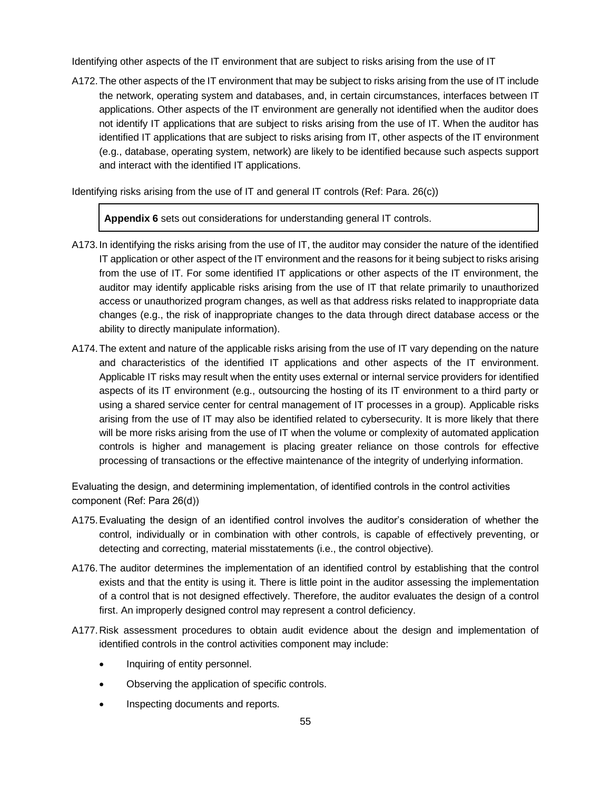Identifying other aspects of the IT environment that are subject to risks arising from the use of IT

A172.The other aspects of the IT environment that may be subject to risks arising from the use of IT include the network, operating system and databases, and, in certain circumstances, interfaces between IT applications. Other aspects of the IT environment are generally not identified when the auditor does not identify IT applications that are subject to risks arising from the use of IT. When the auditor has identified IT applications that are subject to risks arising from IT, other aspects of the IT environment (e.g., database, operating system, network) are likely to be identified because such aspects support and interact with the identified IT applications.

Identifying risks arising from the use of IT and general IT controls (Ref: Para. 26(c))

**Appendix 6** sets out considerations for understanding general IT controls.

- A173.In identifying the risks arising from the use of IT, the auditor may consider the nature of the identified IT application or other aspect of the IT environment and the reasons for it being subject to risks arising from the use of IT. For some identified IT applications or other aspects of the IT environment, the auditor may identify applicable risks arising from the use of IT that relate primarily to unauthorized access or unauthorized program changes, as well as that address risks related to inappropriate data changes (e.g., the risk of inappropriate changes to the data through direct database access or the ability to directly manipulate information).
- A174.The extent and nature of the applicable risks arising from the use of IT vary depending on the nature and characteristics of the identified IT applications and other aspects of the IT environment. Applicable IT risks may result when the entity uses external or internal service providers for identified aspects of its IT environment (e.g., outsourcing the hosting of its IT environment to a third party or using a shared service center for central management of IT processes in a group). Applicable risks arising from the use of IT may also be identified related to cybersecurity. It is more likely that there will be more risks arising from the use of IT when the volume or complexity of automated application controls is higher and management is placing greater reliance on those controls for effective processing of transactions or the effective maintenance of the integrity of underlying information.

Evaluating the design, and determining implementation, of identified controls in the control activities component (Ref: Para 26(d))

- A175.Evaluating the design of an identified control involves the auditor's consideration of whether the control, individually or in combination with other controls, is capable of effectively preventing, or detecting and correcting, material misstatements (i.e., the control objective).
- A176.The auditor determines the implementation of an identified control by establishing that the control exists and that the entity is using it. There is little point in the auditor assessing the implementation of a control that is not designed effectively. Therefore, the auditor evaluates the design of a control first. An improperly designed control may represent a control deficiency.
- A177.Risk assessment procedures to obtain audit evidence about the design and implementation of identified controls in the control activities component may include:
	- Inquiring of entity personnel.
	- Observing the application of specific controls.
	- Inspecting documents and reports.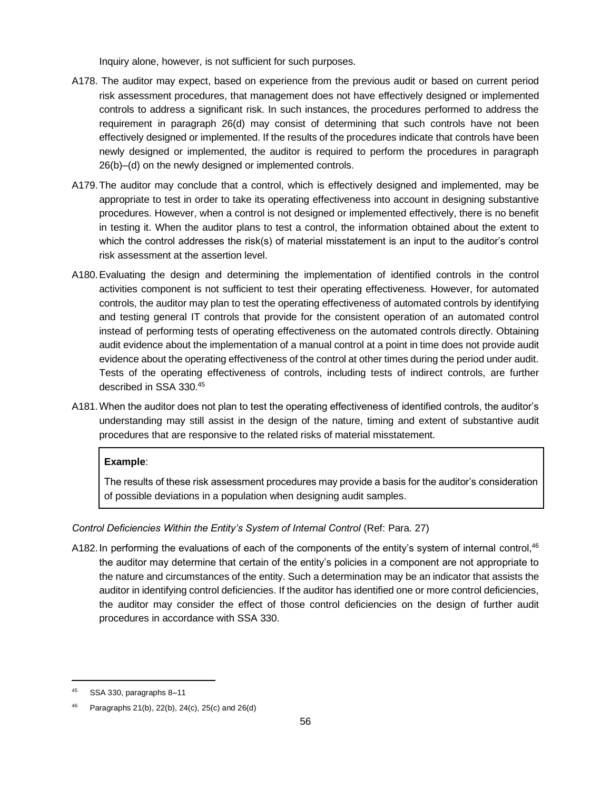Inquiry alone, however, is not sufficient for such purposes.

- A178. The auditor may expect, based on experience from the previous audit or based on current period risk assessment procedures, that management does not have effectively designed or implemented controls to address a significant risk. In such instances, the procedures performed to address the requirement in paragraph 26(d) may consist of determining that such controls have not been effectively designed or implemented. If the results of the procedures indicate that controls have been newly designed or implemented, the auditor is required to perform the procedures in paragraph 26(b)–(d) on the newly designed or implemented controls.
- A179.The auditor may conclude that a control, which is effectively designed and implemented, may be appropriate to test in order to take its operating effectiveness into account in designing substantive procedures. However, when a control is not designed or implemented effectively, there is no benefit in testing it. When the auditor plans to test a control, the information obtained about the extent to which the control addresses the risk(s) of material misstatement is an input to the auditor's control risk assessment at the assertion level.
- A180.Evaluating the design and determining the implementation of identified controls in the control activities component is not sufficient to test their operating effectiveness. However, for automated controls, the auditor may plan to test the operating effectiveness of automated controls by identifying and testing general IT controls that provide for the consistent operation of an automated control instead of performing tests of operating effectiveness on the automated controls directly. Obtaining audit evidence about the implementation of a manual control at a point in time does not provide audit evidence about the operating effectiveness of the control at other times during the period under audit. Tests of the operating effectiveness of controls, including tests of indirect controls, are further described in SSA 330.<sup>45</sup>
- A181.When the auditor does not plan to test the operating effectiveness of identified controls, the auditor's understanding may still assist in the design of the nature, timing and extent of substantive audit procedures that are responsive to the related risks of material misstatement.

### **Example**:

The results of these risk assessment procedures may provide a basis for the auditor's consideration of possible deviations in a population when designing audit samples.

### *Control Deficiencies Within the Entity's System of Internal Control* (Ref: Para. 27)

A182. In performing the evaluations of each of the components of the entity's system of internal control, <sup>46</sup> the auditor may determine that certain of the entity's policies in a component are not appropriate to the nature and circumstances of the entity. Such a determination may be an indicator that assists the auditor in identifying control deficiencies. If the auditor has identified one or more control deficiencies, the auditor may consider the effect of those control deficiencies on the design of further audit procedures in accordance with SSA 330.

<sup>45</sup> SSA 330, paragraphs 8–11

Paragraphs 21(b), 22(b), 24(c), 25(c) and 26(d)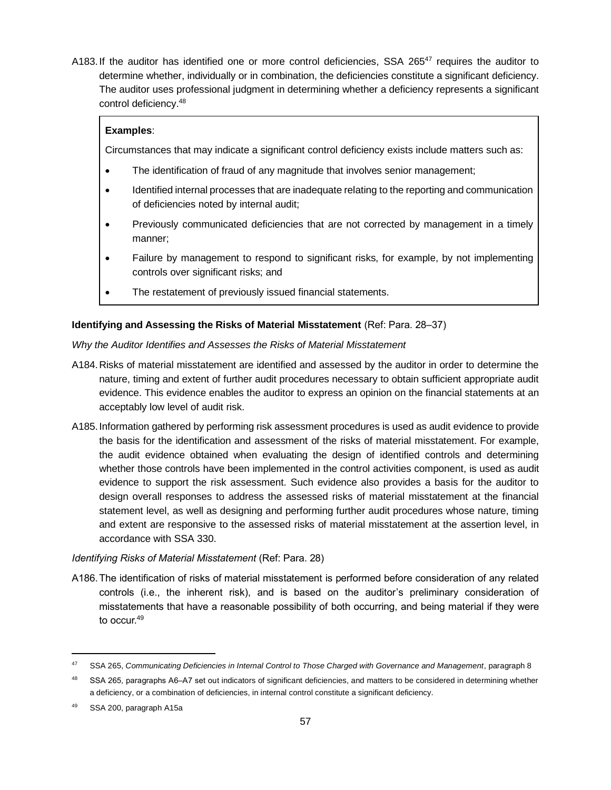A183. If the auditor has identified one or more control deficiencies, SSA 265<sup>47</sup> requires the auditor to determine whether, individually or in combination, the deficiencies constitute a significant deficiency. The auditor uses professional judgment in determining whether a deficiency represents a significant control deficiency.<sup>48</sup>

### **Examples**:

Circumstances that may indicate a significant control deficiency exists include matters such as:

- The identification of fraud of any magnitude that involves senior management;
- Identified internal processes that are inadequate relating to the reporting and communication of deficiencies noted by internal audit;
- Previously communicated deficiencies that are not corrected by management in a timely manner;
- Failure by management to respond to significant risks, for example, by not implementing controls over significant risks; and
- The restatement of previously issued financial statements.

### **Identifying and Assessing the Risks of Material Misstatement (Ref: Para. 28–37)**

*Why the Auditor Identifies and Assesses the Risks of Material Misstatement*

- A184.Risks of material misstatement are identified and assessed by the auditor in order to determine the nature, timing and extent of further audit procedures necessary to obtain sufficient appropriate audit evidence. This evidence enables the auditor to express an opinion on the financial statements at an acceptably low level of audit risk.
- A185.Information gathered by performing risk assessment procedures is used as audit evidence to provide the basis for the identification and assessment of the risks of material misstatement. For example, the audit evidence obtained when evaluating the design of identified controls and determining whether those controls have been implemented in the control activities component, is used as audit evidence to support the risk assessment. Such evidence also provides a basis for the auditor to design overall responses to address the assessed risks of material misstatement at the financial statement level, as well as designing and performing further audit procedures whose nature, timing and extent are responsive to the assessed risks of material misstatement at the assertion level, in accordance with SSA 330.

### *Identifying Risks of Material Misstatement* (Ref: Para. 28)

A186.The identification of risks of material misstatement is performed before consideration of any related controls (i.e., the inherent risk), and is based on the auditor's preliminary consideration of misstatements that have a reasonable possibility of both occurring, and being material if they were to occur.<sup>49</sup>

<sup>47</sup> SSA 265, *Communicating Deficiencies in Internal Control to Those Charged with Governance and Management*, paragraph 8

SSA 265, paragraphs A6-A7 set out indicators of significant deficiencies, and matters to be considered in determining whether a deficiency, or a combination of deficiencies, in internal control constitute a significant deficiency.

<sup>49</sup> SSA 200, paragraph A15a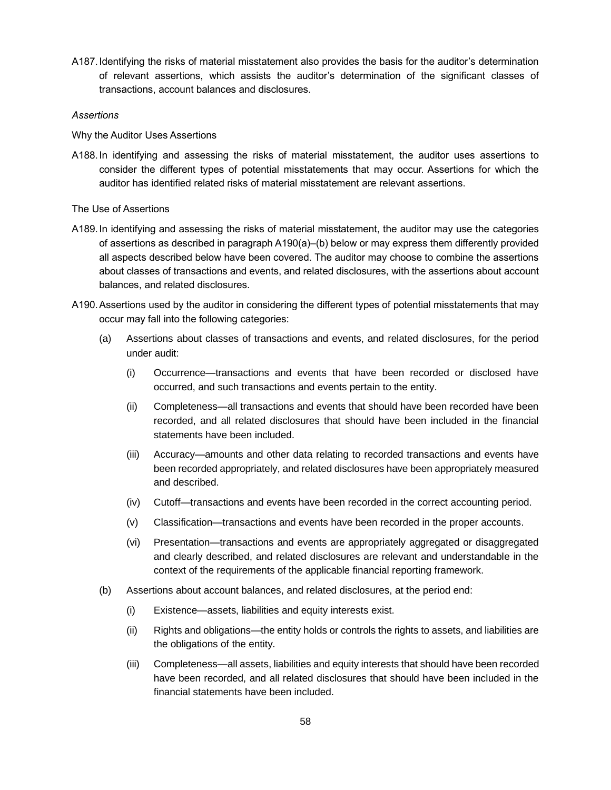A187.Identifying the risks of material misstatement also provides the basis for the auditor's determination of relevant assertions, which assists the auditor's determination of the significant classes of transactions, account balances and disclosures.

### *Assertions*

Why the Auditor Uses Assertions

A188.In identifying and assessing the risks of material misstatement, the auditor uses assertions to consider the different types of potential misstatements that may occur. Assertions for which the auditor has identified related risks of material misstatement are relevant assertions.

### The Use of Assertions

- A189.In identifying and assessing the risks of material misstatement, the auditor may use the categories of assertions as described in paragraph  $A190(a)$ –(b) below or may express them differently provided all aspects described below have been covered. The auditor may choose to combine the assertions about classes of transactions and events, and related disclosures, with the assertions about account balances, and related disclosures.
- A190.Assertions used by the auditor in considering the different types of potential misstatements that may occur may fall into the following categories:
	- (a) Assertions about classes of transactions and events, and related disclosures, for the period under audit:
		- (i) Occurrence—transactions and events that have been recorded or disclosed have occurred, and such transactions and events pertain to the entity.
		- (ii) Completeness—all transactions and events that should have been recorded have been recorded, and all related disclosures that should have been included in the financial statements have been included.
		- (iii) Accuracy—amounts and other data relating to recorded transactions and events have been recorded appropriately, and related disclosures have been appropriately measured and described.
		- (iv) Cutoff—transactions and events have been recorded in the correct accounting period.
		- (v) Classification—transactions and events have been recorded in the proper accounts.
		- (vi) Presentation—transactions and events are appropriately aggregated or disaggregated and clearly described, and related disclosures are relevant and understandable in the context of the requirements of the applicable financial reporting framework.
	- (b) Assertions about account balances, and related disclosures, at the period end:
		- (i) Existence—assets, liabilities and equity interests exist.
		- (ii) Rights and obligations—the entity holds or controls the rights to assets, and liabilities are the obligations of the entity.
		- (iii) Completeness—all assets, liabilities and equity interests that should have been recorded have been recorded, and all related disclosures that should have been included in the financial statements have been included.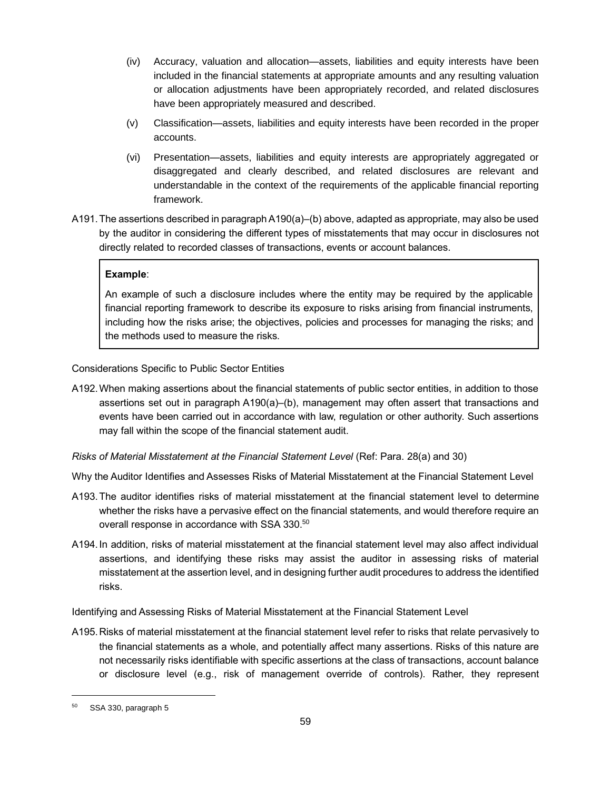- (iv) Accuracy, valuation and allocation—assets, liabilities and equity interests have been included in the financial statements at appropriate amounts and any resulting valuation or allocation adjustments have been appropriately recorded, and related disclosures have been appropriately measured and described.
- (v) Classification—assets, liabilities and equity interests have been recorded in the proper accounts.
- (vi) Presentation—assets, liabilities and equity interests are appropriately aggregated or disaggregated and clearly described, and related disclosures are relevant and understandable in the context of the requirements of the applicable financial reporting framework.
- A191. The assertions described in paragraph A190(a)–(b) above, adapted as appropriate, may also be used by the auditor in considering the different types of misstatements that may occur in disclosures not directly related to recorded classes of transactions, events or account balances.

# **Example**:

An example of such a disclosure includes where the entity may be required by the applicable financial reporting framework to describe its exposure to risks arising from financial instruments, including how the risks arise; the objectives, policies and processes for managing the risks; and the methods used to measure the risks.

Considerations Specific to Public Sector Entities

A192.When making assertions about the financial statements of public sector entities, in addition to those assertions set out in paragraph  $A190(a)$ –(b), management may often assert that transactions and events have been carried out in accordance with law, regulation or other authority. Such assertions may fall within the scope of the financial statement audit.

*Risks of Material Misstatement at the Financial Statement Level* (Ref: Para. 28(a) and 30)

Why the Auditor Identifies and Assesses Risks of Material Misstatement at the Financial Statement Level

- A193.The auditor identifies risks of material misstatement at the financial statement level to determine whether the risks have a pervasive effect on the financial statements, and would therefore require an overall response in accordance with SSA 330.<sup>50</sup>
- A194.In addition, risks of material misstatement at the financial statement level may also affect individual assertions, and identifying these risks may assist the auditor in assessing risks of material misstatement at the assertion level, and in designing further audit procedures to address the identified risks.

Identifying and Assessing Risks of Material Misstatement at the Financial Statement Level

A195.Risks of material misstatement at the financial statement level refer to risks that relate pervasively to the financial statements as a whole, and potentially affect many assertions. Risks of this nature are not necessarily risks identifiable with specific assertions at the class of transactions, account balance or disclosure level (e.g., risk of management override of controls). Rather, they represent

SSA 330, paragraph 5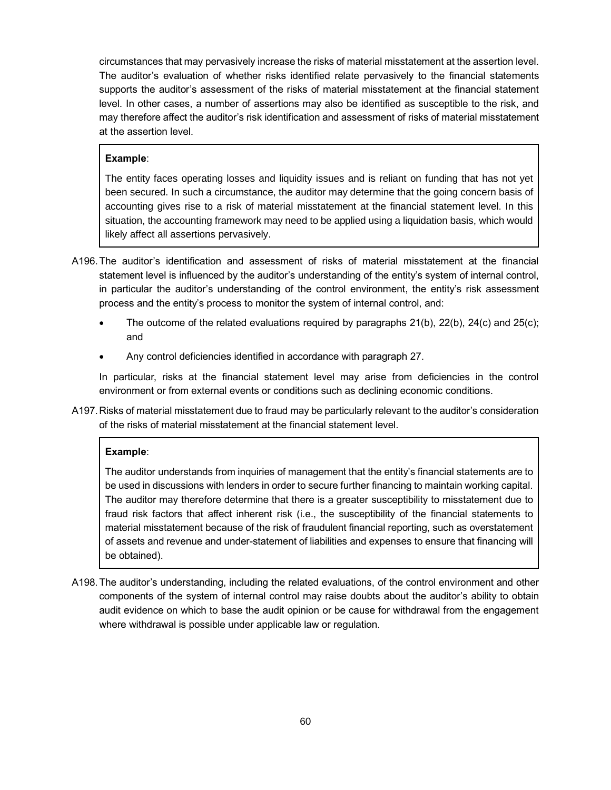circumstances that may pervasively increase the risks of material misstatement at the assertion level. The auditor's evaluation of whether risks identified relate pervasively to the financial statements supports the auditor's assessment of the risks of material misstatement at the financial statement level. In other cases, a number of assertions may also be identified as susceptible to the risk, and may therefore affect the auditor's risk identification and assessment of risks of material misstatement at the assertion level.

### **Example**:

The entity faces operating losses and liquidity issues and is reliant on funding that has not yet been secured. In such a circumstance, the auditor may determine that the going concern basis of accounting gives rise to a risk of material misstatement at the financial statement level. In this situation, the accounting framework may need to be applied using a liquidation basis, which would likely affect all assertions pervasively.

- A196.The auditor's identification and assessment of risks of material misstatement at the financial statement level is influenced by the auditor's understanding of the entity's system of internal control, in particular the auditor's understanding of the control environment, the entity's risk assessment process and the entity's process to monitor the system of internal control, and:
	- The outcome of the related evaluations required by paragraphs 21(b), 22(b), 24(c) and 25(c); and
	- Any control deficiencies identified in accordance with paragraph 27.

In particular, risks at the financial statement level may arise from deficiencies in the control environment or from external events or conditions such as declining economic conditions.

A197.Risks of material misstatement due to fraud may be particularly relevant to the auditor's consideration of the risks of material misstatement at the financial statement level.

### **Example**:

The auditor understands from inquiries of management that the entity's financial statements are to be used in discussions with lenders in order to secure further financing to maintain working capital. The auditor may therefore determine that there is a greater susceptibility to misstatement due to fraud risk factors that affect inherent risk (i.e., the susceptibility of the financial statements to material misstatement because of the risk of fraudulent financial reporting, such as overstatement of assets and revenue and under-statement of liabilities and expenses to ensure that financing will be obtained).

A198.The auditor's understanding, including the related evaluations, of the control environment and other components of the system of internal control may raise doubts about the auditor's ability to obtain audit evidence on which to base the audit opinion or be cause for withdrawal from the engagement where withdrawal is possible under applicable law or regulation.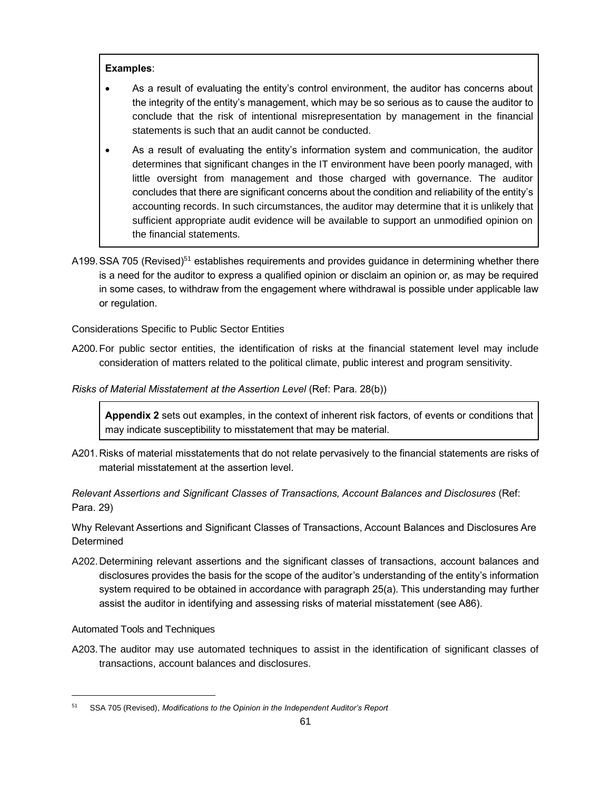### **Examples**:

- As a result of evaluating the entity's control environment, the auditor has concerns about the integrity of the entity's management, which may be so serious as to cause the auditor to conclude that the risk of intentional misrepresentation by management in the financial statements is such that an audit cannot be conducted.
- As a result of evaluating the entity's information system and communication, the auditor determines that significant changes in the IT environment have been poorly managed, with little oversight from management and those charged with governance. The auditor concludes that there are significant concerns about the condition and reliability of the entity's accounting records. In such circumstances, the auditor may determine that it is unlikely that sufficient appropriate audit evidence will be available to support an unmodified opinion on the financial statements.
- A199. SSA 705 (Revised)<sup>51</sup> establishes requirements and provides quidance in determining whether there is a need for the auditor to express a qualified opinion or disclaim an opinion or, as may be required in some cases, to withdraw from the engagement where withdrawal is possible under applicable law or regulation.

Considerations Specific to Public Sector Entities

A200.For public sector entities, the identification of risks at the financial statement level may include consideration of matters related to the political climate, public interest and program sensitivity.

### *Risks of Material Misstatement at the Assertion Level (Ref: Para. 28(b))*

**Appendix 2** sets out examples, in the context of inherent risk factors, of events or conditions that may indicate susceptibility to misstatement that may be material.

A201.Risks of material misstatements that do not relate pervasively to the financial statements are risks of material misstatement at the assertion level.

*Relevant Assertions and Significant Classes of Transactions, Account Balances and Disclosures* (Ref: Para. 29)

Why Relevant Assertions and Significant Classes of Transactions, Account Balances and Disclosures Are **Determined** 

A202.Determining relevant assertions and the significant classes of transactions, account balances and disclosures provides the basis for the scope of the auditor's understanding of the entity's information system required to be obtained in accordance with paragraph 25(a). This understanding may further assist the auditor in identifying and assessing risks of material misstatement (see A86).

Automated Tools and Techniques

A203.The auditor may use automated techniques to assist in the identification of significant classes of transactions, account balances and disclosures.

<sup>51</sup> SSA 705 (Revised), *Modifications to the Opinion in the Independent Auditor's Report*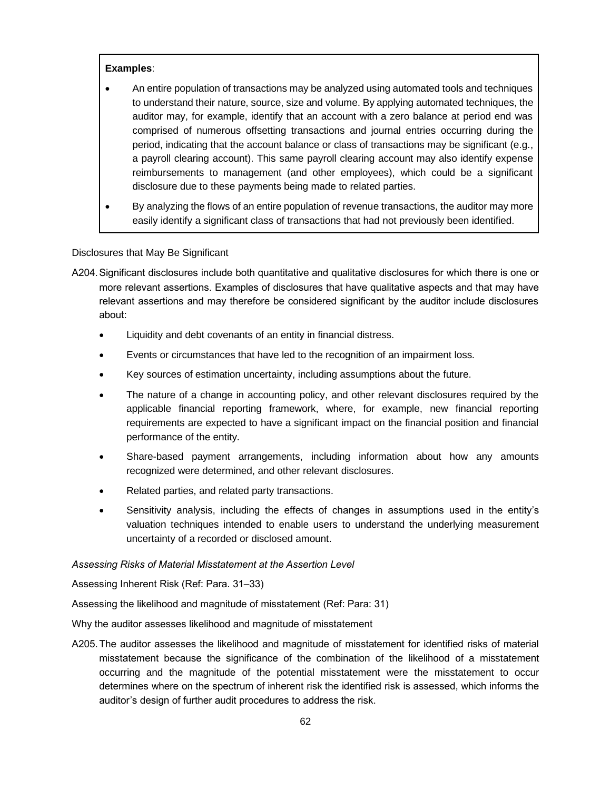# **Examples**:

- An entire population of transactions may be analyzed using automated tools and techniques to understand their nature, source, size and volume. By applying automated techniques, the auditor may, for example, identify that an account with a zero balance at period end was comprised of numerous offsetting transactions and journal entries occurring during the period, indicating that the account balance or class of transactions may be significant (e.g., a payroll clearing account). This same payroll clearing account may also identify expense reimbursements to management (and other employees), which could be a significant disclosure due to these payments being made to related parties.
- By analyzing the flows of an entire population of revenue transactions, the auditor may more easily identify a significant class of transactions that had not previously been identified.

### Disclosures that May Be Significant

- A204.Significant disclosures include both quantitative and qualitative disclosures for which there is one or more relevant assertions. Examples of disclosures that have qualitative aspects and that may have relevant assertions and may therefore be considered significant by the auditor include disclosures about:
	- Liquidity and debt covenants of an entity in financial distress.
	- Events or circumstances that have led to the recognition of an impairment loss.
	- Key sources of estimation uncertainty, including assumptions about the future.
	- The nature of a change in accounting policy, and other relevant disclosures required by the applicable financial reporting framework, where, for example, new financial reporting requirements are expected to have a significant impact on the financial position and financial performance of the entity.
	- Share-based payment arrangements, including information about how any amounts recognized were determined, and other relevant disclosures.
	- Related parties, and related party transactions.
	- Sensitivity analysis, including the effects of changes in assumptions used in the entity's valuation techniques intended to enable users to understand the underlying measurement uncertainty of a recorded or disclosed amount.

### *Assessing Risks of Material Misstatement at the Assertion Level*

Assessing Inherent Risk (Ref: Para. 31‒33)

Assessing the likelihood and magnitude of misstatement (Ref: Para: 31)

Why the auditor assesses likelihood and magnitude of misstatement

A205.The auditor assesses the likelihood and magnitude of misstatement for identified risks of material misstatement because the significance of the combination of the likelihood of a misstatement occurring and the magnitude of the potential misstatement were the misstatement to occur determines where on the spectrum of inherent risk the identified risk is assessed, which informs the auditor's design of further audit procedures to address the risk.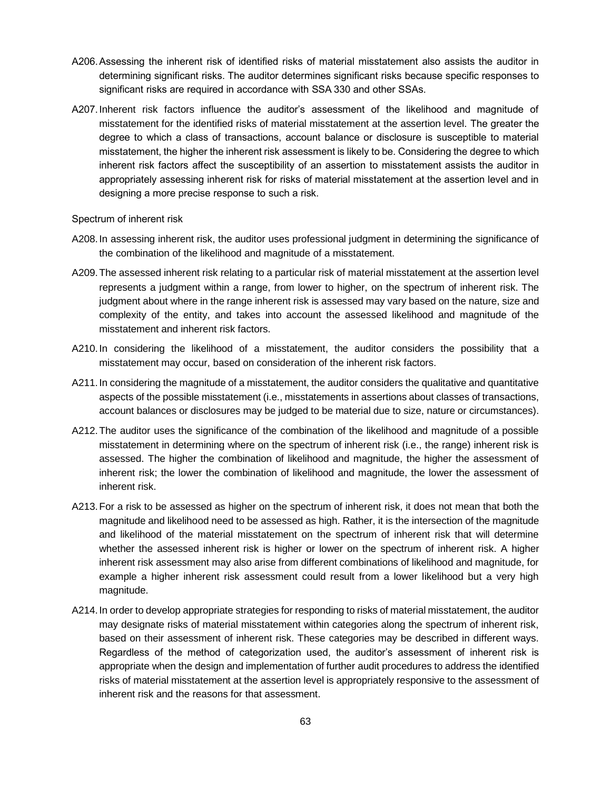- A206.Assessing the inherent risk of identified risks of material misstatement also assists the auditor in determining significant risks. The auditor determines significant risks because specific responses to significant risks are required in accordance with SSA 330 and other SSAs.
- A207.Inherent risk factors influence the auditor's assessment of the likelihood and magnitude of misstatement for the identified risks of material misstatement at the assertion level. The greater the degree to which a class of transactions, account balance or disclosure is susceptible to material misstatement, the higher the inherent risk assessment is likely to be. Considering the degree to which inherent risk factors affect the susceptibility of an assertion to misstatement assists the auditor in appropriately assessing inherent risk for risks of material misstatement at the assertion level and in designing a more precise response to such a risk.

#### Spectrum of inherent risk

- A208.In assessing inherent risk, the auditor uses professional judgment in determining the significance of the combination of the likelihood and magnitude of a misstatement.
- A209.The assessed inherent risk relating to a particular risk of material misstatement at the assertion level represents a judgment within a range, from lower to higher, on the spectrum of inherent risk. The judgment about where in the range inherent risk is assessed may vary based on the nature, size and complexity of the entity, and takes into account the assessed likelihood and magnitude of the misstatement and inherent risk factors.
- A210.In considering the likelihood of a misstatement, the auditor considers the possibility that a misstatement may occur, based on consideration of the inherent risk factors.
- A211. In considering the magnitude of a misstatement, the auditor considers the qualitative and quantitative aspects of the possible misstatement (i.e., misstatements in assertions about classes of transactions, account balances or disclosures may be judged to be material due to size, nature or circumstances).
- A212.The auditor uses the significance of the combination of the likelihood and magnitude of a possible misstatement in determining where on the spectrum of inherent risk (i.e., the range) inherent risk is assessed. The higher the combination of likelihood and magnitude, the higher the assessment of inherent risk; the lower the combination of likelihood and magnitude, the lower the assessment of inherent risk.
- A213.For a risk to be assessed as higher on the spectrum of inherent risk, it does not mean that both the magnitude and likelihood need to be assessed as high. Rather, it is the intersection of the magnitude and likelihood of the material misstatement on the spectrum of inherent risk that will determine whether the assessed inherent risk is higher or lower on the spectrum of inherent risk. A higher inherent risk assessment may also arise from different combinations of likelihood and magnitude, for example a higher inherent risk assessment could result from a lower likelihood but a very high magnitude.
- A214.In order to develop appropriate strategies for responding to risks of material misstatement, the auditor may designate risks of material misstatement within categories along the spectrum of inherent risk, based on their assessment of inherent risk. These categories may be described in different ways. Regardless of the method of categorization used, the auditor's assessment of inherent risk is appropriate when the design and implementation of further audit procedures to address the identified risks of material misstatement at the assertion level is appropriately responsive to the assessment of inherent risk and the reasons for that assessment.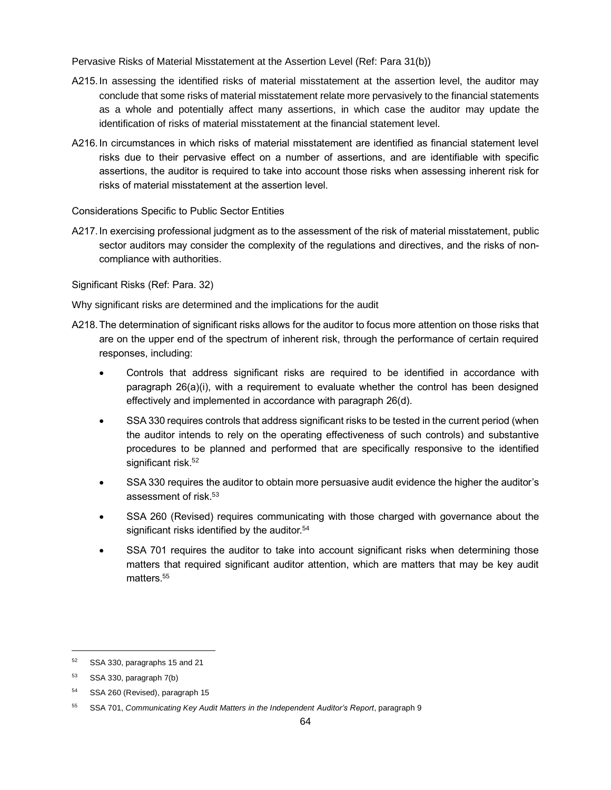Pervasive Risks of Material Misstatement at the Assertion Level (Ref: Para 31(b))

- A215.In assessing the identified risks of material misstatement at the assertion level, the auditor may conclude that some risks of material misstatement relate more pervasively to the financial statements as a whole and potentially affect many assertions, in which case the auditor may update the identification of risks of material misstatement at the financial statement level.
- A216.In circumstances in which risks of material misstatement are identified as financial statement level risks due to their pervasive effect on a number of assertions, and are identifiable with specific assertions, the auditor is required to take into account those risks when assessing inherent risk for risks of material misstatement at the assertion level.

Considerations Specific to Public Sector Entities

A217.In exercising professional judgment as to the assessment of the risk of material misstatement, public sector auditors may consider the complexity of the regulations and directives, and the risks of noncompliance with authorities.

Significant Risks (Ref: Para. 32)

Why significant risks are determined and the implications for the audit

- A218.The determination of significant risks allows for the auditor to focus more attention on those risks that are on the upper end of the spectrum of inherent risk, through the performance of certain required responses, including:
	- Controls that address significant risks are required to be identified in accordance with paragraph 26(a)(i), with a requirement to evaluate whether the control has been designed effectively and implemented in accordance with paragraph 26(d).
	- SSA 330 requires controls that address significant risks to be tested in the current period (when the auditor intends to rely on the operating effectiveness of such controls) and substantive procedures to be planned and performed that are specifically responsive to the identified significant risk.<sup>52</sup>
	- SSA 330 requires the auditor to obtain more persuasive audit evidence the higher the auditor's assessment of risk.<sup>53</sup>
	- SSA 260 (Revised) requires communicating with those charged with governance about the significant risks identified by the auditor.<sup>54</sup>
	- SSA 701 requires the auditor to take into account significant risks when determining those matters that required significant auditor attention, which are matters that may be key audit matters.<sup>55</sup>

<sup>52</sup> SSA 330, paragraphs 15 and 21

<sup>53</sup> SSA 330, paragraph 7(b)

<sup>54</sup> SSA 260 (Revised), paragraph 15

<sup>55</sup> SSA 701, *Communicating Key Audit Matters in the Independent Auditor's Report*, paragraph 9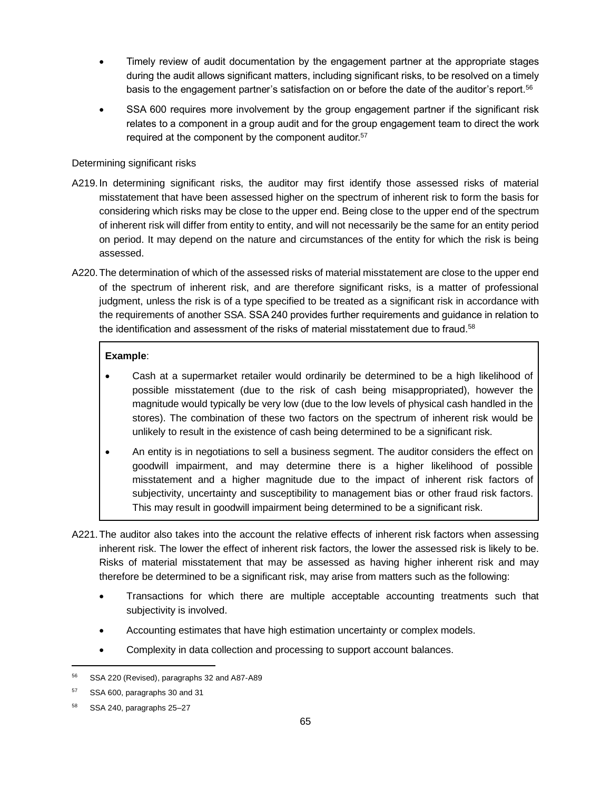- Timely review of audit documentation by the engagement partner at the appropriate stages during the audit allows significant matters, including significant risks, to be resolved on a timely basis to the engagement partner's satisfaction on or before the date of the auditor's report.<sup>56</sup>
- SSA 600 requires more involvement by the group engagement partner if the significant risk relates to a component in a group audit and for the group engagement team to direct the work required at the component by the component auditor.<sup>57</sup>

### Determining significant risks

- A219.In determining significant risks, the auditor may first identify those assessed risks of material misstatement that have been assessed higher on the spectrum of inherent risk to form the basis for considering which risks may be close to the upper end. Being close to the upper end of the spectrum of inherent risk will differ from entity to entity, and will not necessarily be the same for an entity period on period. It may depend on the nature and circumstances of the entity for which the risk is being assessed.
- A220.The determination of which of the assessed risks of material misstatement are close to the upper end of the spectrum of inherent risk, and are therefore significant risks, is a matter of professional judgment, unless the risk is of a type specified to be treated as a significant risk in accordance with the requirements of another SSA. SSA 240 provides further requirements and guidance in relation to the identification and assessment of the risks of material misstatement due to fraud.<sup>58</sup>

### **Example**:

- Cash at a supermarket retailer would ordinarily be determined to be a high likelihood of possible misstatement (due to the risk of cash being misappropriated), however the magnitude would typically be very low (due to the low levels of physical cash handled in the stores). The combination of these two factors on the spectrum of inherent risk would be unlikely to result in the existence of cash being determined to be a significant risk.
- An entity is in negotiations to sell a business segment. The auditor considers the effect on goodwill impairment, and may determine there is a higher likelihood of possible misstatement and a higher magnitude due to the impact of inherent risk factors of subjectivity, uncertainty and susceptibility to management bias or other fraud risk factors. This may result in goodwill impairment being determined to be a significant risk.
- A221.The auditor also takes into the account the relative effects of inherent risk factors when assessing inherent risk. The lower the effect of inherent risk factors, the lower the assessed risk is likely to be. Risks of material misstatement that may be assessed as having higher inherent risk and may therefore be determined to be a significant risk, may arise from matters such as the following:
	- Transactions for which there are multiple acceptable accounting treatments such that subjectivity is involved.
	- Accounting estimates that have high estimation uncertainty or complex models.
	- Complexity in data collection and processing to support account balances.

<sup>56</sup> SSA 220 (Revised), paragraphs 32 and A87-A89

<sup>57</sup> SSA 600, paragraphs 30 and 31

<sup>58</sup> SSA 240, paragraphs 25–27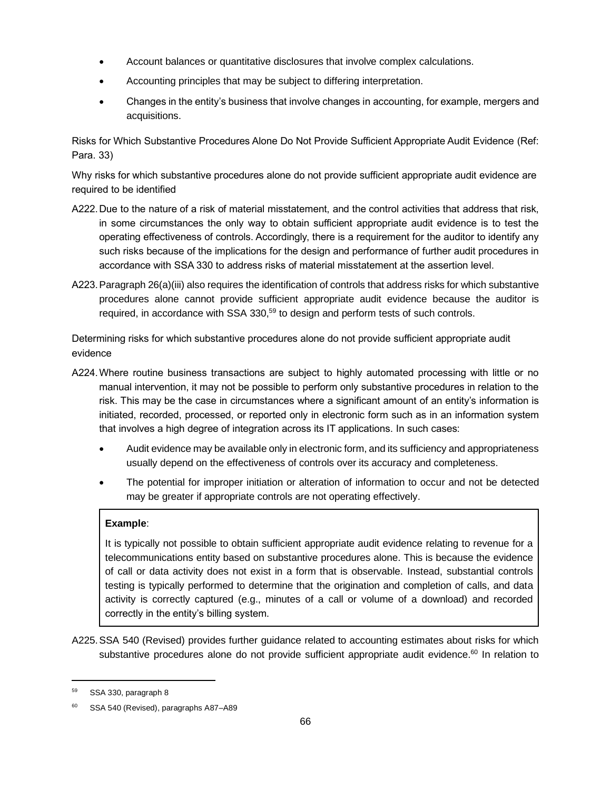- Account balances or quantitative disclosures that involve complex calculations.
- Accounting principles that may be subject to differing interpretation.
- Changes in the entity's business that involve changes in accounting, for example, mergers and acquisitions.

Risks for Which Substantive Procedures Alone Do Not Provide Sufficient Appropriate Audit Evidence (Ref: Para. 33)

Why risks for which substantive procedures alone do not provide sufficient appropriate audit evidence are required to be identified

- A222.Due to the nature of a risk of material misstatement, and the control activities that address that risk, in some circumstances the only way to obtain sufficient appropriate audit evidence is to test the operating effectiveness of controls. Accordingly, there is a requirement for the auditor to identify any such risks because of the implications for the design and performance of further audit procedures in accordance with SSA 330 to address risks of material misstatement at the assertion level.
- A223.Paragraph 26(a)(iii) also requires the identification of controls that address risks for which substantive procedures alone cannot provide sufficient appropriate audit evidence because the auditor is required, in accordance with SSA 330,<sup>59</sup> to design and perform tests of such controls.

Determining risks for which substantive procedures alone do not provide sufficient appropriate audit evidence

- A224.Where routine business transactions are subject to highly automated processing with little or no manual intervention, it may not be possible to perform only substantive procedures in relation to the risk. This may be the case in circumstances where a significant amount of an entity's information is initiated, recorded, processed, or reported only in electronic form such as in an information system that involves a high degree of integration across its IT applications. In such cases:
	- Audit evidence may be available only in electronic form, and its sufficiency and appropriateness usually depend on the effectiveness of controls over its accuracy and completeness.
	- The potential for improper initiation or alteration of information to occur and not be detected may be greater if appropriate controls are not operating effectively.

# **Example**:

It is typically not possible to obtain sufficient appropriate audit evidence relating to revenue for a telecommunications entity based on substantive procedures alone. This is because the evidence of call or data activity does not exist in a form that is observable. Instead, substantial controls testing is typically performed to determine that the origination and completion of calls, and data activity is correctly captured (e.g., minutes of a call or volume of a download) and recorded correctly in the entity's billing system.

A225.SSA 540 (Revised) provides further guidance related to accounting estimates about risks for which substantive procedures alone do not provide sufficient appropriate audit evidence.<sup>60</sup> In relation to

<sup>59</sup> SSA 330, paragraph 8

<sup>60</sup> SSA 540 (Revised), paragraphs A87–A89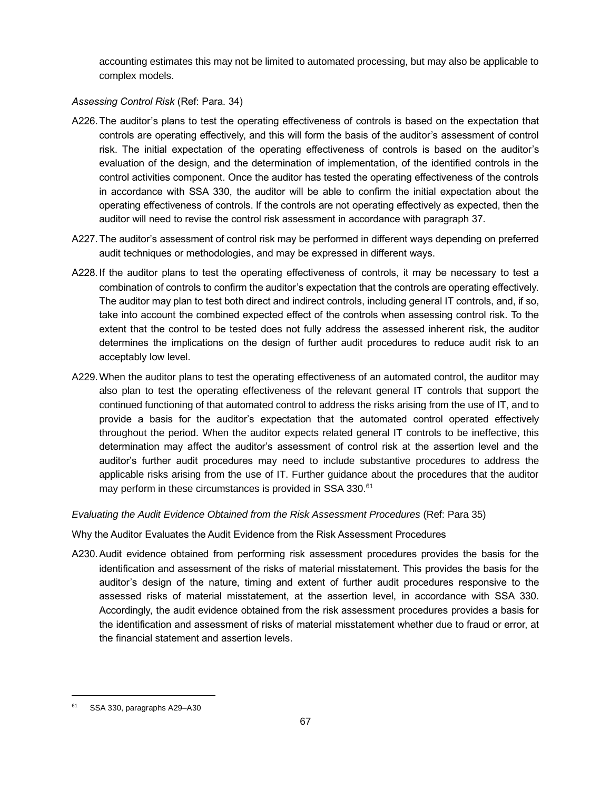accounting estimates this may not be limited to automated processing, but may also be applicable to complex models.

*Assessing Control Risk* (Ref: Para. 34)

- A226.The auditor's plans to test the operating effectiveness of controls is based on the expectation that controls are operating effectively, and this will form the basis of the auditor's assessment of control risk. The initial expectation of the operating effectiveness of controls is based on the auditor's evaluation of the design, and the determination of implementation, of the identified controls in the control activities component. Once the auditor has tested the operating effectiveness of the controls in accordance with SSA 330, the auditor will be able to confirm the initial expectation about the operating effectiveness of controls. If the controls are not operating effectively as expected, then the auditor will need to revise the control risk assessment in accordance with paragraph 37.
- A227.The auditor's assessment of control risk may be performed in different ways depending on preferred audit techniques or methodologies, and may be expressed in different ways.
- A228.If the auditor plans to test the operating effectiveness of controls, it may be necessary to test a combination of controls to confirm the auditor's expectation that the controls are operating effectively. The auditor may plan to test both direct and indirect controls, including general IT controls, and, if so, take into account the combined expected effect of the controls when assessing control risk. To the extent that the control to be tested does not fully address the assessed inherent risk, the auditor determines the implications on the design of further audit procedures to reduce audit risk to an acceptably low level.
- A229.When the auditor plans to test the operating effectiveness of an automated control, the auditor may also plan to test the operating effectiveness of the relevant general IT controls that support the continued functioning of that automated control to address the risks arising from the use of IT, and to provide a basis for the auditor's expectation that the automated control operated effectively throughout the period. When the auditor expects related general IT controls to be ineffective, this determination may affect the auditor's assessment of control risk at the assertion level and the auditor's further audit procedures may need to include substantive procedures to address the applicable risks arising from the use of IT. Further guidance about the procedures that the auditor may perform in these circumstances is provided in SSA 330.<sup>61</sup>

# *Evaluating the Audit Evidence Obtained from the Risk Assessment Procedures* (Ref: Para 35)

# Why the Auditor Evaluates the Audit Evidence from the Risk Assessment Procedures

A230.Audit evidence obtained from performing risk assessment procedures provides the basis for the identification and assessment of the risks of material misstatement. This provides the basis for the auditor's design of the nature, timing and extent of further audit procedures responsive to the assessed risks of material misstatement, at the assertion level, in accordance with SSA 330. Accordingly, the audit evidence obtained from the risk assessment procedures provides a basis for the identification and assessment of risks of material misstatement whether due to fraud or error, at the financial statement and assertion levels.

<sup>61</sup> SSA 330, paragraphs A29–A30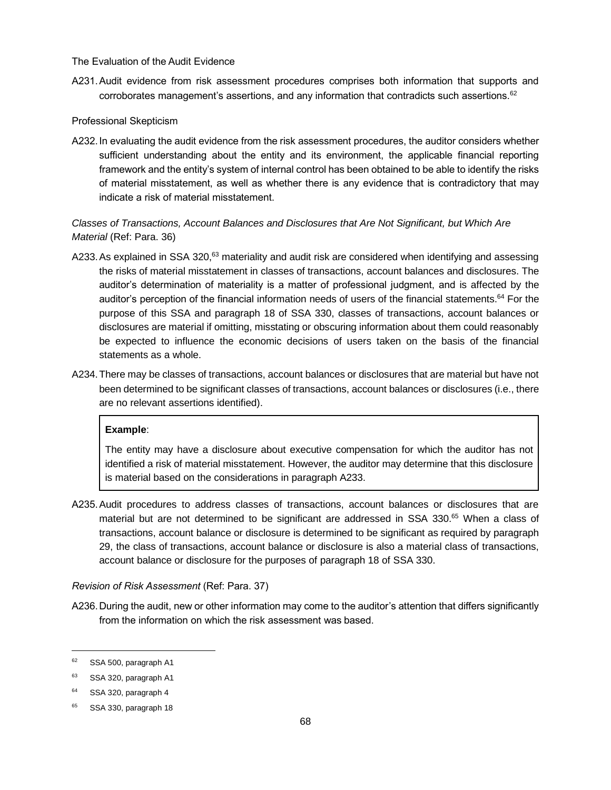### The Evaluation of the Audit Evidence

A231.Audit evidence from risk assessment procedures comprises both information that supports and corroborates management's assertions, and any information that contradicts such assertions.<sup>62</sup>

### Professional Skepticism

A232.In evaluating the audit evidence from the risk assessment procedures, the auditor considers whether sufficient understanding about the entity and its environment, the applicable financial reporting framework and the entity's system of internal control has been obtained to be able to identify the risks of material misstatement, as well as whether there is any evidence that is contradictory that may indicate a risk of material misstatement.

# *Classes of Transactions, Account Balances and Disclosures that Are Not Significant, but Which Are Material* (Ref: Para. 36)

- A233. As explained in SSA 320 $<sup>63</sup>$  materiality and audit risk are considered when identifying and assessing</sup> the risks of material misstatement in classes of transactions, account balances and disclosures. The auditor's determination of materiality is a matter of professional judgment, and is affected by the auditor's perception of the financial information needs of users of the financial statements.<sup>64</sup> For the purpose of this SSA and paragraph 18 of SSA 330, classes of transactions, account balances or disclosures are material if omitting, misstating or obscuring information about them could reasonably be expected to influence the economic decisions of users taken on the basis of the financial statements as a whole.
- A234.There may be classes of transactions, account balances or disclosures that are material but have not been determined to be significant classes of transactions, account balances or disclosures (i.e., there are no relevant assertions identified).

### **Example**:

The entity may have a disclosure about executive compensation for which the auditor has not identified a risk of material misstatement. However, the auditor may determine that this disclosure is material based on the considerations in paragraph A233.

A235.Audit procedures to address classes of transactions, account balances or disclosures that are material but are not determined to be significant are addressed in SSA 330.<sup>65</sup> When a class of transactions, account balance or disclosure is determined to be significant as required by paragraph 29, the class of transactions, account balance or disclosure is also a material class of transactions, account balance or disclosure for the purposes of paragraph 18 of SSA 330.

### *Revision of Risk Assessment* (Ref: Para. 37)

A236.During the audit, new or other information may come to the auditor's attention that differs significantly from the information on which the risk assessment was based.

<sup>62</sup> SSA 500, paragraph A1

<sup>63</sup> SSA 320, paragraph A1

<sup>64</sup> SSA 320, paragraph 4

<sup>&</sup>lt;sup>65</sup> SSA 330, paragraph 18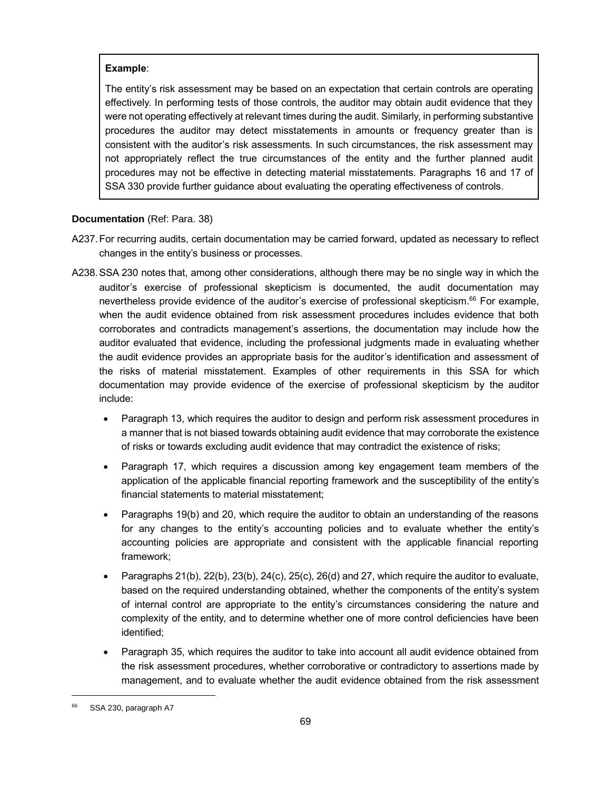# **Example**:

The entity's risk assessment may be based on an expectation that certain controls are operating effectively. In performing tests of those controls, the auditor may obtain audit evidence that they were not operating effectively at relevant times during the audit. Similarly, in performing substantive procedures the auditor may detect misstatements in amounts or frequency greater than is consistent with the auditor's risk assessments. In such circumstances, the risk assessment may not appropriately reflect the true circumstances of the entity and the further planned audit procedures may not be effective in detecting material misstatements. Paragraphs 16 and 17 of SSA 330 provide further guidance about evaluating the operating effectiveness of controls.

### **Documentation** (Ref: Para. 38)

- A237.For recurring audits, certain documentation may be carried forward, updated as necessary to reflect changes in the entity's business or processes.
- A238.SSA 230 notes that, among other considerations, although there may be no single way in which the auditor's exercise of professional skepticism is documented, the audit documentation may nevertheless provide evidence of the auditor's exercise of professional skepticism.<sup>66</sup> For example, when the audit evidence obtained from risk assessment procedures includes evidence that both corroborates and contradicts management's assertions, the documentation may include how the auditor evaluated that evidence, including the professional judgments made in evaluating whether the audit evidence provides an appropriate basis for the auditor's identification and assessment of the risks of material misstatement. Examples of other requirements in this SSA for which documentation may provide evidence of the exercise of professional skepticism by the auditor include:
	- Paragraph 13, which requires the auditor to design and perform risk assessment procedures in a manner that is not biased towards obtaining audit evidence that may corroborate the existence of risks or towards excluding audit evidence that may contradict the existence of risks;
	- Paragraph 17, which requires a discussion among key engagement team members of the application of the applicable financial reporting framework and the susceptibility of the entity's financial statements to material misstatement;
	- Paragraphs 19(b) and 20, which require the auditor to obtain an understanding of the reasons for any changes to the entity's accounting policies and to evaluate whether the entity's accounting policies are appropriate and consistent with the applicable financial reporting framework;
	- Paragraphs 21(b), 22(b), 23(b), 24(c), 25(c), 26(d) and 27, which require the auditor to evaluate, based on the required understanding obtained, whether the components of the entity's system of internal control are appropriate to the entity's circumstances considering the nature and complexity of the entity, and to determine whether one of more control deficiencies have been identified;
	- Paragraph 35, which requires the auditor to take into account all audit evidence obtained from the risk assessment procedures, whether corroborative or contradictory to assertions made by management, and to evaluate whether the audit evidence obtained from the risk assessment

SSA 230, paragraph A7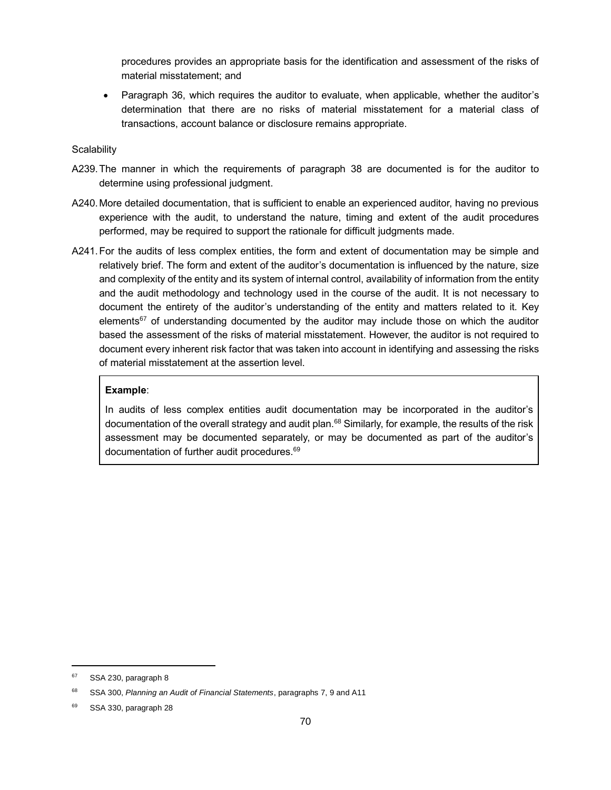procedures provides an appropriate basis for the identification and assessment of the risks of material misstatement; and

• Paragraph 36, which requires the auditor to evaluate, when applicable, whether the auditor's determination that there are no risks of material misstatement for a material class of transactions, account balance or disclosure remains appropriate.

### **Scalability**

- A239.The manner in which the requirements of paragraph 38 are documented is for the auditor to determine using professional judgment.
- A240.More detailed documentation, that is sufficient to enable an experienced auditor, having no previous experience with the audit, to understand the nature, timing and extent of the audit procedures performed, may be required to support the rationale for difficult judgments made.
- A241.For the audits of less complex entities, the form and extent of documentation may be simple and relatively brief. The form and extent of the auditor's documentation is influenced by the nature, size and complexity of the entity and its system of internal control, availability of information from the entity and the audit methodology and technology used in the course of the audit. It is not necessary to document the entirety of the auditor's understanding of the entity and matters related to it. Key elements<sup>67</sup> of understanding documented by the auditor may include those on which the auditor based the assessment of the risks of material misstatement. However, the auditor is not required to document every inherent risk factor that was taken into account in identifying and assessing the risks of material misstatement at the assertion level.

### **Example**:

In audits of less complex entities audit documentation may be incorporated in the auditor's documentation of the overall strategy and audit plan.<sup>68</sup> Similarly, for example, the results of the risk assessment may be documented separately, or may be documented as part of the auditor's documentation of further audit procedures.<sup>69</sup>

<sup>&</sup>lt;sup>67</sup> SSA 230, paragraph 8

<sup>68</sup> SSA 300, *Planning an Audit of Financial Statements*, paragraphs 7, 9 and A11

<sup>69</sup> SSA 330, paragraph 28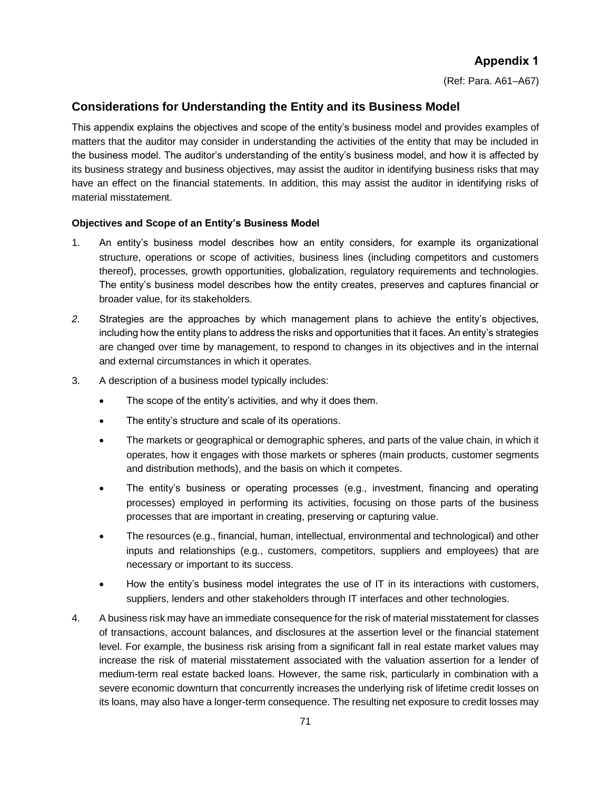# **Appendix 1**

(Ref: Para. A61‒A67)

# **Considerations for Understanding the Entity and its Business Model**

This appendix explains the objectives and scope of the entity's business model and provides examples of matters that the auditor may consider in understanding the activities of the entity that may be included in the business model. The auditor's understanding of the entity's business model, and how it is affected by its business strategy and business objectives, may assist the auditor in identifying business risks that may have an effect on the financial statements. In addition, this may assist the auditor in identifying risks of material misstatement.

# **Objectives and Scope of an Entity's Business Model**

- 1. An entity's business model describes how an entity considers, for example its organizational structure, operations or scope of activities, business lines (including competitors and customers thereof), processes, growth opportunities, globalization, regulatory requirements and technologies. The entity's business model describes how the entity creates, preserves and captures financial or broader value, for its stakeholders.
- *2.* Strategies are the approaches by which management plans to achieve the entity's objectives, including how the entity plans to address the risks and opportunities that it faces. An entity's strategies are changed over time by management, to respond to changes in its objectives and in the internal and external circumstances in which it operates.
- 3. A description of a business model typically includes:
	- The scope of the entity's activities, and why it does them.
	- The entity's structure and scale of its operations.
	- The markets or geographical or demographic spheres, and parts of the value chain, in which it operates, how it engages with those markets or spheres (main products, customer segments and distribution methods), and the basis on which it competes.
	- The entity's business or operating processes (e.g., investment, financing and operating processes) employed in performing its activities, focusing on those parts of the business processes that are important in creating, preserving or capturing value.
	- The resources (e.g., financial, human, intellectual, environmental and technological) and other inputs and relationships (e.g., customers, competitors, suppliers and employees) that are necessary or important to its success.
	- How the entity's business model integrates the use of IT in its interactions with customers, suppliers, lenders and other stakeholders through IT interfaces and other technologies.
- 4. A business risk may have an immediate consequence for the risk of material misstatement for classes of transactions, account balances, and disclosures at the assertion level or the financial statement level. For example, the business risk arising from a significant fall in real estate market values may increase the risk of material misstatement associated with the valuation assertion for a lender of medium-term real estate backed loans. However, the same risk, particularly in combination with a severe economic downturn that concurrently increases the underlying risk of lifetime credit losses on its loans, may also have a longer-term consequence. The resulting net exposure to credit losses may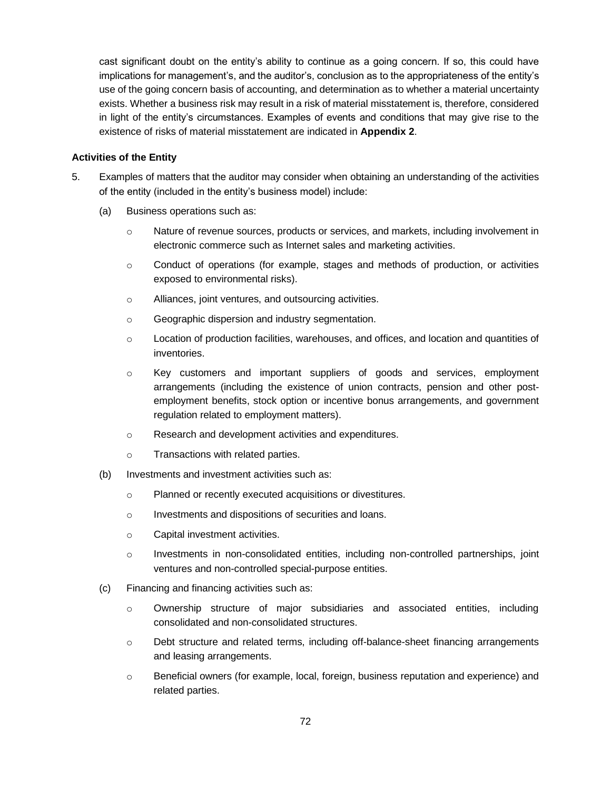cast significant doubt on the entity's ability to continue as a going concern. If so, this could have implications for management's, and the auditor's, conclusion as to the appropriateness of the entity's use of the going concern basis of accounting, and determination as to whether a material uncertainty exists. Whether a business risk may result in a risk of material misstatement is, therefore, considered in light of the entity's circumstances. Examples of events and conditions that may give rise to the existence of risks of material misstatement are indicated in **Appendix 2**.

### **Activities of the Entity**

- 5. Examples of matters that the auditor may consider when obtaining an understanding of the activities of the entity (included in the entity's business model) include:
	- (a) Business operations such as:
		- o Nature of revenue sources, products or services, and markets, including involvement in electronic commerce such as Internet sales and marketing activities.
		- $\circ$  Conduct of operations (for example, stages and methods of production, or activities exposed to environmental risks).
		- o Alliances, joint ventures, and outsourcing activities.
		- o Geographic dispersion and industry segmentation.
		- o Location of production facilities, warehouses, and offices, and location and quantities of inventories.
		- o Key customers and important suppliers of goods and services, employment arrangements (including the existence of union contracts, pension and other postemployment benefits, stock option or incentive bonus arrangements, and government regulation related to employment matters).
		- o Research and development activities and expenditures.
		- o Transactions with related parties.
	- (b) Investments and investment activities such as:
		- o Planned or recently executed acquisitions or divestitures.
		- o Investments and dispositions of securities and loans.
		- o Capital investment activities.
		- o Investments in non-consolidated entities, including non-controlled partnerships, joint ventures and non-controlled special-purpose entities.
	- (c) Financing and financing activities such as:
		- o Ownership structure of major subsidiaries and associated entities, including consolidated and non-consolidated structures.
		- o Debt structure and related terms, including off-balance-sheet financing arrangements and leasing arrangements.
		- $\circ$  Beneficial owners (for example, local, foreign, business reputation and experience) and related parties.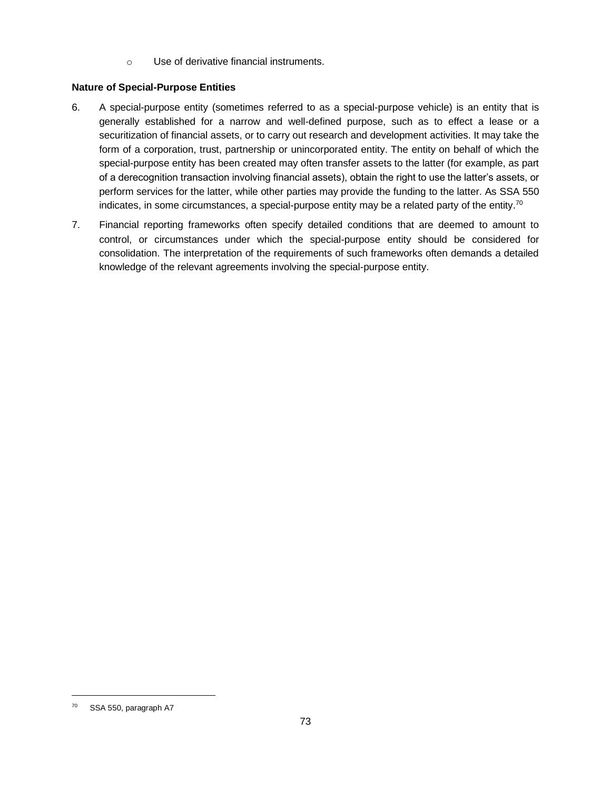o Use of derivative financial instruments.

## **Nature of Special-Purpose Entities**

- 6. A special-purpose entity (sometimes referred to as a special-purpose vehicle) is an entity that is generally established for a narrow and well-defined purpose, such as to effect a lease or a securitization of financial assets, or to carry out research and development activities. It may take the form of a corporation, trust, partnership or unincorporated entity. The entity on behalf of which the special-purpose entity has been created may often transfer assets to the latter (for example, as part of a derecognition transaction involving financial assets), obtain the right to use the latter's assets, or perform services for the latter, while other parties may provide the funding to the latter. As SSA 550 indicates, in some circumstances, a special-purpose entity may be a related party of the entity.<sup>70</sup>
- 7. Financial reporting frameworks often specify detailed conditions that are deemed to amount to control, or circumstances under which the special-purpose entity should be considered for consolidation. The interpretation of the requirements of such frameworks often demands a detailed knowledge of the relevant agreements involving the special-purpose entity.

<sup>70</sup> SSA 550, paragraph A7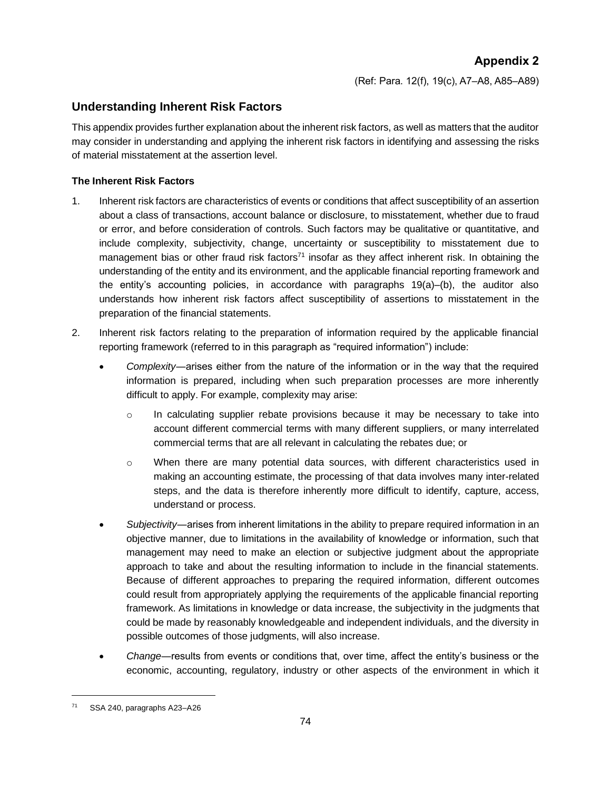(Ref: Para. 12(f), 19(c), A7-A8, A85-A89)

# **Understanding Inherent Risk Factors**

This appendix provides further explanation about the inherent risk factors, as well as matters that the auditor may consider in understanding and applying the inherent risk factors in identifying and assessing the risks of material misstatement at the assertion level.

## **The Inherent Risk Factors**

- 1. Inherent risk factors are characteristics of events or conditions that affect susceptibility of an assertion about a class of transactions, account balance or disclosure, to misstatement, whether due to fraud or error, and before consideration of controls. Such factors may be qualitative or quantitative, and include complexity, subjectivity, change, uncertainty or susceptibility to misstatement due to management bias or other fraud risk factors<sup>71</sup> insofar as they affect inherent risk. In obtaining the understanding of the entity and its environment, and the applicable financial reporting framework and the entity's accounting policies, in accordance with paragraphs  $19(a)$ –(b), the auditor also understands how inherent risk factors affect susceptibility of assertions to misstatement in the preparation of the financial statements.
- 2. Inherent risk factors relating to the preparation of information required by the applicable financial reporting framework (referred to in this paragraph as "required information") include:
	- *Complexity*―arises either from the nature of the information or in the way that the required information is prepared, including when such preparation processes are more inherently difficult to apply. For example, complexity may arise:
		- $\circ$  In calculating supplier rebate provisions because it may be necessary to take into account different commercial terms with many different suppliers, or many interrelated commercial terms that are all relevant in calculating the rebates due; or
		- o When there are many potential data sources, with different characteristics used in making an accounting estimate, the processing of that data involves many inter-related steps, and the data is therefore inherently more difficult to identify, capture, access, understand or process.
	- *Subjectivity*―arises from inherent limitations in the ability to prepare required information in an objective manner, due to limitations in the availability of knowledge or information, such that management may need to make an election or subjective judgment about the appropriate approach to take and about the resulting information to include in the financial statements. Because of different approaches to preparing the required information, different outcomes could result from appropriately applying the requirements of the applicable financial reporting framework. As limitations in knowledge or data increase, the subjectivity in the judgments that could be made by reasonably knowledgeable and independent individuals, and the diversity in possible outcomes of those judgments, will also increase.
	- *Change*―results from events or conditions that, over time, affect the entity's business or the economic, accounting, regulatory, industry or other aspects of the environment in which it

<sup>71</sup> SSA 240, paragraphs A23–A26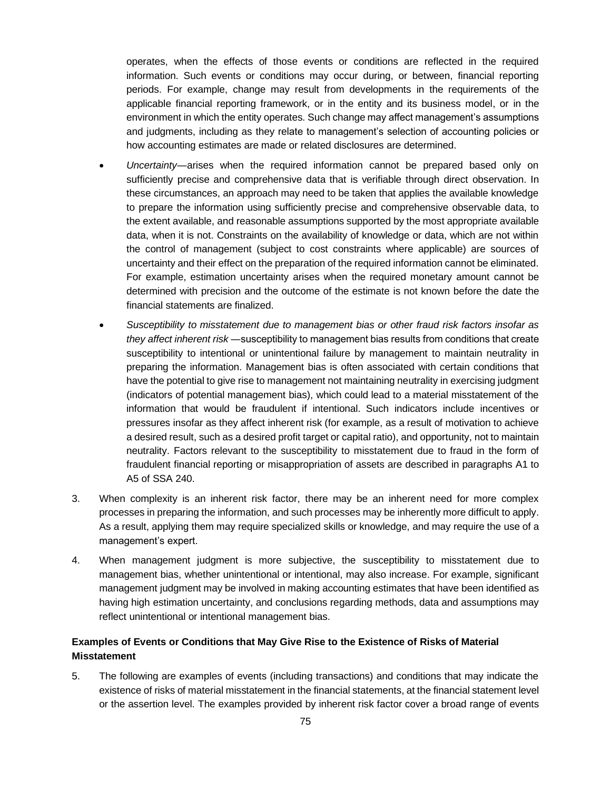operates, when the effects of those events or conditions are reflected in the required information. Such events or conditions may occur during, or between, financial reporting periods. For example, change may result from developments in the requirements of the applicable financial reporting framework, or in the entity and its business model, or in the environment in which the entity operates. Such change may affect management's assumptions and judgments, including as they relate to management's selection of accounting policies or how accounting estimates are made or related disclosures are determined.

- *Uncertainty*―arises when the required information cannot be prepared based only on sufficiently precise and comprehensive data that is verifiable through direct observation. In these circumstances, an approach may need to be taken that applies the available knowledge to prepare the information using sufficiently precise and comprehensive observable data, to the extent available, and reasonable assumptions supported by the most appropriate available data, when it is not. Constraints on the availability of knowledge or data, which are not within the control of management (subject to cost constraints where applicable) are sources of uncertainty and their effect on the preparation of the required information cannot be eliminated. For example, estimation uncertainty arises when the required monetary amount cannot be determined with precision and the outcome of the estimate is not known before the date the financial statements are finalized.
- *Susceptibility to misstatement due to management bias or other fraud risk factors insofar as they affect inherent risk* ―susceptibility to management bias results from conditions that create susceptibility to intentional or unintentional failure by management to maintain neutrality in preparing the information. Management bias is often associated with certain conditions that have the potential to give rise to management not maintaining neutrality in exercising judgment (indicators of potential management bias), which could lead to a material misstatement of the information that would be fraudulent if intentional. Such indicators include incentives or pressures insofar as they affect inherent risk (for example, as a result of motivation to achieve a desired result, such as a desired profit target or capital ratio), and opportunity, not to maintain neutrality. Factors relevant to the susceptibility to misstatement due to fraud in the form of fraudulent financial reporting or misappropriation of assets are described in paragraphs A1 to A5 of SSA 240.
- 3. When complexity is an inherent risk factor, there may be an inherent need for more complex processes in preparing the information, and such processes may be inherently more difficult to apply. As a result, applying them may require specialized skills or knowledge, and may require the use of a management's expert.
- 4. When management judgment is more subjective, the susceptibility to misstatement due to management bias, whether unintentional or intentional, may also increase. For example, significant management judgment may be involved in making accounting estimates that have been identified as having high estimation uncertainty, and conclusions regarding methods, data and assumptions may reflect unintentional or intentional management bias.

### **Examples of Events or Conditions that May Give Rise to the Existence of Risks of Material Misstatement**

5. The following are examples of events (including transactions) and conditions that may indicate the existence of risks of material misstatement in the financial statements, at the financial statement level or the assertion level. The examples provided by inherent risk factor cover a broad range of events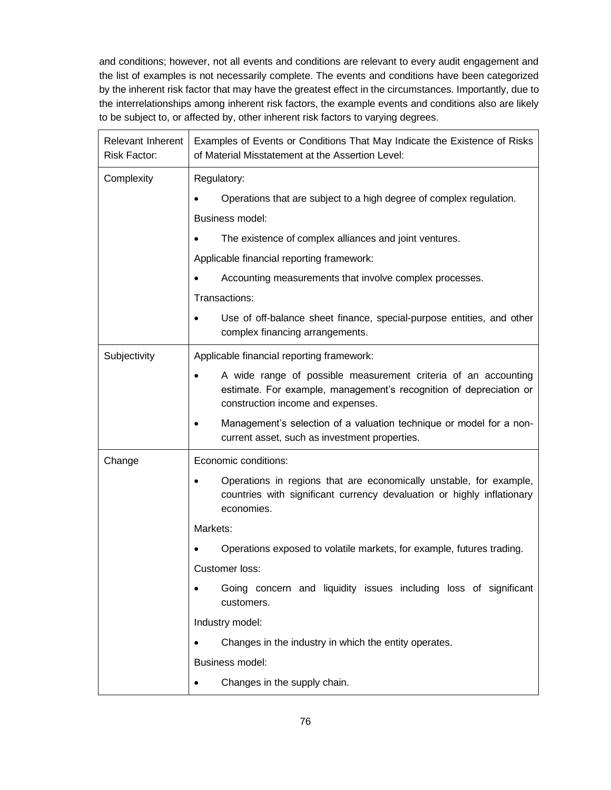and conditions; however, not all events and conditions are relevant to every audit engagement and the list of examples is not necessarily complete. The events and conditions have been categorized by the inherent risk factor that may have the greatest effect in the circumstances. Importantly, due to the interrelationships among inherent risk factors, the example events and conditions also are likely to be subject to, or affected by, other inherent risk factors to varying degrees.

| Relevant Inherent<br><b>Risk Factor:</b> | Examples of Events or Conditions That May Indicate the Existence of Risks<br>of Material Misstatement at the Assertion Level:                                             |  |  |  |  |
|------------------------------------------|---------------------------------------------------------------------------------------------------------------------------------------------------------------------------|--|--|--|--|
| Complexity                               | Regulatory:                                                                                                                                                               |  |  |  |  |
|                                          | Operations that are subject to a high degree of complex regulation.                                                                                                       |  |  |  |  |
|                                          | <b>Business model:</b>                                                                                                                                                    |  |  |  |  |
|                                          | The existence of complex alliances and joint ventures.                                                                                                                    |  |  |  |  |
|                                          | Applicable financial reporting framework:                                                                                                                                 |  |  |  |  |
|                                          | Accounting measurements that involve complex processes.                                                                                                                   |  |  |  |  |
|                                          | Transactions:                                                                                                                                                             |  |  |  |  |
|                                          | Use of off-balance sheet finance, special-purpose entities, and other<br>complex financing arrangements.                                                                  |  |  |  |  |
| Subjectivity                             | Applicable financial reporting framework:                                                                                                                                 |  |  |  |  |
|                                          | A wide range of possible measurement criteria of an accounting<br>estimate. For example, management's recognition of depreciation or<br>construction income and expenses. |  |  |  |  |
|                                          | Management's selection of a valuation technique or model for a non-<br>current asset, such as investment properties.                                                      |  |  |  |  |
| Change                                   | Economic conditions:                                                                                                                                                      |  |  |  |  |
|                                          | Operations in regions that are economically unstable, for example,<br>countries with significant currency devaluation or highly inflationary<br>economies.                |  |  |  |  |
|                                          | Markets:                                                                                                                                                                  |  |  |  |  |
|                                          | Operations exposed to volatile markets, for example, futures trading.                                                                                                     |  |  |  |  |
|                                          | Customer loss:                                                                                                                                                            |  |  |  |  |
|                                          | Going concern and liquidity issues including loss of significant<br>customers.                                                                                            |  |  |  |  |
|                                          | Industry model:                                                                                                                                                           |  |  |  |  |
|                                          | Changes in the industry in which the entity operates.                                                                                                                     |  |  |  |  |
|                                          | Business model:                                                                                                                                                           |  |  |  |  |
|                                          | Changes in the supply chain.                                                                                                                                              |  |  |  |  |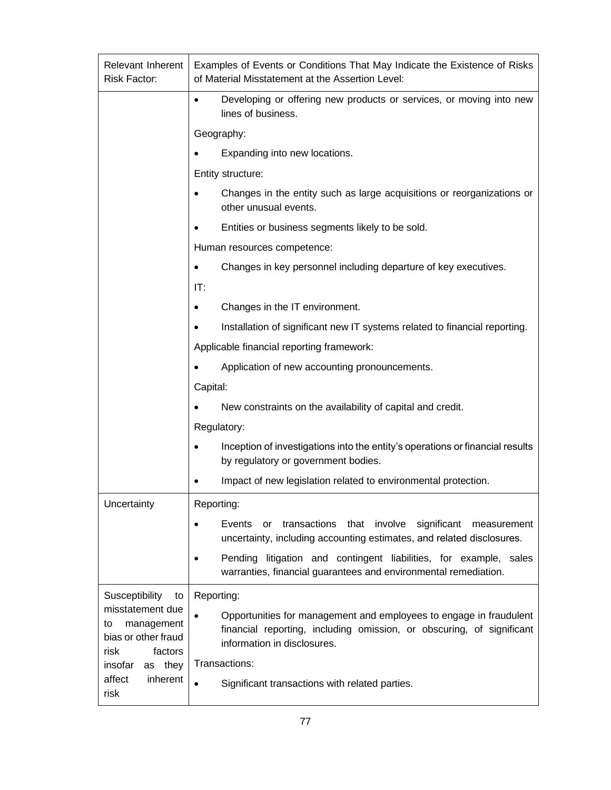| Relevant Inherent<br><b>Risk Factor:</b>                                       | Examples of Events or Conditions That May Indicate the Existence of Risks<br>of Material Misstatement at the Assertion Level:                                                           |  |  |  |
|--------------------------------------------------------------------------------|-----------------------------------------------------------------------------------------------------------------------------------------------------------------------------------------|--|--|--|
|                                                                                | Developing or offering new products or services, or moving into new<br>$\bullet$<br>lines of business.                                                                                  |  |  |  |
|                                                                                | Geography:                                                                                                                                                                              |  |  |  |
|                                                                                | Expanding into new locations.                                                                                                                                                           |  |  |  |
|                                                                                | Entity structure:                                                                                                                                                                       |  |  |  |
|                                                                                | Changes in the entity such as large acquisitions or reorganizations or<br>other unusual events.                                                                                         |  |  |  |
|                                                                                | Entities or business segments likely to be sold.                                                                                                                                        |  |  |  |
|                                                                                | Human resources competence:                                                                                                                                                             |  |  |  |
|                                                                                | Changes in key personnel including departure of key executives.<br>$\bullet$                                                                                                            |  |  |  |
|                                                                                | IT:                                                                                                                                                                                     |  |  |  |
|                                                                                | Changes in the IT environment.<br>$\bullet$                                                                                                                                             |  |  |  |
|                                                                                | Installation of significant new IT systems related to financial reporting.                                                                                                              |  |  |  |
|                                                                                | Applicable financial reporting framework:                                                                                                                                               |  |  |  |
|                                                                                | Application of new accounting pronouncements.                                                                                                                                           |  |  |  |
|                                                                                | Capital:                                                                                                                                                                                |  |  |  |
|                                                                                | New constraints on the availability of capital and credit.                                                                                                                              |  |  |  |
|                                                                                | Regulatory:                                                                                                                                                                             |  |  |  |
|                                                                                | Inception of investigations into the entity's operations or financial results<br>by regulatory or government bodies.                                                                    |  |  |  |
|                                                                                | Impact of new legislation related to environmental protection.                                                                                                                          |  |  |  |
| Uncertainty                                                                    | Reporting:                                                                                                                                                                              |  |  |  |
|                                                                                | involve<br>Events<br>or transactions<br>that<br>significant measurement<br>uncertainty, including accounting estimates, and related disclosures.                                        |  |  |  |
|                                                                                | Pending litigation and contingent liabilities, for example, sales<br>$\bullet$<br>warranties, financial guarantees and environmental remediation.                                       |  |  |  |
| Susceptibility<br>to                                                           | Reporting:                                                                                                                                                                              |  |  |  |
| misstatement due<br>management<br>to<br>bias or other fraud<br>risk<br>factors | Opportunities for management and employees to engage in fraudulent<br>$\bullet$<br>financial reporting, including omission, or obscuring, of significant<br>information in disclosures. |  |  |  |
| insofar<br>as they                                                             | Transactions:                                                                                                                                                                           |  |  |  |
| affect<br>inherent<br>risk                                                     | Significant transactions with related parties.<br>$\bullet$                                                                                                                             |  |  |  |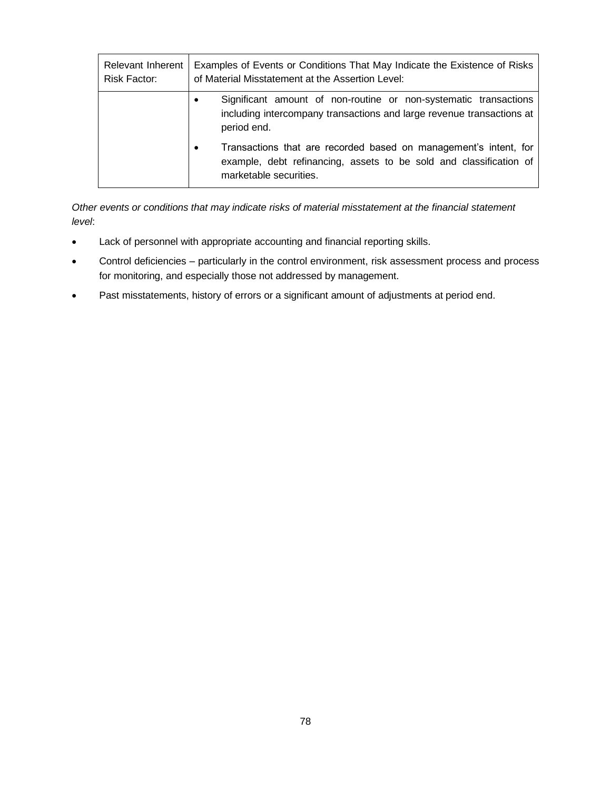| Relevant Inherent<br>Risk Factor: | Examples of Events or Conditions That May Indicate the Existence of Risks<br>of Material Misstatement at the Assertion Level:                                                 |  |  |  |
|-----------------------------------|-------------------------------------------------------------------------------------------------------------------------------------------------------------------------------|--|--|--|
|                                   | Significant amount of non-routine or non-systematic transactions<br>$\bullet$<br>including intercompany transactions and large revenue transactions at<br>period end.         |  |  |  |
|                                   | Transactions that are recorded based on management's intent, for<br>$\bullet$<br>example, debt refinancing, assets to be sold and classification of<br>marketable securities. |  |  |  |

*Other events or conditions that may indicate risks of material misstatement at the financial statement level*:

- Lack of personnel with appropriate accounting and financial reporting skills.
- Control deficiencies particularly in the control environment, risk assessment process and process for monitoring, and especially those not addressed by management.
- Past misstatements, history of errors or a significant amount of adjustments at period end.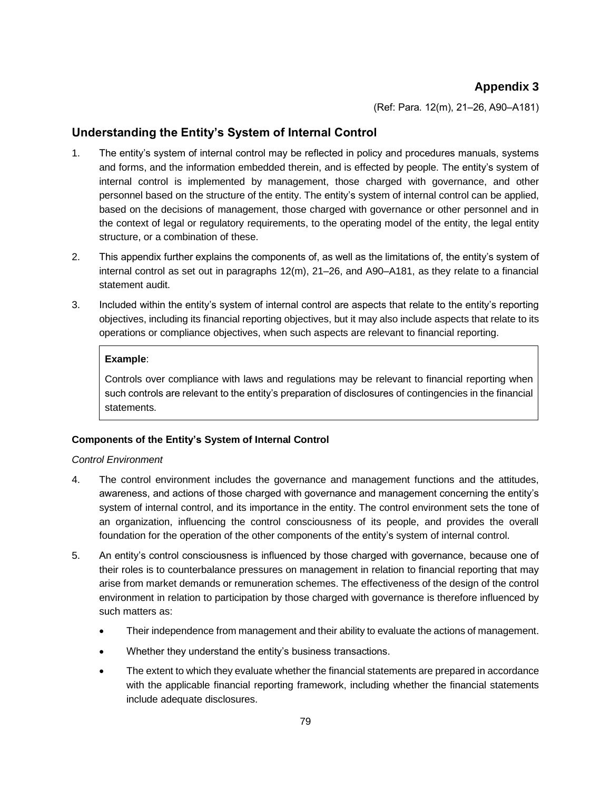# **Appendix 3**

(Ref: Para. 12(m), 21–26, A90–A181)

## **Understanding the Entity's System of Internal Control**

- 1. The entity's system of internal control may be reflected in policy and procedures manuals, systems and forms, and the information embedded therein, and is effected by people. The entity's system of internal control is implemented by management, those charged with governance, and other personnel based on the structure of the entity. The entity's system of internal control can be applied, based on the decisions of management, those charged with governance or other personnel and in the context of legal or regulatory requirements, to the operating model of the entity, the legal entity structure, or a combination of these.
- 2. This appendix further explains the components of, as well as the limitations of, the entity's system of internal control as set out in paragraphs 12(m), 21–26, and A90–A181, as they relate to a financial statement audit.
- 3. Included within the entity's system of internal control are aspects that relate to the entity's reporting objectives, including its financial reporting objectives, but it may also include aspects that relate to its operations or compliance objectives, when such aspects are relevant to financial reporting.

#### **Example**:

Controls over compliance with laws and regulations may be relevant to financial reporting when such controls are relevant to the entity's preparation of disclosures of contingencies in the financial statements.

### **Components of the Entity's System of Internal Control**

#### *Control Environment*

- 4. The control environment includes the governance and management functions and the attitudes, awareness, and actions of those charged with governance and management concerning the entity's system of internal control, and its importance in the entity. The control environment sets the tone of an organization, influencing the control consciousness of its people, and provides the overall foundation for the operation of the other components of the entity's system of internal control.
- 5. An entity's control consciousness is influenced by those charged with governance, because one of their roles is to counterbalance pressures on management in relation to financial reporting that may arise from market demands or remuneration schemes. The effectiveness of the design of the control environment in relation to participation by those charged with governance is therefore influenced by such matters as:
	- Their independence from management and their ability to evaluate the actions of management.
	- Whether they understand the entity's business transactions.
	- The extent to which they evaluate whether the financial statements are prepared in accordance with the applicable financial reporting framework, including whether the financial statements include adequate disclosures.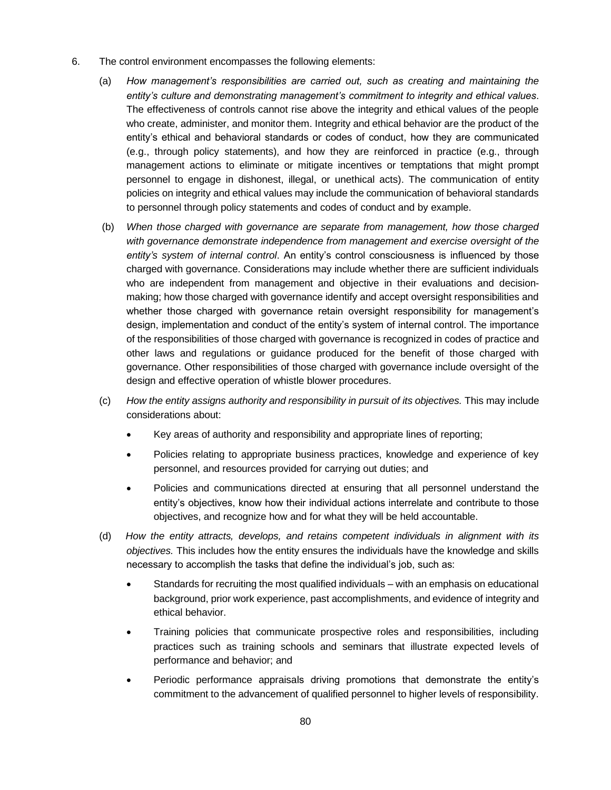- 6. The control environment encompasses the following elements:
	- (a) *How management's responsibilities are carried out, such as creating and maintaining the entity's culture and demonstrating management's commitment to integrity and ethical values*. The effectiveness of controls cannot rise above the integrity and ethical values of the people who create, administer, and monitor them. Integrity and ethical behavior are the product of the entity's ethical and behavioral standards or codes of conduct, how they are communicated (e.g., through policy statements), and how they are reinforced in practice (e.g., through management actions to eliminate or mitigate incentives or temptations that might prompt personnel to engage in dishonest, illegal, or unethical acts). The communication of entity policies on integrity and ethical values may include the communication of behavioral standards to personnel through policy statements and codes of conduct and by example.
	- (b) *When those charged with governance are separate from management, how those charged with governance demonstrate independence from management and exercise oversight of the entity's system of internal control*. An entity's control consciousness is influenced by those charged with governance. Considerations may include whether there are sufficient individuals who are independent from management and objective in their evaluations and decisionmaking; how those charged with governance identify and accept oversight responsibilities and whether those charged with governance retain oversight responsibility for management's design, implementation and conduct of the entity's system of internal control. The importance of the responsibilities of those charged with governance is recognized in codes of practice and other laws and regulations or guidance produced for the benefit of those charged with governance. Other responsibilities of those charged with governance include oversight of the design and effective operation of whistle blower procedures.
	- (c) *How the entity assigns authority and responsibility in pursuit of its objectives.* This may include considerations about:
		- Key areas of authority and responsibility and appropriate lines of reporting;
		- Policies relating to appropriate business practices, knowledge and experience of key personnel, and resources provided for carrying out duties; and
		- Policies and communications directed at ensuring that all personnel understand the entity's objectives, know how their individual actions interrelate and contribute to those objectives, and recognize how and for what they will be held accountable.
	- (d) *How the entity attracts, develops, and retains competent individuals in alignment with its objectives.* This includes how the entity ensures the individuals have the knowledge and skills necessary to accomplish the tasks that define the individual's job, such as:
		- Standards for recruiting the most qualified individuals with an emphasis on educational background, prior work experience, past accomplishments, and evidence of integrity and ethical behavior.
		- Training policies that communicate prospective roles and responsibilities, including practices such as training schools and seminars that illustrate expected levels of performance and behavior; and
		- Periodic performance appraisals driving promotions that demonstrate the entity's commitment to the advancement of qualified personnel to higher levels of responsibility.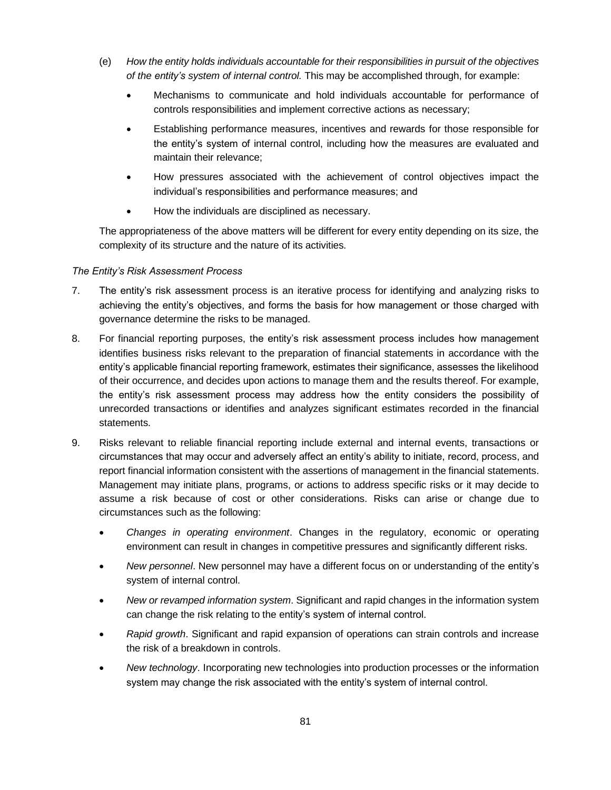- (e) *How the entity holds individuals accountable for their responsibilities in pursuit of the objectives of the entity's system of internal control.* This may be accomplished through, for example:
	- Mechanisms to communicate and hold individuals accountable for performance of controls responsibilities and implement corrective actions as necessary;
	- Establishing performance measures, incentives and rewards for those responsible for the entity's system of internal control, including how the measures are evaluated and maintain their relevance;
	- How pressures associated with the achievement of control objectives impact the individual's responsibilities and performance measures; and
	- How the individuals are disciplined as necessary.

The appropriateness of the above matters will be different for every entity depending on its size, the complexity of its structure and the nature of its activities.

### *The Entity's Risk Assessment Process*

- 7. The entity's risk assessment process is an iterative process for identifying and analyzing risks to achieving the entity's objectives, and forms the basis for how management or those charged with governance determine the risks to be managed.
- 8. For financial reporting purposes, the entity's risk assessment process includes how management identifies business risks relevant to the preparation of financial statements in accordance with the entity's applicable financial reporting framework, estimates their significance, assesses the likelihood of their occurrence, and decides upon actions to manage them and the results thereof. For example, the entity's risk assessment process may address how the entity considers the possibility of unrecorded transactions or identifies and analyzes significant estimates recorded in the financial statements.
- 9. Risks relevant to reliable financial reporting include external and internal events, transactions or circumstances that may occur and adversely affect an entity's ability to initiate, record, process, and report financial information consistent with the assertions of management in the financial statements. Management may initiate plans, programs, or actions to address specific risks or it may decide to assume a risk because of cost or other considerations. Risks can arise or change due to circumstances such as the following:
	- *Changes in operating environment*. Changes in the regulatory, economic or operating environment can result in changes in competitive pressures and significantly different risks.
	- *New personnel*. New personnel may have a different focus on or understanding of the entity's system of internal control.
	- *New or revamped information system*. Significant and rapid changes in the information system can change the risk relating to the entity's system of internal control.
	- *Rapid growth*. Significant and rapid expansion of operations can strain controls and increase the risk of a breakdown in controls.
	- *New technology*. Incorporating new technologies into production processes or the information system may change the risk associated with the entity's system of internal control.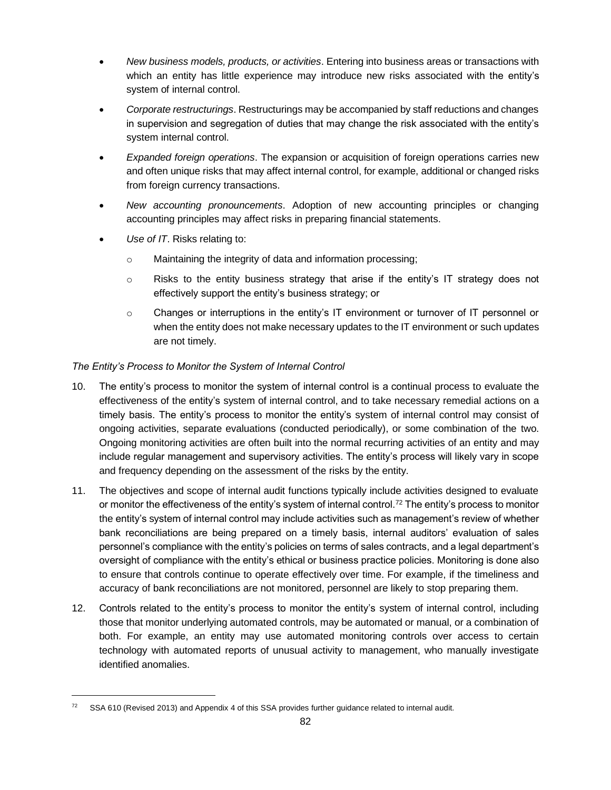- *New business models, products, or activities*. Entering into business areas or transactions with which an entity has little experience may introduce new risks associated with the entity's system of internal control.
- *Corporate restructurings*. Restructurings may be accompanied by staff reductions and changes in supervision and segregation of duties that may change the risk associated with the entity's system internal control.
- *Expanded foreign operations*. The expansion or acquisition of foreign operations carries new and often unique risks that may affect internal control, for example, additional or changed risks from foreign currency transactions.
- *New accounting pronouncements*. Adoption of new accounting principles or changing accounting principles may affect risks in preparing financial statements.
- *Use of IT*. Risks relating to:
	- o Maintaining the integrity of data and information processing;
	- $\circ$  Risks to the entity business strategy that arise if the entity's IT strategy does not effectively support the entity's business strategy; or
	- o Changes or interruptions in the entity's IT environment or turnover of IT personnel or when the entity does not make necessary updates to the IT environment or such updates are not timely.

### *The Entity's Process to Monitor the System of Internal Control*

- 10. The entity's process to monitor the system of internal control is a continual process to evaluate the effectiveness of the entity's system of internal control, and to take necessary remedial actions on a timely basis. The entity's process to monitor the entity's system of internal control may consist of ongoing activities, separate evaluations (conducted periodically), or some combination of the two. Ongoing monitoring activities are often built into the normal recurring activities of an entity and may include regular management and supervisory activities. The entity's process will likely vary in scope and frequency depending on the assessment of the risks by the entity.
- 11. The objectives and scope of internal audit functions typically include activities designed to evaluate or monitor the effectiveness of the entity's system of internal control.<sup>72</sup> The entity's process to monitor the entity's system of internal control may include activities such as management's review of whether bank reconciliations are being prepared on a timely basis, internal auditors' evaluation of sales personnel's compliance with the entity's policies on terms of sales contracts, and a legal department's oversight of compliance with the entity's ethical or business practice policies. Monitoring is done also to ensure that controls continue to operate effectively over time. For example, if the timeliness and accuracy of bank reconciliations are not monitored, personnel are likely to stop preparing them.
- 12. Controls related to the entity's process to monitor the entity's system of internal control, including those that monitor underlying automated controls, may be automated or manual, or a combination of both. For example, an entity may use automated monitoring controls over access to certain technology with automated reports of unusual activity to management, who manually investigate identified anomalies.

SSA 610 (Revised 2013) and Appendix 4 of this SSA provides further guidance related to internal audit.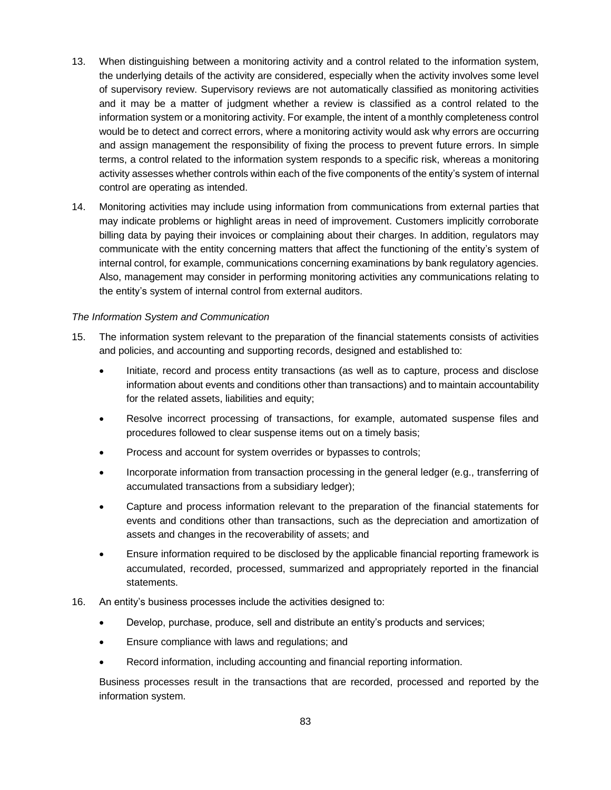- 13. When distinguishing between a monitoring activity and a control related to the information system, the underlying details of the activity are considered, especially when the activity involves some level of supervisory review. Supervisory reviews are not automatically classified as monitoring activities and it may be a matter of judgment whether a review is classified as a control related to the information system or a monitoring activity. For example, the intent of a monthly completeness control would be to detect and correct errors, where a monitoring activity would ask why errors are occurring and assign management the responsibility of fixing the process to prevent future errors. In simple terms, a control related to the information system responds to a specific risk, whereas a monitoring activity assesses whether controls within each of the five components of the entity's system of internal control are operating as intended.
- 14. Monitoring activities may include using information from communications from external parties that may indicate problems or highlight areas in need of improvement. Customers implicitly corroborate billing data by paying their invoices or complaining about their charges. In addition, regulators may communicate with the entity concerning matters that affect the functioning of the entity's system of internal control, for example, communications concerning examinations by bank regulatory agencies. Also, management may consider in performing monitoring activities any communications relating to the entity's system of internal control from external auditors.

#### *The Information System and Communication*

- 15. The information system relevant to the preparation of the financial statements consists of activities and policies, and accounting and supporting records, designed and established to:
	- Initiate, record and process entity transactions (as well as to capture, process and disclose information about events and conditions other than transactions) and to maintain accountability for the related assets, liabilities and equity;
	- Resolve incorrect processing of transactions, for example, automated suspense files and procedures followed to clear suspense items out on a timely basis;
	- Process and account for system overrides or bypasses to controls;
	- Incorporate information from transaction processing in the general ledger (e.g., transferring of accumulated transactions from a subsidiary ledger);
	- Capture and process information relevant to the preparation of the financial statements for events and conditions other than transactions, such as the depreciation and amortization of assets and changes in the recoverability of assets; and
	- Ensure information required to be disclosed by the applicable financial reporting framework is accumulated, recorded, processed, summarized and appropriately reported in the financial statements.
- 16. An entity's business processes include the activities designed to:
	- Develop, purchase, produce, sell and distribute an entity's products and services;
	- Ensure compliance with laws and regulations; and
	- Record information, including accounting and financial reporting information.

Business processes result in the transactions that are recorded, processed and reported by the information system.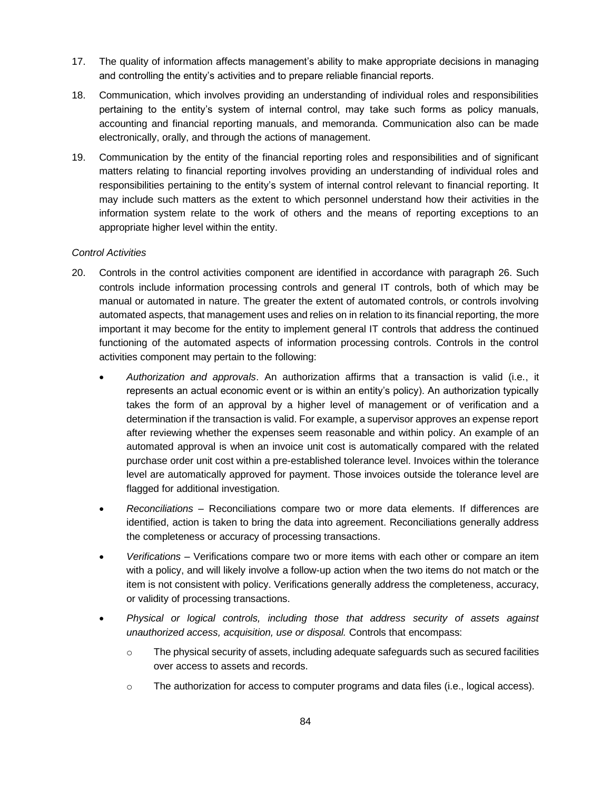- 17. The quality of information affects management's ability to make appropriate decisions in managing and controlling the entity's activities and to prepare reliable financial reports.
- 18. Communication, which involves providing an understanding of individual roles and responsibilities pertaining to the entity's system of internal control, may take such forms as policy manuals, accounting and financial reporting manuals, and memoranda. Communication also can be made electronically, orally, and through the actions of management.
- 19. Communication by the entity of the financial reporting roles and responsibilities and of significant matters relating to financial reporting involves providing an understanding of individual roles and responsibilities pertaining to the entity's system of internal control relevant to financial reporting. It may include such matters as the extent to which personnel understand how their activities in the information system relate to the work of others and the means of reporting exceptions to an appropriate higher level within the entity.

#### *Control Activities*

- 20. Controls in the control activities component are identified in accordance with paragraph 26. Such controls include information processing controls and general IT controls, both of which may be manual or automated in nature. The greater the extent of automated controls, or controls involving automated aspects, that management uses and relies on in relation to its financial reporting, the more important it may become for the entity to implement general IT controls that address the continued functioning of the automated aspects of information processing controls. Controls in the control activities component may pertain to the following:
	- *Authorization and approvals*. An authorization affirms that a transaction is valid (i.e., it represents an actual economic event or is within an entity's policy). An authorization typically takes the form of an approval by a higher level of management or of verification and a determination if the transaction is valid. For example, a supervisor approves an expense report after reviewing whether the expenses seem reasonable and within policy. An example of an automated approval is when an invoice unit cost is automatically compared with the related purchase order unit cost within a pre-established tolerance level. Invoices within the tolerance level are automatically approved for payment. Those invoices outside the tolerance level are flagged for additional investigation.
	- *Reconciliations*  Reconciliations compare two or more data elements. If differences are identified, action is taken to bring the data into agreement. Reconciliations generally address the completeness or accuracy of processing transactions.
	- *Verifications*  Verifications compare two or more items with each other or compare an item with a policy, and will likely involve a follow-up action when the two items do not match or the item is not consistent with policy. Verifications generally address the completeness, accuracy, or validity of processing transactions.
	- *Physical or logical controls, including those that address security of assets against unauthorized access, acquisition, use or disposal.* Controls that encompass:
		- $\circ$  The physical security of assets, including adequate safeguards such as secured facilities over access to assets and records.
		- o The authorization for access to computer programs and data files (i.e., logical access).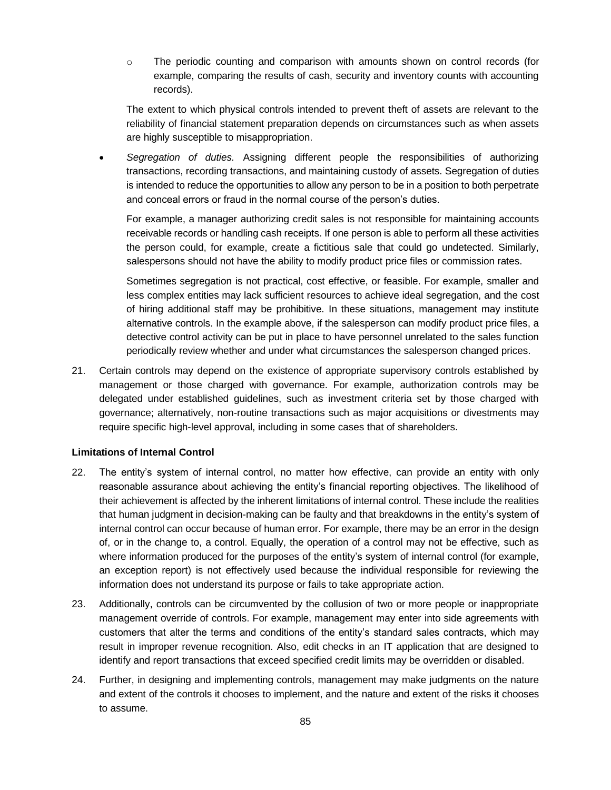o The periodic counting and comparison with amounts shown on control records (for example, comparing the results of cash, security and inventory counts with accounting records).

The extent to which physical controls intended to prevent theft of assets are relevant to the reliability of financial statement preparation depends on circumstances such as when assets are highly susceptible to misappropriation.

• *Segregation of duties.* Assigning different people the responsibilities of authorizing transactions, recording transactions, and maintaining custody of assets. Segregation of duties is intended to reduce the opportunities to allow any person to be in a position to both perpetrate and conceal errors or fraud in the normal course of the person's duties.

For example, a manager authorizing credit sales is not responsible for maintaining accounts receivable records or handling cash receipts. If one person is able to perform all these activities the person could, for example, create a fictitious sale that could go undetected. Similarly, salespersons should not have the ability to modify product price files or commission rates.

Sometimes segregation is not practical, cost effective, or feasible. For example, smaller and less complex entities may lack sufficient resources to achieve ideal segregation, and the cost of hiring additional staff may be prohibitive. In these situations, management may institute alternative controls. In the example above, if the salesperson can modify product price files, a detective control activity can be put in place to have personnel unrelated to the sales function periodically review whether and under what circumstances the salesperson changed prices.

21. Certain controls may depend on the existence of appropriate supervisory controls established by management or those charged with governance. For example, authorization controls may be delegated under established guidelines, such as investment criteria set by those charged with governance; alternatively, non-routine transactions such as major acquisitions or divestments may require specific high-level approval, including in some cases that of shareholders.

#### **Limitations of Internal Control**

- 22. The entity's system of internal control, no matter how effective, can provide an entity with only reasonable assurance about achieving the entity's financial reporting objectives. The likelihood of their achievement is affected by the inherent limitations of internal control. These include the realities that human judgment in decision-making can be faulty and that breakdowns in the entity's system of internal control can occur because of human error. For example, there may be an error in the design of, or in the change to, a control. Equally, the operation of a control may not be effective, such as where information produced for the purposes of the entity's system of internal control (for example, an exception report) is not effectively used because the individual responsible for reviewing the information does not understand its purpose or fails to take appropriate action.
- 23. Additionally, controls can be circumvented by the collusion of two or more people or inappropriate management override of controls. For example, management may enter into side agreements with customers that alter the terms and conditions of the entity's standard sales contracts, which may result in improper revenue recognition. Also, edit checks in an IT application that are designed to identify and report transactions that exceed specified credit limits may be overridden or disabled.
- 24. Further, in designing and implementing controls, management may make judgments on the nature and extent of the controls it chooses to implement, and the nature and extent of the risks it chooses to assume.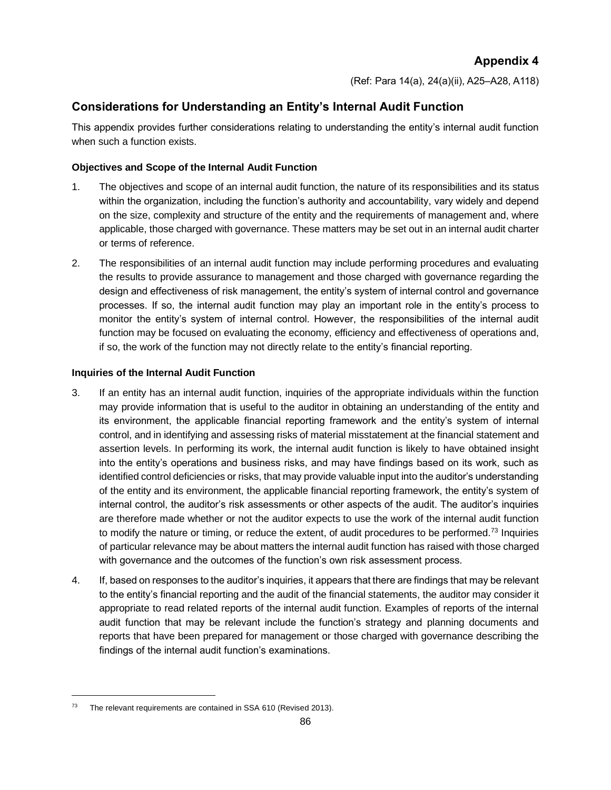# **Appendix 4**

(Ref: Para 14(a), 24(a)(ii), A25‒A28, A118)

# **Considerations for Understanding an Entity's Internal Audit Function**

This appendix provides further considerations relating to understanding the entity's internal audit function when such a function exists.

### **Objectives and Scope of the Internal Audit Function**

- 1. The objectives and scope of an internal audit function, the nature of its responsibilities and its status within the organization, including the function's authority and accountability, vary widely and depend on the size, complexity and structure of the entity and the requirements of management and, where applicable, those charged with governance. These matters may be set out in an internal audit charter or terms of reference.
- 2. The responsibilities of an internal audit function may include performing procedures and evaluating the results to provide assurance to management and those charged with governance regarding the design and effectiveness of risk management, the entity's system of internal control and governance processes. If so, the internal audit function may play an important role in the entity's process to monitor the entity's system of internal control. However, the responsibilities of the internal audit function may be focused on evaluating the economy, efficiency and effectiveness of operations and, if so, the work of the function may not directly relate to the entity's financial reporting.

### **Inquiries of the Internal Audit Function**

- 3. If an entity has an internal audit function, inquiries of the appropriate individuals within the function may provide information that is useful to the auditor in obtaining an understanding of the entity and its environment, the applicable financial reporting framework and the entity's system of internal control, and in identifying and assessing risks of material misstatement at the financial statement and assertion levels. In performing its work, the internal audit function is likely to have obtained insight into the entity's operations and business risks, and may have findings based on its work, such as identified control deficiencies or risks, that may provide valuable input into the auditor's understanding of the entity and its environment, the applicable financial reporting framework, the entity's system of internal control, the auditor's risk assessments or other aspects of the audit. The auditor's inquiries are therefore made whether or not the auditor expects to use the work of the internal audit function to modify the nature or timing, or reduce the extent, of audit procedures to be performed.<sup>73</sup> Inquiries of particular relevance may be about matters the internal audit function has raised with those charged with governance and the outcomes of the function's own risk assessment process.
- 4. If, based on responses to the auditor's inquiries, it appears that there are findings that may be relevant to the entity's financial reporting and the audit of the financial statements, the auditor may consider it appropriate to read related reports of the internal audit function. Examples of reports of the internal audit function that may be relevant include the function's strategy and planning documents and reports that have been prepared for management or those charged with governance describing the findings of the internal audit function's examinations.

 $73$  The relevant requirements are contained in SSA 610 (Revised 2013).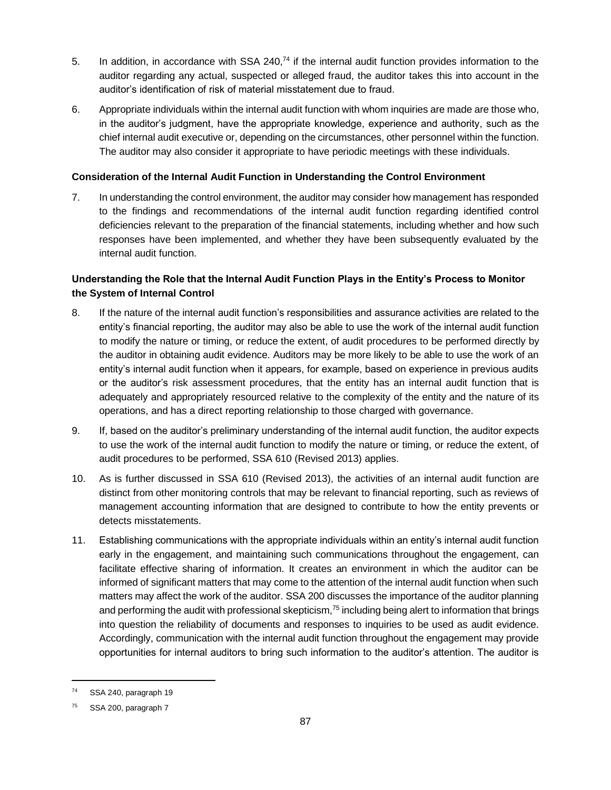- 5. In addition, in accordance with SSA 240,<sup>74</sup> if the internal audit function provides information to the auditor regarding any actual, suspected or alleged fraud, the auditor takes this into account in the auditor's identification of risk of material misstatement due to fraud.
- 6. Appropriate individuals within the internal audit function with whom inquiries are made are those who, in the auditor's judgment, have the appropriate knowledge, experience and authority, such as the chief internal audit executive or, depending on the circumstances, other personnel within the function. The auditor may also consider it appropriate to have periodic meetings with these individuals.

### **Consideration of the Internal Audit Function in Understanding the Control Environment**

7. In understanding the control environment, the auditor may consider how management has responded to the findings and recommendations of the internal audit function regarding identified control deficiencies relevant to the preparation of the financial statements, including whether and how such responses have been implemented, and whether they have been subsequently evaluated by the internal audit function.

## **Understanding the Role that the Internal Audit Function Plays in the Entity's Process to Monitor the System of Internal Control**

- 8. If the nature of the internal audit function's responsibilities and assurance activities are related to the entity's financial reporting, the auditor may also be able to use the work of the internal audit function to modify the nature or timing, or reduce the extent, of audit procedures to be performed directly by the auditor in obtaining audit evidence. Auditors may be more likely to be able to use the work of an entity's internal audit function when it appears, for example, based on experience in previous audits or the auditor's risk assessment procedures, that the entity has an internal audit function that is adequately and appropriately resourced relative to the complexity of the entity and the nature of its operations, and has a direct reporting relationship to those charged with governance.
- 9. If, based on the auditor's preliminary understanding of the internal audit function, the auditor expects to use the work of the internal audit function to modify the nature or timing, or reduce the extent, of audit procedures to be performed, SSA 610 (Revised 2013) applies.
- 10. As is further discussed in SSA 610 (Revised 2013), the activities of an internal audit function are distinct from other monitoring controls that may be relevant to financial reporting, such as reviews of management accounting information that are designed to contribute to how the entity prevents or detects misstatements.
- 11. Establishing communications with the appropriate individuals within an entity's internal audit function early in the engagement, and maintaining such communications throughout the engagement, can facilitate effective sharing of information. It creates an environment in which the auditor can be informed of significant matters that may come to the attention of the internal audit function when such matters may affect the work of the auditor. SSA 200 discusses the importance of the auditor planning and performing the audit with professional skepticism,<sup>75</sup> including being alert to information that brings into question the reliability of documents and responses to inquiries to be used as audit evidence. Accordingly, communication with the internal audit function throughout the engagement may provide opportunities for internal auditors to bring such information to the auditor's attention. The auditor is

SSA 240, paragraph 19

<sup>75</sup> SSA 200, paragraph 7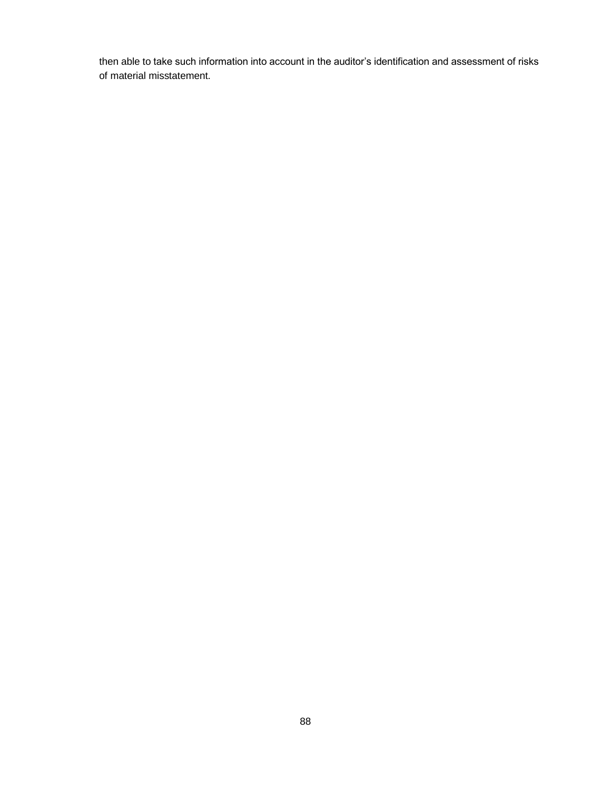then able to take such information into account in the auditor's identification and assessment of risks of material misstatement.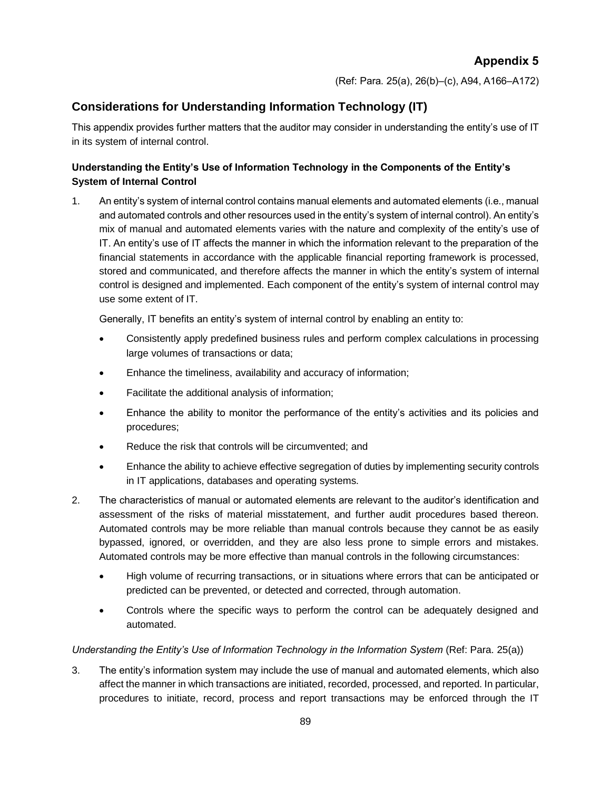# **Appendix 5**

(Ref: Para. 25(a), 26(b)‒(c), A94, A166‒A172)

# **Considerations for Understanding Information Technology (IT)**

This appendix provides further matters that the auditor may consider in understanding the entity's use of IT in its system of internal control.

## **Understanding the Entity's Use of Information Technology in the Components of the Entity's System of Internal Control**

1. An entity's system of internal control contains manual elements and automated elements (i.e., manual and automated controls and other resources used in the entity's system of internal control). An entity's mix of manual and automated elements varies with the nature and complexity of the entity's use of IT. An entity's use of IT affects the manner in which the information relevant to the preparation of the financial statements in accordance with the applicable financial reporting framework is processed, stored and communicated, and therefore affects the manner in which the entity's system of internal control is designed and implemented. Each component of the entity's system of internal control may use some extent of IT.

Generally, IT benefits an entity's system of internal control by enabling an entity to:

- Consistently apply predefined business rules and perform complex calculations in processing large volumes of transactions or data;
- Enhance the timeliness, availability and accuracy of information;
- Facilitate the additional analysis of information;
- Enhance the ability to monitor the performance of the entity's activities and its policies and procedures;
- Reduce the risk that controls will be circumvented; and
- Enhance the ability to achieve effective segregation of duties by implementing security controls in IT applications, databases and operating systems.
- 2. The characteristics of manual or automated elements are relevant to the auditor's identification and assessment of the risks of material misstatement, and further audit procedures based thereon. Automated controls may be more reliable than manual controls because they cannot be as easily bypassed, ignored, or overridden, and they are also less prone to simple errors and mistakes. Automated controls may be more effective than manual controls in the following circumstances:
	- High volume of recurring transactions, or in situations where errors that can be anticipated or predicted can be prevented, or detected and corrected, through automation.
	- Controls where the specific ways to perform the control can be adequately designed and automated.

### *Understanding the Entity's Use of Information Technology in the Information System (Ref: Para. 25(a))*

3. The entity's information system may include the use of manual and automated elements, which also affect the manner in which transactions are initiated, recorded, processed, and reported. In particular, procedures to initiate, record, process and report transactions may be enforced through the IT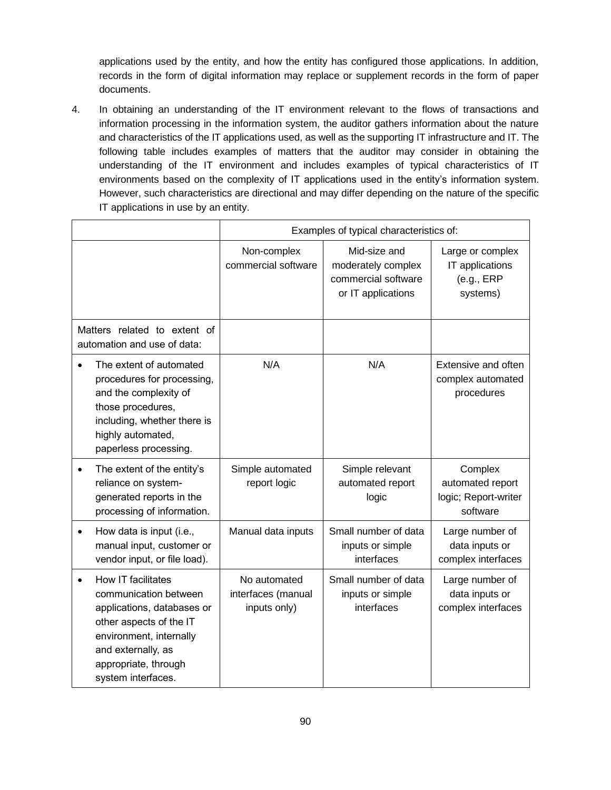applications used by the entity, and how the entity has configured those applications. In addition, records in the form of digital information may replace or supplement records in the form of paper documents.

4. In obtaining an understanding of the IT environment relevant to the flows of transactions and information processing in the information system, the auditor gathers information about the nature and characteristics of the IT applications used, as well as the supporting IT infrastructure and IT. The following table includes examples of matters that the auditor may consider in obtaining the understanding of the IT environment and includes examples of typical characteristics of IT environments based on the complexity of IT applications used in the entity's information system. However, such characteristics are directional and may differ depending on the nature of the specific IT applications in use by an entity.

|                                                                                                                                                                                                                  |                                                    | Examples of typical characteristics of:                                         |                                                                 |
|------------------------------------------------------------------------------------------------------------------------------------------------------------------------------------------------------------------|----------------------------------------------------|---------------------------------------------------------------------------------|-----------------------------------------------------------------|
|                                                                                                                                                                                                                  | Non-complex<br>commercial software                 | Mid-size and<br>moderately complex<br>commercial software<br>or IT applications | Large or complex<br>IT applications<br>(e.g., ERP)<br>systems)  |
| Matters related to extent of<br>automation and use of data:                                                                                                                                                      |                                                    |                                                                                 |                                                                 |
| The extent of automated<br>$\bullet$<br>procedures for processing,<br>and the complexity of<br>those procedures,<br>including, whether there is<br>highly automated,<br>paperless processing.                    | N/A                                                | N/A                                                                             | Extensive and often<br>complex automated<br>procedures          |
| The extent of the entity's<br>$\bullet$<br>reliance on system-<br>generated reports in the<br>processing of information.                                                                                         | Simple automated<br>report logic                   | Simple relevant<br>automated report<br>logic                                    | Complex<br>automated report<br>logic; Report-writer<br>software |
| How data is input (i.e.,<br>$\bullet$<br>manual input, customer or<br>vendor input, or file load).                                                                                                               | Manual data inputs                                 | Small number of data<br>inputs or simple<br>interfaces                          | Large number of<br>data inputs or<br>complex interfaces         |
| How IT facilitates<br>$\bullet$<br>communication between<br>applications, databases or<br>other aspects of the IT<br>environment, internally<br>and externally, as<br>appropriate, through<br>system interfaces. | No automated<br>interfaces (manual<br>inputs only) | Small number of data<br>inputs or simple<br>interfaces                          | Large number of<br>data inputs or<br>complex interfaces         |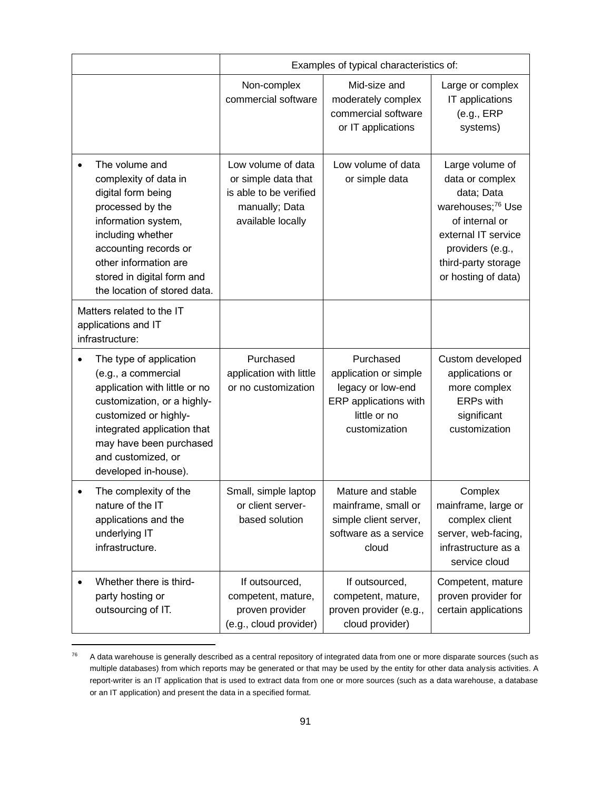|                                                                                                                                                                                                                                                                                                                             | Examples of typical characteristics of:                                                                                                            |                                                                                                                   |                                                                                                                                                                                              |  |  |
|-----------------------------------------------------------------------------------------------------------------------------------------------------------------------------------------------------------------------------------------------------------------------------------------------------------------------------|----------------------------------------------------------------------------------------------------------------------------------------------------|-------------------------------------------------------------------------------------------------------------------|----------------------------------------------------------------------------------------------------------------------------------------------------------------------------------------------|--|--|
|                                                                                                                                                                                                                                                                                                                             | Non-complex<br>commercial software                                                                                                                 | Mid-size and<br>moderately complex<br>commercial software<br>or IT applications                                   | Large or complex<br>IT applications<br>(e.g., ERP)<br>systems)                                                                                                                               |  |  |
| The volume and<br>$\bullet$<br>complexity of data in<br>digital form being<br>processed by the<br>information system,<br>including whether<br>accounting records or<br>other information are<br>stored in digital form and<br>the location of stored data.                                                                  | Low volume of data<br>Low volume of data<br>or simple data that<br>or simple data<br>is able to be verified<br>manually; Data<br>available locally |                                                                                                                   | Large volume of<br>data or complex<br>data; Data<br>warehouses; <sup>76</sup> Use<br>of internal or<br>external IT service<br>providers (e.g.,<br>third-party storage<br>or hosting of data) |  |  |
| Matters related to the IT<br>applications and IT<br>infrastructure:                                                                                                                                                                                                                                                         |                                                                                                                                                    |                                                                                                                   |                                                                                                                                                                                              |  |  |
| Purchased<br>The type of application<br>$\bullet$<br>(e.g., a commercial<br>application with little<br>application with little or no<br>or no customization<br>customization, or a highly-<br>customized or highly-<br>integrated application that<br>may have been purchased<br>and customized, or<br>developed in-house). |                                                                                                                                                    | Purchased<br>application or simple<br>legacy or low-end<br>ERP applications with<br>little or no<br>customization | Custom developed<br>applications or<br>more complex<br><b>ERPs with</b><br>significant<br>customization                                                                                      |  |  |
| The complexity of the<br>nature of the IT<br>applications and the<br>underlying IT<br>infrastructure.                                                                                                                                                                                                                       | Small, simple laptop<br>or client server-<br>based solution                                                                                        | Mature and stable<br>mainframe, small or<br>simple client server,<br>software as a service<br>cloud               | Complex<br>mainframe, large or<br>complex client<br>server, web-facing,<br>infrastructure as a<br>service cloud                                                                              |  |  |
| Whether there is third-<br>$\bullet$<br>party hosting or<br>outsourcing of IT.                                                                                                                                                                                                                                              | If outsourced,<br>competent, mature,<br>proven provider<br>(e.g., cloud provider)                                                                  | If outsourced,<br>competent, mature,<br>proven provider (e.g.,<br>cloud provider)                                 | Competent, mature<br>proven provider for<br>certain applications                                                                                                                             |  |  |

 $76$  A data warehouse is generally described as a central repository of integrated data from one or more disparate sources (such as multiple databases) from which reports may be generated or that may be used by the entity for other data analysis activities. A report-writer is an IT application that is used to extract data from one or more sources (such as a data warehouse, a database or an IT application) and present the data in a specified format.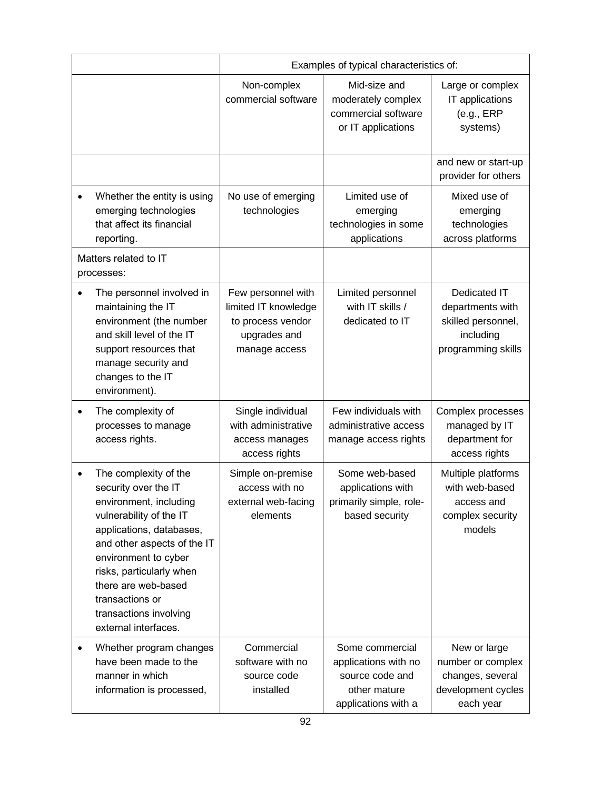|                                                                                                                                                                                                                                                                                                                            | Examples of typical characteristics of:                                                          |                                                                                                   |                                                                                           |  |  |
|----------------------------------------------------------------------------------------------------------------------------------------------------------------------------------------------------------------------------------------------------------------------------------------------------------------------------|--------------------------------------------------------------------------------------------------|---------------------------------------------------------------------------------------------------|-------------------------------------------------------------------------------------------|--|--|
|                                                                                                                                                                                                                                                                                                                            | Non-complex<br>commercial software                                                               | Mid-size and<br>moderately complex<br>commercial software<br>or IT applications                   | Large or complex<br>IT applications<br>(e.g., ERP)<br>systems)                            |  |  |
|                                                                                                                                                                                                                                                                                                                            |                                                                                                  |                                                                                                   | and new or start-up<br>provider for others                                                |  |  |
| Whether the entity is using<br>$\bullet$<br>emerging technologies<br>that affect its financial<br>reporting.                                                                                                                                                                                                               | No use of emerging<br>technologies                                                               | Limited use of<br>emerging<br>technologies in some<br>applications                                | Mixed use of<br>emerging<br>technologies<br>across platforms                              |  |  |
| Matters related to IT<br>processes:                                                                                                                                                                                                                                                                                        |                                                                                                  |                                                                                                   |                                                                                           |  |  |
| The personnel involved in<br>maintaining the IT<br>environment (the number<br>and skill level of the IT<br>support resources that<br>manage security and<br>changes to the IT<br>environment).                                                                                                                             | Few personnel with<br>limited IT knowledge<br>to process vendor<br>upgrades and<br>manage access | Limited personnel<br>with IT skills /<br>dedicated to IT                                          | Dedicated IT<br>departments with<br>skilled personnel,<br>including<br>programming skills |  |  |
| The complexity of<br>$\bullet$<br>processes to manage<br>access rights.                                                                                                                                                                                                                                                    | Single individual<br>with administrative<br>access manages<br>access rights                      | Few individuals with<br>administrative access<br>manage access rights                             | Complex processes<br>managed by IT<br>department for<br>access rights                     |  |  |
| The complexity of the<br>$\bullet$<br>security over the IT<br>environment, including<br>vulnerability of the IT<br>applications, databases,<br>and other aspects of the IT<br>environment to cyber<br>risks, particularly when<br>there are web-based<br>transactions or<br>transactions involving<br>external interfaces. | Simple on-premise<br>access with no<br>external web-facing<br>elements                           | Some web-based<br>applications with<br>primarily simple, role-<br>based security                  | Multiple platforms<br>with web-based<br>access and<br>complex security<br>models          |  |  |
| Whether program changes<br>$\bullet$<br>have been made to the<br>manner in which<br>information is processed,                                                                                                                                                                                                              | Commercial<br>software with no<br>source code<br>installed                                       | Some commercial<br>applications with no<br>source code and<br>other mature<br>applications with a | New or large<br>number or complex<br>changes, several<br>development cycles<br>each year  |  |  |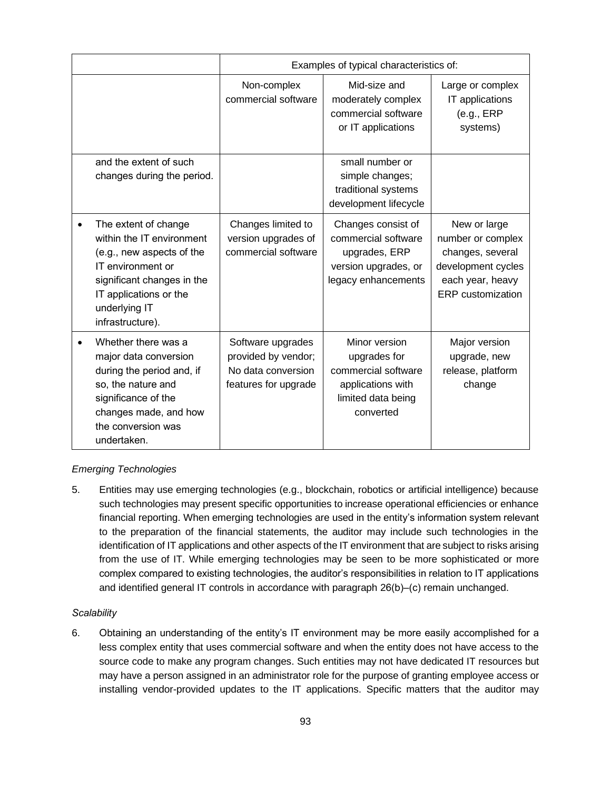|                                                                                                                                                                                                  | Examples of typical characteristics of:                                                |                                                                                                              |                                                                                                                             |  |
|--------------------------------------------------------------------------------------------------------------------------------------------------------------------------------------------------|----------------------------------------------------------------------------------------|--------------------------------------------------------------------------------------------------------------|-----------------------------------------------------------------------------------------------------------------------------|--|
|                                                                                                                                                                                                  | Non-complex<br>commercial software                                                     | Mid-size and<br>moderately complex<br>commercial software<br>or IT applications                              | Large or complex<br>IT applications<br>(e.g., ERP)<br>systems)                                                              |  |
| and the extent of such<br>changes during the period.                                                                                                                                             |                                                                                        | small number or<br>simple changes;<br>traditional systems<br>development lifecycle                           |                                                                                                                             |  |
| The extent of change<br>within the IT environment<br>(e.g., new aspects of the<br>IT environment or<br>significant changes in the<br>IT applications or the<br>underlying IT<br>infrastructure). | Changes limited to<br>version upgrades of<br>commercial software                       | Changes consist of<br>commercial software<br>upgrades, ERP<br>version upgrades, or<br>legacy enhancements    | New or large<br>number or complex<br>changes, several<br>development cycles<br>each year, heavy<br><b>ERP</b> customization |  |
| Whether there was a<br>major data conversion<br>during the period and, if<br>so, the nature and<br>significance of the<br>changes made, and how<br>the conversion was<br>undertaken.             | Software upgrades<br>provided by vendor;<br>No data conversion<br>features for upgrade | Minor version<br>upgrades for<br>commercial software<br>applications with<br>limited data being<br>converted | Major version<br>upgrade, new<br>release, platform<br>change                                                                |  |

### *Emerging Technologies*

5. Entities may use emerging technologies (e.g., blockchain, robotics or artificial intelligence) because such technologies may present specific opportunities to increase operational efficiencies or enhance financial reporting. When emerging technologies are used in the entity's information system relevant to the preparation of the financial statements, the auditor may include such technologies in the identification of IT applications and other aspects of the IT environment that are subject to risks arising from the use of IT. While emerging technologies may be seen to be more sophisticated or more complex compared to existing technologies, the auditor's responsibilities in relation to IT applications and identified general IT controls in accordance with paragraph 26(b)-(c) remain unchanged.

#### *Scalability*

6. Obtaining an understanding of the entity's IT environment may be more easily accomplished for a less complex entity that uses commercial software and when the entity does not have access to the source code to make any program changes. Such entities may not have dedicated IT resources but may have a person assigned in an administrator role for the purpose of granting employee access or installing vendor-provided updates to the IT applications. Specific matters that the auditor may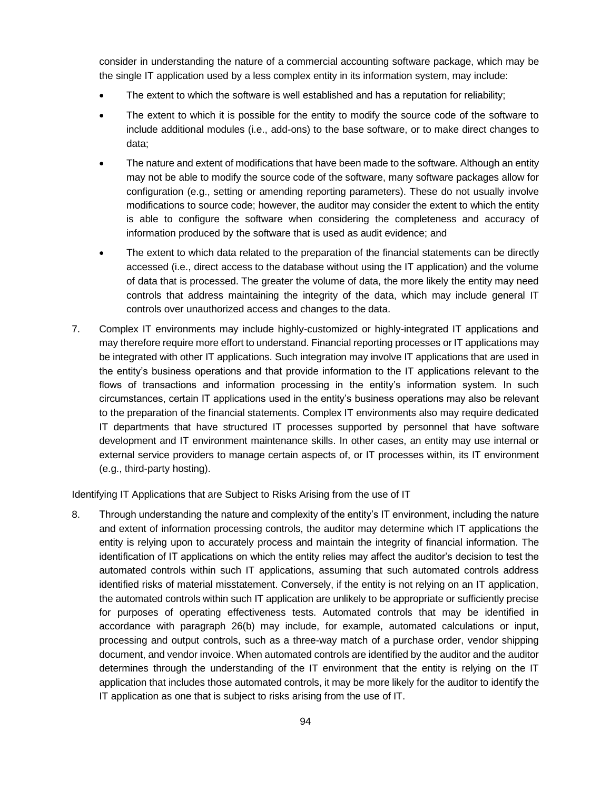consider in understanding the nature of a commercial accounting software package, which may be the single IT application used by a less complex entity in its information system, may include:

- The extent to which the software is well established and has a reputation for reliability;
- The extent to which it is possible for the entity to modify the source code of the software to include additional modules (i.e., add-ons) to the base software, or to make direct changes to data;
- The nature and extent of modifications that have been made to the software. Although an entity may not be able to modify the source code of the software, many software packages allow for configuration (e.g., setting or amending reporting parameters). These do not usually involve modifications to source code; however, the auditor may consider the extent to which the entity is able to configure the software when considering the completeness and accuracy of information produced by the software that is used as audit evidence; and
- The extent to which data related to the preparation of the financial statements can be directly accessed (i.e., direct access to the database without using the IT application) and the volume of data that is processed. The greater the volume of data, the more likely the entity may need controls that address maintaining the integrity of the data, which may include general IT controls over unauthorized access and changes to the data.
- 7. Complex IT environments may include highly-customized or highly-integrated IT applications and may therefore require more effort to understand. Financial reporting processes or IT applications may be integrated with other IT applications. Such integration may involve IT applications that are used in the entity's business operations and that provide information to the IT applications relevant to the flows of transactions and information processing in the entity's information system. In such circumstances, certain IT applications used in the entity's business operations may also be relevant to the preparation of the financial statements. Complex IT environments also may require dedicated IT departments that have structured IT processes supported by personnel that have software development and IT environment maintenance skills. In other cases, an entity may use internal or external service providers to manage certain aspects of, or IT processes within, its IT environment (e.g., third-party hosting).

Identifying IT Applications that are Subject to Risks Arising from the use of IT

8. Through understanding the nature and complexity of the entity's IT environment, including the nature and extent of information processing controls, the auditor may determine which IT applications the entity is relying upon to accurately process and maintain the integrity of financial information. The identification of IT applications on which the entity relies may affect the auditor's decision to test the automated controls within such IT applications, assuming that such automated controls address identified risks of material misstatement. Conversely, if the entity is not relying on an IT application, the automated controls within such IT application are unlikely to be appropriate or sufficiently precise for purposes of operating effectiveness tests. Automated controls that may be identified in accordance with paragraph 26(b) may include, for example, automated calculations or input, processing and output controls, such as a three-way match of a purchase order, vendor shipping document, and vendor invoice. When automated controls are identified by the auditor and the auditor determines through the understanding of the IT environment that the entity is relying on the IT application that includes those automated controls, it may be more likely for the auditor to identify the IT application as one that is subject to risks arising from the use of IT.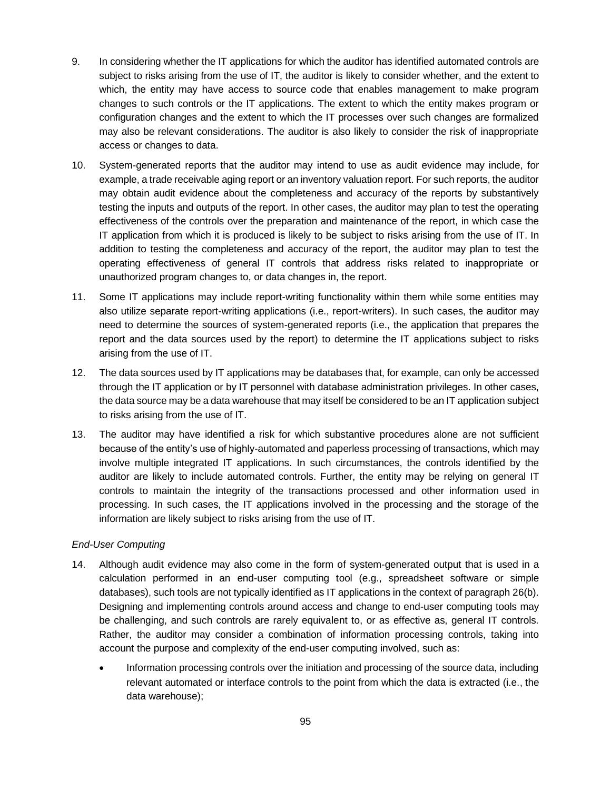- 9. In considering whether the IT applications for which the auditor has identified automated controls are subject to risks arising from the use of IT, the auditor is likely to consider whether, and the extent to which, the entity may have access to source code that enables management to make program changes to such controls or the IT applications. The extent to which the entity makes program or configuration changes and the extent to which the IT processes over such changes are formalized may also be relevant considerations. The auditor is also likely to consider the risk of inappropriate access or changes to data.
- 10. System-generated reports that the auditor may intend to use as audit evidence may include, for example, a trade receivable aging report or an inventory valuation report. For such reports, the auditor may obtain audit evidence about the completeness and accuracy of the reports by substantively testing the inputs and outputs of the report. In other cases, the auditor may plan to test the operating effectiveness of the controls over the preparation and maintenance of the report, in which case the IT application from which it is produced is likely to be subject to risks arising from the use of IT. In addition to testing the completeness and accuracy of the report, the auditor may plan to test the operating effectiveness of general IT controls that address risks related to inappropriate or unauthorized program changes to, or data changes in, the report.
- 11. Some IT applications may include report-writing functionality within them while some entities may also utilize separate report-writing applications (i.e., report-writers). In such cases, the auditor may need to determine the sources of system-generated reports (i.e., the application that prepares the report and the data sources used by the report) to determine the IT applications subject to risks arising from the use of IT.
- 12. The data sources used by IT applications may be databases that, for example, can only be accessed through the IT application or by IT personnel with database administration privileges. In other cases, the data source may be a data warehouse that may itself be considered to be an IT application subject to risks arising from the use of IT.
- 13. The auditor may have identified a risk for which substantive procedures alone are not sufficient because of the entity's use of highly-automated and paperless processing of transactions, which may involve multiple integrated IT applications. In such circumstances, the controls identified by the auditor are likely to include automated controls. Further, the entity may be relying on general IT controls to maintain the integrity of the transactions processed and other information used in processing. In such cases, the IT applications involved in the processing and the storage of the information are likely subject to risks arising from the use of IT.

#### *End-User Computing*

- 14. Although audit evidence may also come in the form of system-generated output that is used in a calculation performed in an end-user computing tool (e.g., spreadsheet software or simple databases), such tools are not typically identified as IT applications in the context of paragraph 26(b). Designing and implementing controls around access and change to end-user computing tools may be challenging, and such controls are rarely equivalent to, or as effective as, general IT controls. Rather, the auditor may consider a combination of information processing controls, taking into account the purpose and complexity of the end-user computing involved, such as:
	- Information processing controls over the initiation and processing of the source data, including relevant automated or interface controls to the point from which the data is extracted (i.e., the data warehouse);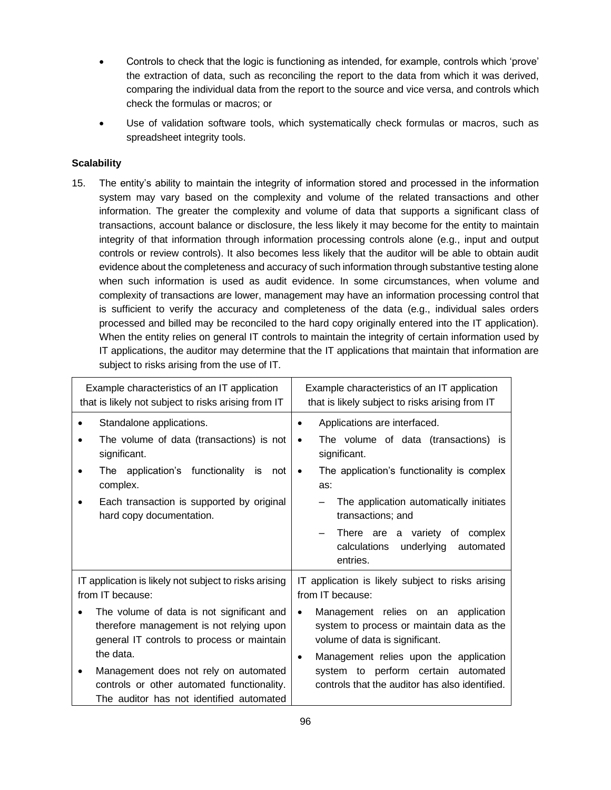- Controls to check that the logic is functioning as intended, for example, controls which 'prove' the extraction of data, such as reconciling the report to the data from which it was derived, comparing the individual data from the report to the source and vice versa, and controls which check the formulas or macros; or
- Use of validation software tools, which systematically check formulas or macros, such as spreadsheet integrity tools.

### **Scalability**

15. The entity's ability to maintain the integrity of information stored and processed in the information system may vary based on the complexity and volume of the related transactions and other information. The greater the complexity and volume of data that supports a significant class of transactions, account balance or disclosure, the less likely it may become for the entity to maintain integrity of that information through information processing controls alone (e.g., input and output controls or review controls). It also becomes less likely that the auditor will be able to obtain audit evidence about the completeness and accuracy of such information through substantive testing alone when such information is used as audit evidence. In some circumstances, when volume and complexity of transactions are lower, management may have an information processing control that is sufficient to verify the accuracy and completeness of the data (e.g., individual sales orders processed and billed may be reconciled to the hard copy originally entered into the IT application). When the entity relies on general IT controls to maintain the integrity of certain information used by IT applications, the auditor may determine that the IT applications that maintain that information are subject to risks arising from the use of IT.

| Example characteristics of an IT application<br>that is likely not subject to risks arising from IT                                                                                                             | Example characteristics of an IT application<br>that is likely subject to risks arising from IT                                                                                                                                                                                                                                                  |  |
|-----------------------------------------------------------------------------------------------------------------------------------------------------------------------------------------------------------------|--------------------------------------------------------------------------------------------------------------------------------------------------------------------------------------------------------------------------------------------------------------------------------------------------------------------------------------------------|--|
| Standalone applications.<br>The volume of data (transactions) is not<br>significant.<br>The application's functionality is<br>complex.<br>Each transaction is supported by original<br>hard copy documentation. | Applications are interfaced.<br>$\bullet$<br>The volume of data (transactions) is<br>$\bullet$<br>significant.<br>The application's functionality is complex<br>not<br>$\bullet$<br>as:<br>The application automatically initiates<br>transactions; and<br>There are a variety of complex<br>calculations<br>underlying<br>automated<br>entries. |  |
| IT application is likely not subject to risks arising<br>from IT because:                                                                                                                                       | IT application is likely subject to risks arising<br>from IT because:                                                                                                                                                                                                                                                                            |  |
| The volume of data is not significant and<br>therefore management is not relying upon<br>general IT controls to process or maintain<br>the data.                                                                | Management relies on an application<br>$\bullet$<br>system to process or maintain data as the<br>volume of data is significant.<br>Management relies upon the application<br>$\bullet$                                                                                                                                                           |  |
| Management does not rely on automated<br>controls or other automated functionality.<br>The auditor has not identified automated                                                                                 | system to perform certain automated<br>controls that the auditor has also identified.                                                                                                                                                                                                                                                            |  |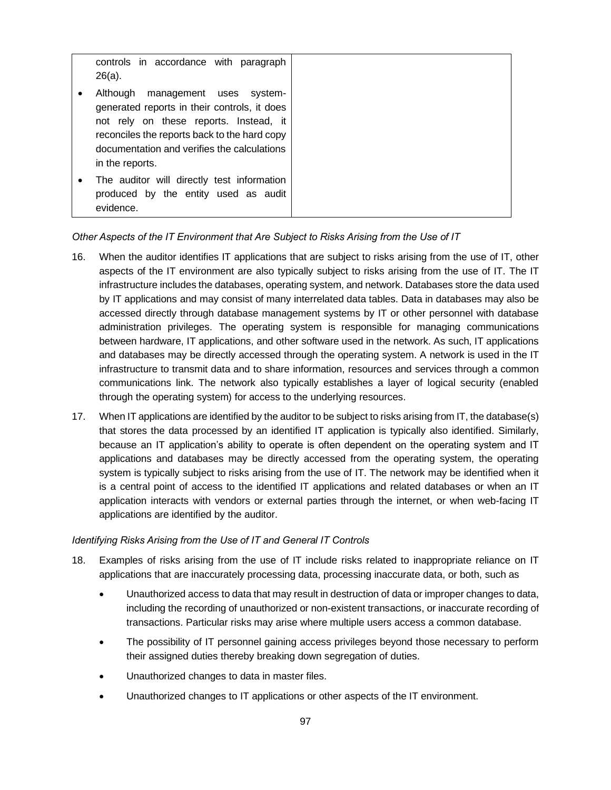| controls in accordance with paragraph<br>$26(a)$ .                                                                                                                                                                                                 |
|----------------------------------------------------------------------------------------------------------------------------------------------------------------------------------------------------------------------------------------------------|
| Although<br>management uses<br>system-<br>generated reports in their controls, it does<br>not rely on these reports. Instead, it<br>reconciles the reports back to the hard copy<br>documentation and verifies the calculations<br>in the reports. |
| The auditor will directly test information<br>produced by the entity used as audit<br>evidence.                                                                                                                                                    |

*Other Aspects of the IT Environment that Are Subject to Risks Arising from the Use of IT*

- 16. When the auditor identifies IT applications that are subject to risks arising from the use of IT, other aspects of the IT environment are also typically subject to risks arising from the use of IT. The IT infrastructure includes the databases, operating system, and network. Databases store the data used by IT applications and may consist of many interrelated data tables. Data in databases may also be accessed directly through database management systems by IT or other personnel with database administration privileges. The operating system is responsible for managing communications between hardware, IT applications, and other software used in the network. As such, IT applications and databases may be directly accessed through the operating system. A network is used in the IT infrastructure to transmit data and to share information, resources and services through a common communications link. The network also typically establishes a layer of logical security (enabled through the operating system) for access to the underlying resources.
- 17. When IT applications are identified by the auditor to be subject to risks arising from IT, the database(s) that stores the data processed by an identified IT application is typically also identified. Similarly, because an IT application's ability to operate is often dependent on the operating system and IT applications and databases may be directly accessed from the operating system, the operating system is typically subject to risks arising from the use of IT. The network may be identified when it is a central point of access to the identified IT applications and related databases or when an IT application interacts with vendors or external parties through the internet, or when web-facing IT applications are identified by the auditor.

#### *Identifying Risks Arising from the Use of IT and General IT Controls*

- 18. Examples of risks arising from the use of IT include risks related to inappropriate reliance on IT applications that are inaccurately processing data, processing inaccurate data, or both, such as
	- Unauthorized access to data that may result in destruction of data or improper changes to data, including the recording of unauthorized or non-existent transactions, or inaccurate recording of transactions. Particular risks may arise where multiple users access a common database.
	- The possibility of IT personnel gaining access privileges beyond those necessary to perform their assigned duties thereby breaking down segregation of duties.
	- Unauthorized changes to data in master files.
	- Unauthorized changes to IT applications or other aspects of the IT environment.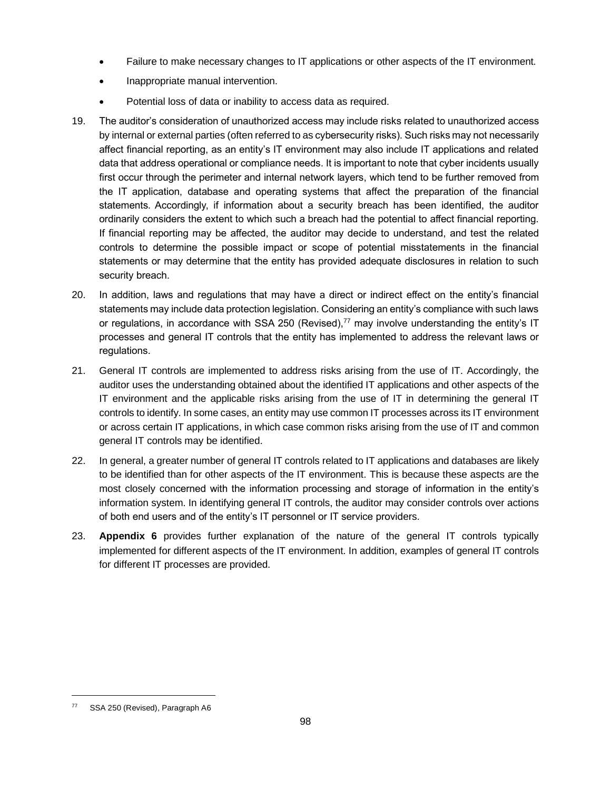- Failure to make necessary changes to IT applications or other aspects of the IT environment.
- Inappropriate manual intervention.
- Potential loss of data or inability to access data as required.
- 19. The auditor's consideration of unauthorized access may include risks related to unauthorized access by internal or external parties (often referred to as cybersecurity risks). Such risks may not necessarily affect financial reporting, as an entity's IT environment may also include IT applications and related data that address operational or compliance needs. It is important to note that cyber incidents usually first occur through the perimeter and internal network layers, which tend to be further removed from the IT application, database and operating systems that affect the preparation of the financial statements. Accordingly, if information about a security breach has been identified, the auditor ordinarily considers the extent to which such a breach had the potential to affect financial reporting. If financial reporting may be affected, the auditor may decide to understand, and test the related controls to determine the possible impact or scope of potential misstatements in the financial statements or may determine that the entity has provided adequate disclosures in relation to such security breach.
- 20. In addition, laws and regulations that may have a direct or indirect effect on the entity's financial statements may include data protection legislation. Considering an entity's compliance with such laws or regulations, in accordance with SSA 250 (Revised), $77$  may involve understanding the entity's IT processes and general IT controls that the entity has implemented to address the relevant laws or regulations.
- 21. General IT controls are implemented to address risks arising from the use of IT. Accordingly, the auditor uses the understanding obtained about the identified IT applications and other aspects of the IT environment and the applicable risks arising from the use of IT in determining the general IT controls to identify. In some cases, an entity may use common IT processes across its IT environment or across certain IT applications, in which case common risks arising from the use of IT and common general IT controls may be identified.
- 22. In general, a greater number of general IT controls related to IT applications and databases are likely to be identified than for other aspects of the IT environment. This is because these aspects are the most closely concerned with the information processing and storage of information in the entity's information system. In identifying general IT controls, the auditor may consider controls over actions of both end users and of the entity's IT personnel or IT service providers.
- 23. **Appendix 6** provides further explanation of the nature of the general IT controls typically implemented for different aspects of the IT environment. In addition, examples of general IT controls for different IT processes are provided.

<sup>77</sup> SSA 250 (Revised), Paragraph A6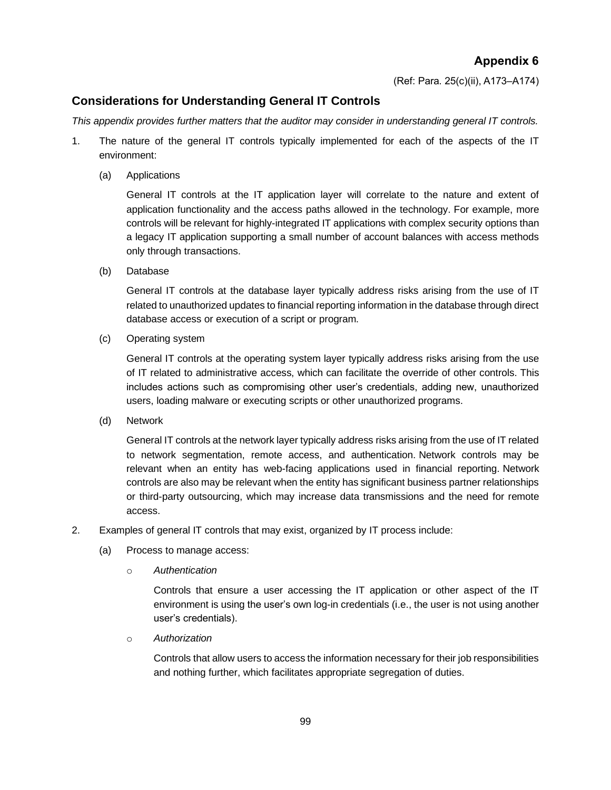# **Appendix 6**

(Ref: Para. 25(c)(ii), A173‒A174)

## **Considerations for Understanding General IT Controls**

*This appendix provides further matters that the auditor may consider in understanding general IT controls.* 

- 1. The nature of the general IT controls typically implemented for each of the aspects of the IT environment:
	- (a) Applications

General IT controls at the IT application layer will correlate to the nature and extent of application functionality and the access paths allowed in the technology. For example, more controls will be relevant for highly-integrated IT applications with complex security options than a legacy IT application supporting a small number of account balances with access methods only through transactions.

(b) Database

General IT controls at the database layer typically address risks arising from the use of IT related to unauthorized updates to financial reporting information in the database through direct database access or execution of a script or program.

(c) Operating system

General IT controls at the operating system layer typically address risks arising from the use of IT related to administrative access, which can facilitate the override of other controls. This includes actions such as compromising other user's credentials, adding new, unauthorized users, loading malware or executing scripts or other unauthorized programs.

(d) Network

General IT controls at the network layer typically address risks arising from the use of IT related to network segmentation, remote access, and authentication. Network controls may be relevant when an entity has web-facing applications used in financial reporting. Network controls are also may be relevant when the entity has significant business partner relationships or third-party outsourcing, which may increase data transmissions and the need for remote access.

- 2. Examples of general IT controls that may exist, organized by IT process include:
	- (a) Process to manage access:
		- o *Authentication*

Controls that ensure a user accessing the IT application or other aspect of the IT environment is using the user's own log-in credentials (i.e., the user is not using another user's credentials).

o *Authorization*

Controls that allow users to access the information necessary for their job responsibilities and nothing further, which facilitates appropriate segregation of duties.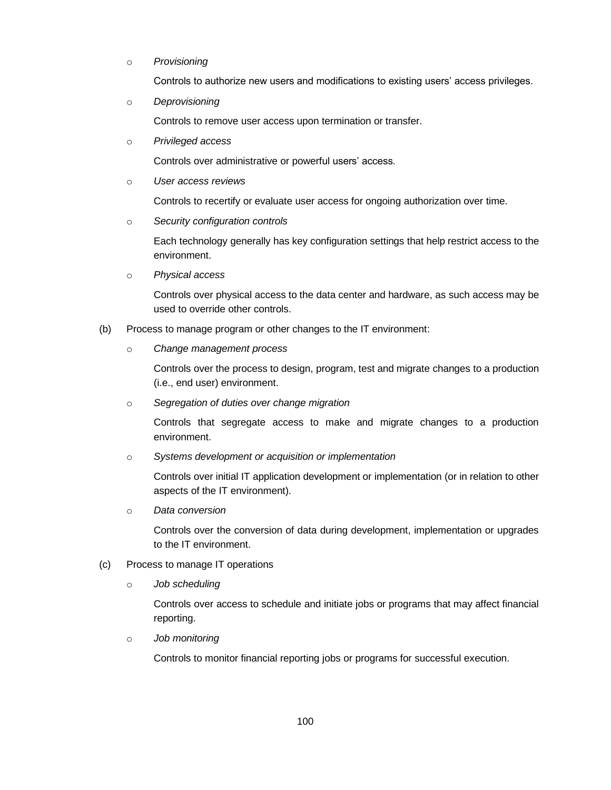o *Provisioning*

Controls to authorize new users and modifications to existing users' access privileges.

o *Deprovisioning*

Controls to remove user access upon termination or transfer.

o *Privileged access*

Controls over administrative or powerful users' access.

o *User access reviews*

Controls to recertify or evaluate user access for ongoing authorization over time.

o *Security configuration controls*

Each technology generally has key configuration settings that help restrict access to the environment.

o *Physical access*

Controls over physical access to the data center and hardware, as such access may be used to override other controls.

- (b) Process to manage program or other changes to the IT environment:
	- o *Change management process*

Controls over the process to design, program, test and migrate changes to a production (i.e., end user) environment.

o *Segregation of duties over change migration*

Controls that segregate access to make and migrate changes to a production environment.

o *Systems development or acquisition or implementation*

Controls over initial IT application development or implementation (or in relation to other aspects of the IT environment).

o *Data conversion*

Controls over the conversion of data during development, implementation or upgrades to the IT environment.

- (c) Process to manage IT operations
	- o *Job scheduling*

Controls over access to schedule and initiate jobs or programs that may affect financial reporting.

o *Job monitoring*

Controls to monitor financial reporting jobs or programs for successful execution.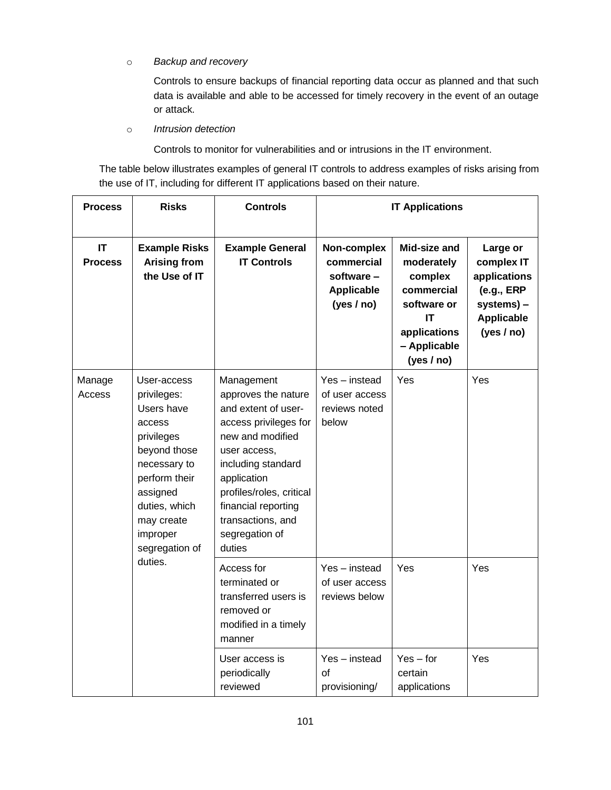o *Backup and recovery* 

Controls to ensure backups of financial reporting data occur as planned and that such data is available and able to be accessed for timely recovery in the event of an outage or attack.

o *Intrusion detection*

Controls to monitor for vulnerabilities and or intrusions in the IT environment.

The table below illustrates examples of general IT controls to address examples of risks arising from the use of IT, including for different IT applications based on their nature.

| <b>Process</b>       | <b>Risks</b>                                                                                                                                                                               | <b>Controls</b>                                                                                                                                                                                                                                                | <b>IT Applications</b>                                                     |                                                                                                                        |                                                                                                       |
|----------------------|--------------------------------------------------------------------------------------------------------------------------------------------------------------------------------------------|----------------------------------------------------------------------------------------------------------------------------------------------------------------------------------------------------------------------------------------------------------------|----------------------------------------------------------------------------|------------------------------------------------------------------------------------------------------------------------|-------------------------------------------------------------------------------------------------------|
| IT<br><b>Process</b> | <b>Example Risks</b><br><b>Arising from</b><br>the Use of IT                                                                                                                               | <b>Example General</b><br><b>IT Controls</b>                                                                                                                                                                                                                   | Non-complex<br>commercial<br>software -<br><b>Applicable</b><br>(yes / no) | Mid-size and<br>moderately<br>complex<br>commercial<br>software or<br>IT<br>applications<br>- Applicable<br>(yes / no) | Large or<br>complex IT<br>applications<br>(e.g., ERP<br>systems) -<br><b>Applicable</b><br>(yes / no) |
| Manage<br>Access     | User-access<br>privileges:<br>Users have<br>access<br>privileges<br>beyond those<br>necessary to<br>perform their<br>assigned<br>duties, which<br>may create<br>improper<br>segregation of | Management<br>approves the nature<br>and extent of user-<br>access privileges for<br>new and modified<br>user access,<br>including standard<br>application<br>profiles/roles, critical<br>financial reporting<br>transactions, and<br>segregation of<br>duties | Yes - instead<br>of user access<br>reviews noted<br>below                  | Yes                                                                                                                    | Yes                                                                                                   |
|                      | duties.                                                                                                                                                                                    | Access for<br>terminated or<br>transferred users is<br>removed or<br>modified in a timely<br>manner                                                                                                                                                            | Yes - instead<br>of user access<br>reviews below                           | Yes                                                                                                                    | Yes                                                                                                   |
|                      |                                                                                                                                                                                            | User access is<br>periodically<br>reviewed                                                                                                                                                                                                                     | Yes - instead<br>οf<br>provisioning/                                       | $Yes - for$<br>certain<br>applications                                                                                 | Yes                                                                                                   |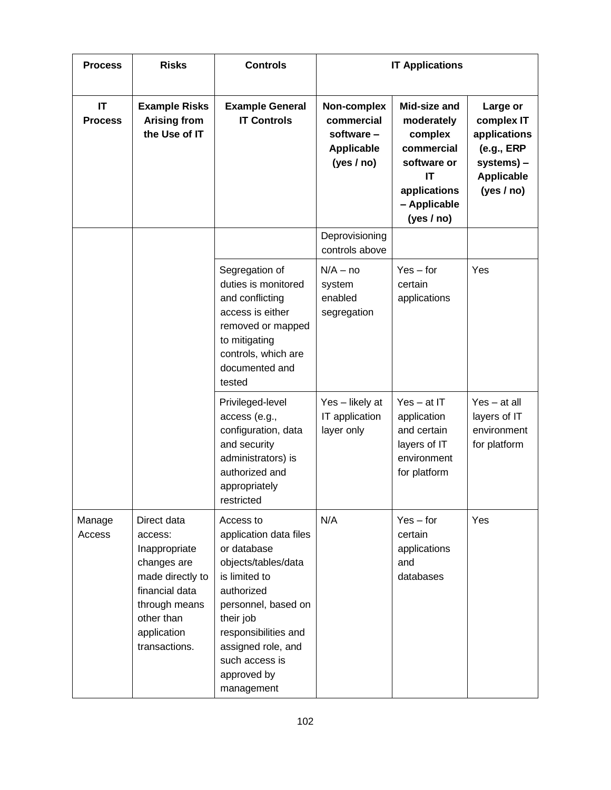| <b>Process</b>       | <b>Risks</b>                                                                                                                                                | <b>Controls</b>                                                                                                                                                                                                                           | <b>IT Applications</b>                                                     |                                                                                                                        |                                                                                                       |
|----------------------|-------------------------------------------------------------------------------------------------------------------------------------------------------------|-------------------------------------------------------------------------------------------------------------------------------------------------------------------------------------------------------------------------------------------|----------------------------------------------------------------------------|------------------------------------------------------------------------------------------------------------------------|-------------------------------------------------------------------------------------------------------|
| IT<br><b>Process</b> | <b>Example Risks</b><br><b>Arising from</b><br>the Use of IT                                                                                                | <b>Example General</b><br><b>IT Controls</b>                                                                                                                                                                                              | Non-complex<br>commercial<br>software -<br><b>Applicable</b><br>(yes / no) | Mid-size and<br>moderately<br>complex<br>commercial<br>software or<br>IT<br>applications<br>- Applicable<br>(yes / no) | Large or<br>complex IT<br>applications<br>(e.g., ERP<br>systems) -<br><b>Applicable</b><br>(yes / no) |
|                      |                                                                                                                                                             |                                                                                                                                                                                                                                           | Deprovisioning<br>controls above                                           |                                                                                                                        |                                                                                                       |
|                      |                                                                                                                                                             | Segregation of<br>duties is monitored<br>and conflicting<br>access is either<br>removed or mapped<br>to mitigating<br>controls, which are<br>documented and<br>tested                                                                     | $N/A - no$<br>system<br>enabled<br>segregation                             | $Yes - for$<br>certain<br>applications                                                                                 | Yes                                                                                                   |
|                      |                                                                                                                                                             | Privileged-level<br>access (e.g.,<br>configuration, data<br>and security<br>administrators) is<br>authorized and<br>appropriately<br>restricted                                                                                           | Yes - likely at<br>IT application<br>layer only                            | $Yes - at IT$<br>application<br>and certain<br>layers of IT<br>environment<br>for platform                             | $Yes - at all$<br>layers of IT<br>environment<br>for platform                                         |
| Manage<br>Access     | Direct data<br>access:<br>Inappropriate<br>changes are<br>made directly to<br>financial data<br>through means<br>other than<br>application<br>transactions. | Access to<br>application data files<br>or database<br>objects/tables/data<br>is limited to<br>authorized<br>personnel, based on<br>their job<br>responsibilities and<br>assigned role, and<br>such access is<br>approved by<br>management | N/A                                                                        | $Yes - for$<br>certain<br>applications<br>and<br>databases                                                             | Yes                                                                                                   |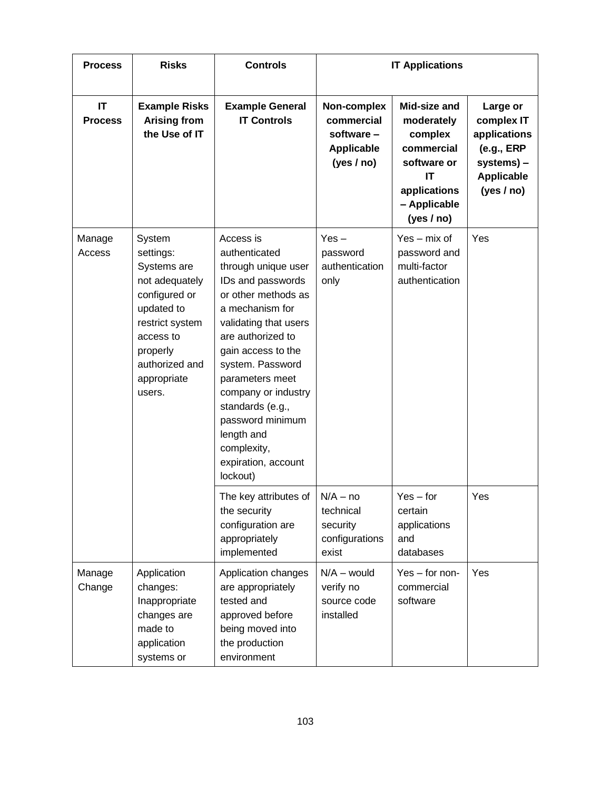| <b>Process</b>       | <b>Risks</b>                                                                                                                                                               | <b>Controls</b>                                                                                                                                                                                                                                                                                                                                            | <b>IT Applications</b>                                                     |                                                                                                                               |                                                                                                       |
|----------------------|----------------------------------------------------------------------------------------------------------------------------------------------------------------------------|------------------------------------------------------------------------------------------------------------------------------------------------------------------------------------------------------------------------------------------------------------------------------------------------------------------------------------------------------------|----------------------------------------------------------------------------|-------------------------------------------------------------------------------------------------------------------------------|-------------------------------------------------------------------------------------------------------|
| IT<br><b>Process</b> | <b>Example Risks</b><br><b>Arising from</b><br>the Use of IT                                                                                                               | <b>Example General</b><br><b>IT Controls</b>                                                                                                                                                                                                                                                                                                               | Non-complex<br>commercial<br>software -<br><b>Applicable</b><br>(yes / no) | Mid-size and<br>moderately<br>complex<br>commercial<br>software or<br><b>IT</b><br>applications<br>- Applicable<br>(yes / no) | Large or<br>complex IT<br>applications<br>(e.g., ERP<br>systems) -<br><b>Applicable</b><br>(yes / no) |
| Manage<br>Access     | System<br>settings:<br>Systems are<br>not adequately<br>configured or<br>updated to<br>restrict system<br>access to<br>properly<br>authorized and<br>appropriate<br>users. | Access is<br>authenticated<br>through unique user<br>IDs and passwords<br>or other methods as<br>a mechanism for<br>validating that users<br>are authorized to<br>gain access to the<br>system. Password<br>parameters meet<br>company or industry<br>standards (e.g.,<br>password minimum<br>length and<br>complexity,<br>expiration, account<br>lockout) | $Yes -$<br>password<br>authentication<br>only                              | Yes – mix of<br>password and<br>multi-factor<br>authentication                                                                | Yes                                                                                                   |
|                      |                                                                                                                                                                            | The key attributes of $  N/A - no$<br>the security<br>configuration are<br>appropriately<br>implemented                                                                                                                                                                                                                                                    | technical<br>security<br>configurations<br>exist                           | $Yes - for$<br>certain<br>applications<br>and<br>databases                                                                    | Yes                                                                                                   |
| Manage<br>Change     | Application<br>changes:<br>Inappropriate<br>changes are<br>made to<br>application<br>systems or                                                                            | Application changes<br>are appropriately<br>tested and<br>approved before<br>being moved into<br>the production<br>environment                                                                                                                                                                                                                             | $N/A -$ would<br>verify no<br>source code<br>installed                     | Yes - for non-<br>commercial<br>software                                                                                      | Yes                                                                                                   |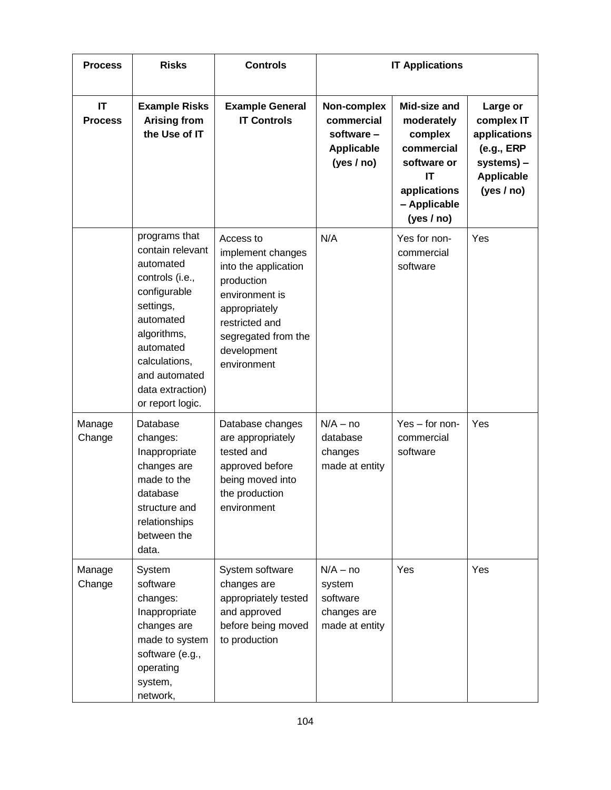| <b>Process</b>       | <b>Risks</b>                                                                                                                                                                                                      | <b>Controls</b>                                                                                                                                                                | <b>IT Applications</b>                                                     |                                                                                                                        |                                                                                                       |
|----------------------|-------------------------------------------------------------------------------------------------------------------------------------------------------------------------------------------------------------------|--------------------------------------------------------------------------------------------------------------------------------------------------------------------------------|----------------------------------------------------------------------------|------------------------------------------------------------------------------------------------------------------------|-------------------------------------------------------------------------------------------------------|
| IT<br><b>Process</b> | <b>Example Risks</b><br><b>Arising from</b><br>the Use of IT                                                                                                                                                      | <b>Example General</b><br><b>IT Controls</b>                                                                                                                                   | Non-complex<br>commercial<br>software -<br><b>Applicable</b><br>(yes / no) | Mid-size and<br>moderately<br>complex<br>commercial<br>software or<br>IT<br>applications<br>- Applicable<br>(yes / no) | Large or<br>complex IT<br>applications<br>(e.g., ERP<br>systems) -<br><b>Applicable</b><br>(yes / no) |
|                      | programs that<br>contain relevant<br>automated<br>controls (i.e.,<br>configurable<br>settings,<br>automated<br>algorithms,<br>automated<br>calculations,<br>and automated<br>data extraction)<br>or report logic. | Access to<br>implement changes<br>into the application<br>production<br>environment is<br>appropriately<br>restricted and<br>segregated from the<br>development<br>environment | N/A                                                                        | Yes for non-<br>commercial<br>software                                                                                 | Yes                                                                                                   |
| Manage<br>Change     | Database<br>changes:<br>Inappropriate<br>changes are<br>made to the<br>database<br>structure and<br>relationships<br>between the<br>data.                                                                         | Database changes<br>are appropriately<br>tested and<br>approved before<br>being moved into<br>the production<br>environment                                                    | $N/A - no$<br>database<br>changes<br>made at entity                        | Yes - for non-<br>commercial<br>software                                                                               | Yes                                                                                                   |
| Manage<br>Change     | System<br>software<br>changes:<br>Inappropriate<br>changes are<br>made to system<br>software (e.g.,<br>operating<br>system,<br>network,                                                                           | System software<br>changes are<br>appropriately tested<br>and approved<br>before being moved<br>to production                                                                  | $N/A - no$<br>system<br>software<br>changes are<br>made at entity          | Yes                                                                                                                    | Yes                                                                                                   |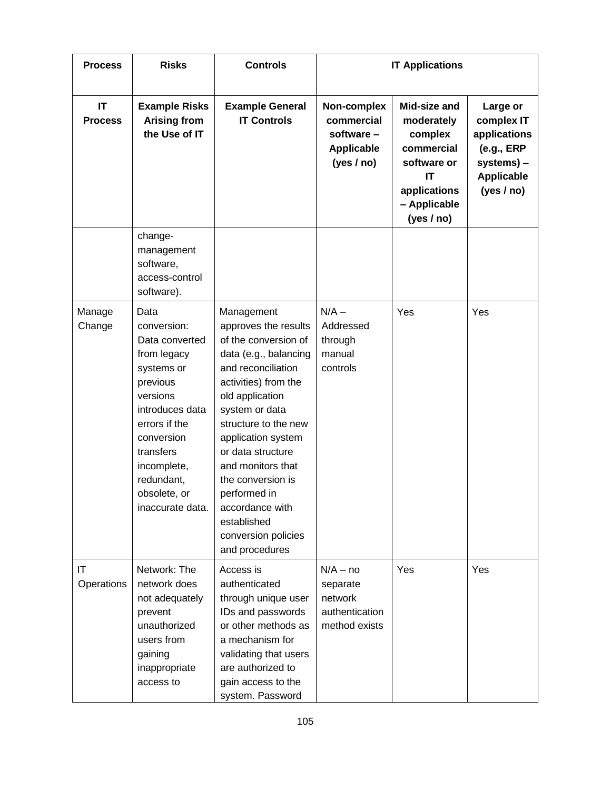| <b>Process</b>       | <b>Risks</b>                                                                                                                                                                                                               | <b>Controls</b>                                                                                                                                                                                                                                                                                                                                                                | <b>IT Applications</b>                                                     |                                                                                                                        |                                                                                                       |
|----------------------|----------------------------------------------------------------------------------------------------------------------------------------------------------------------------------------------------------------------------|--------------------------------------------------------------------------------------------------------------------------------------------------------------------------------------------------------------------------------------------------------------------------------------------------------------------------------------------------------------------------------|----------------------------------------------------------------------------|------------------------------------------------------------------------------------------------------------------------|-------------------------------------------------------------------------------------------------------|
| IT<br><b>Process</b> | <b>Example Risks</b><br><b>Arising from</b><br>the Use of IT                                                                                                                                                               | <b>Example General</b><br><b>IT Controls</b>                                                                                                                                                                                                                                                                                                                                   | Non-complex<br>commercial<br>software -<br><b>Applicable</b><br>(yes / no) | Mid-size and<br>moderately<br>complex<br>commercial<br>software or<br>IT<br>applications<br>- Applicable<br>(yes / no) | Large or<br>complex IT<br>applications<br>(e.g., ERP<br>systems) -<br><b>Applicable</b><br>(yes / no) |
|                      | change-<br>management<br>software,<br>access-control<br>software).                                                                                                                                                         |                                                                                                                                                                                                                                                                                                                                                                                |                                                                            |                                                                                                                        |                                                                                                       |
| Manage<br>Change     | Data<br>conversion:<br>Data converted<br>from legacy<br>systems or<br>previous<br>versions<br>introduces data<br>errors if the<br>conversion<br>transfers<br>incomplete,<br>redundant,<br>obsolete, or<br>inaccurate data. | Management<br>approves the results<br>of the conversion of<br>data (e.g., balancing<br>and reconciliation<br>activities) from the<br>old application<br>system or data<br>structure to the new<br>application system<br>or data structure<br>and monitors that<br>the conversion is<br>performed in<br>accordance with<br>established<br>conversion policies<br>and procedures | $N/A -$<br>Addressed<br>through<br>manual<br>controls                      | Yes                                                                                                                    | Yes                                                                                                   |
| IT<br>Operations     | Network: The<br>network does<br>not adequately<br>prevent<br>unauthorized<br>users from<br>gaining<br>inappropriate<br>access to                                                                                           | Access is<br>authenticated<br>through unique user<br>IDs and passwords<br>or other methods as<br>a mechanism for<br>validating that users<br>are authorized to<br>gain access to the<br>system. Password                                                                                                                                                                       | $N/A - no$<br>separate<br>network<br>authentication<br>method exists       | Yes                                                                                                                    | Yes                                                                                                   |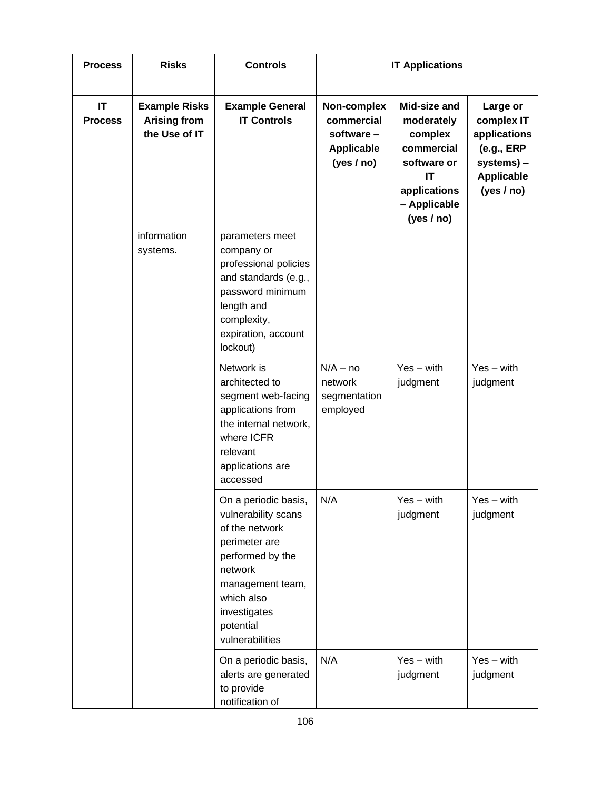| <b>Process</b>       | <b>Risks</b>                                                 | <b>Controls</b>                                                                                                                                                                                 | <b>IT Applications</b>                                                     |                                                                                                                        |                                                                                                       |
|----------------------|--------------------------------------------------------------|-------------------------------------------------------------------------------------------------------------------------------------------------------------------------------------------------|----------------------------------------------------------------------------|------------------------------------------------------------------------------------------------------------------------|-------------------------------------------------------------------------------------------------------|
| IT<br><b>Process</b> | <b>Example Risks</b><br><b>Arising from</b><br>the Use of IT | <b>Example General</b><br><b>IT Controls</b>                                                                                                                                                    | Non-complex<br>commercial<br>software -<br><b>Applicable</b><br>(yes / no) | Mid-size and<br>moderately<br>complex<br>commercial<br>software or<br>IT<br>applications<br>- Applicable<br>(yes / no) | Large or<br>complex IT<br>applications<br>(e.g., ERP<br>systems) -<br><b>Applicable</b><br>(yes / no) |
|                      | information<br>systems.                                      | parameters meet<br>company or<br>professional policies<br>and standards (e.g.,<br>password minimum<br>length and<br>complexity,<br>expiration, account<br>lockout)                              |                                                                            |                                                                                                                        |                                                                                                       |
|                      |                                                              | Network is<br>architected to<br>segment web-facing<br>applications from<br>the internal network,<br>where ICFR<br>relevant<br>applications are<br>accessed                                      | $N/A - no$<br>network<br>segmentation<br>employed                          | $Yes - with$<br>judgment                                                                                               | $Yes - with$<br>judgment                                                                              |
|                      |                                                              | On a periodic basis,<br>vulnerability scans<br>of the network<br>perimeter are<br>performed by the<br>network<br>management team,<br>which also<br>investigates<br>potential<br>vulnerabilities | N/A                                                                        | $Yes - with$<br>judgment                                                                                               | $Yes - with$<br>judgment                                                                              |
|                      |                                                              | On a periodic basis,<br>alerts are generated<br>to provide<br>notification of                                                                                                                   | N/A                                                                        | $Yes - with$<br>judgment                                                                                               | $Yes - with$<br>judgment                                                                              |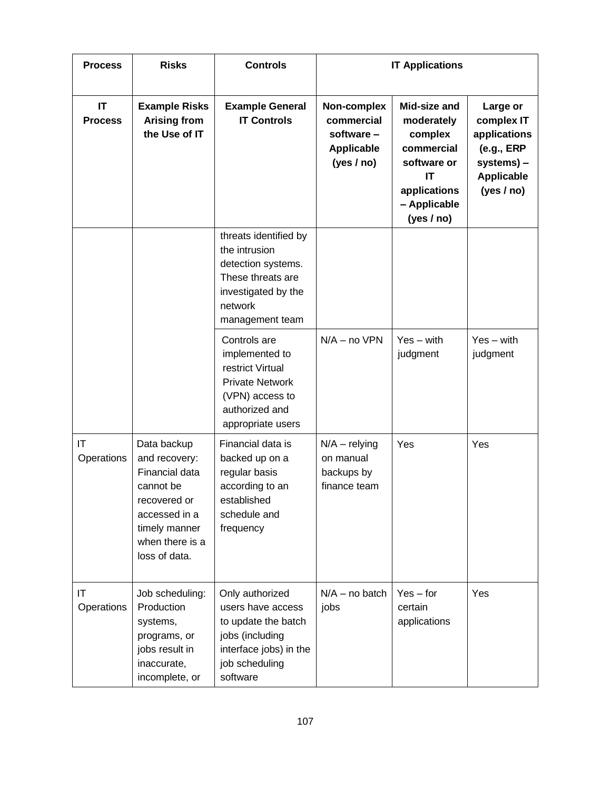| <b>Process</b>       | <b>Risks</b>                                                                                                                                      | <b>Controls</b>                                                                                                                        | <b>IT Applications</b>                                                     |                                                                                                                               |                                                                                                       |
|----------------------|---------------------------------------------------------------------------------------------------------------------------------------------------|----------------------------------------------------------------------------------------------------------------------------------------|----------------------------------------------------------------------------|-------------------------------------------------------------------------------------------------------------------------------|-------------------------------------------------------------------------------------------------------|
| IT<br><b>Process</b> | <b>Example Risks</b><br><b>Arising from</b><br>the Use of IT                                                                                      | <b>Example General</b><br><b>IT Controls</b>                                                                                           | Non-complex<br>commercial<br>software -<br><b>Applicable</b><br>(yes / no) | Mid-size and<br>moderately<br>complex<br>commercial<br>software or<br><b>IT</b><br>applications<br>- Applicable<br>(yes / no) | Large or<br>complex IT<br>applications<br>(e.g., ERP<br>systems) -<br><b>Applicable</b><br>(yes / no) |
|                      |                                                                                                                                                   | threats identified by<br>the intrusion<br>detection systems.<br>These threats are<br>investigated by the<br>network<br>management team |                                                                            |                                                                                                                               |                                                                                                       |
|                      |                                                                                                                                                   | Controls are<br>implemented to<br>restrict Virtual<br><b>Private Network</b><br>(VPN) access to<br>authorized and<br>appropriate users | $N/A - no VPN$                                                             | $Yes - with$<br>judgment                                                                                                      | $Yes - with$<br>judgment                                                                              |
| IT<br>Operations     | Data backup<br>and recovery:<br>Financial data<br>cannot be<br>recovered or<br>accessed in a<br>timely manner<br>when there is a<br>loss of data. | Financial data is<br>backed up on a<br>regular basis<br>according to an<br>established<br>schedule and<br>frequency                    | $N/A -$ relying<br>on manual<br>backups by<br>finance team                 | Yes                                                                                                                           | Yes                                                                                                   |
| IT<br>Operations     | Job scheduling:<br>Production<br>systems,<br>programs, or<br>jobs result in<br>inaccurate,<br>incomplete, or                                      | Only authorized<br>users have access<br>to update the batch<br>jobs (including<br>interface jobs) in the<br>job scheduling<br>software | $N/A$ – no batch<br>jobs                                                   | $Yes - for$<br>certain<br>applications                                                                                        | Yes                                                                                                   |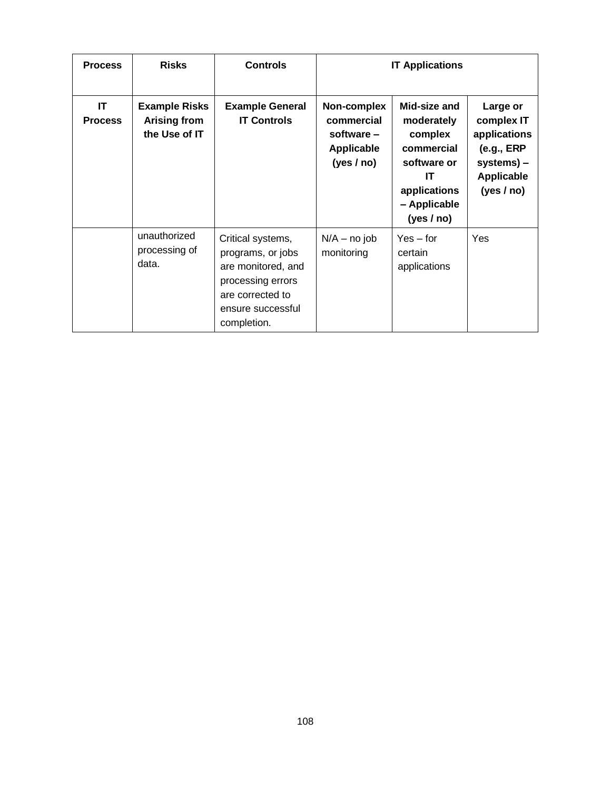| <b>Process</b>       | <b>Risks</b>                                          | <b>Controls</b>                                                                                                                           | <b>IT Applications</b>                                                       |                                                                                                                        |                                                                                                       |
|----------------------|-------------------------------------------------------|-------------------------------------------------------------------------------------------------------------------------------------------|------------------------------------------------------------------------------|------------------------------------------------------------------------------------------------------------------------|-------------------------------------------------------------------------------------------------------|
| IT<br><b>Process</b> | <b>Example Risks</b><br>Arising from<br>the Use of IT | <b>Example General</b><br><b>IT Controls</b>                                                                                              | Non-complex<br>commercial<br>software $-$<br><b>Applicable</b><br>(yes / no) | Mid-size and<br>moderately<br>complex<br>commercial<br>software or<br>IΤ<br>applications<br>- Applicable<br>(yes / no) | Large or<br>complex IT<br>applications<br>(e.g., ERP<br>systems) -<br><b>Applicable</b><br>(yes / no) |
|                      | unauthorized<br>processing of<br>data.                | Critical systems,<br>programs, or jobs<br>are monitored, and<br>processing errors<br>are corrected to<br>ensure successful<br>completion. | $N/A - no$ job<br>monitoring                                                 | $Yes - for$<br>certain<br>applications                                                                                 | Yes                                                                                                   |